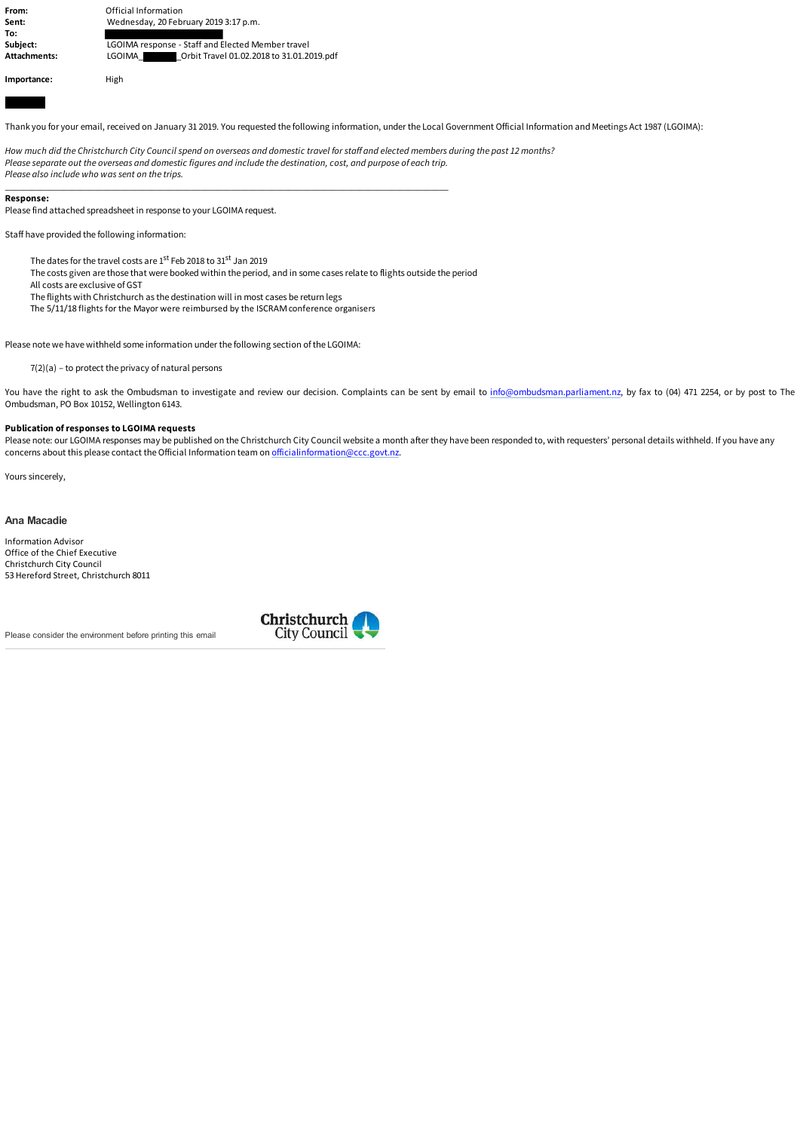**From: Calcular Contract Contract Contract Contract Contract Contract Contract Contract Contract Contract Contract Contract Contract Contract Contract Contract Contract Contract Contract Contract Contract Contract Contra Sent:** Wednesday, 20 February 2019 3:17 p.m. **To: Subject:** LGOIMA response - Staff and Elected Member travel **Attachments:** LGOIMA\_ \_Orbit Travel 01.02.2018 to 31.01.2019.pdf **Importance:** High

Thank you for your email, received on January 31 2019. You requested the following information, under the Local Government Official Information and Meetings Act 1987 (LGOIMA):

*How much did the Christchurch City Council spend on overseas and domestic travel for staff and elected members during the past 12 months? Please separate out the overseas and domestic figures and include the destination, cost, and purpose of each trip. Please also include who was sent on the trips.*

## **Response:**

Please find attached spreadsheet in response to your LGOIMA request.

Staff have provided the following information:

The dates for the travel costs are 1st Feb 2018 to 31st Jan 2019

The costs given are those that were booked within the period, and in some cases relate to flights outside the period

\_\_\_\_\_\_\_\_\_\_\_\_\_\_\_\_\_\_\_\_\_\_\_\_\_\_\_\_\_\_\_\_\_\_\_\_\_\_\_\_\_\_\_\_\_\_\_\_\_\_\_\_\_\_\_\_\_\_\_\_\_\_\_\_\_\_\_\_\_\_\_\_\_\_\_\_\_\_\_\_\_\_\_\_\_\_\_\_\_\_\_\_\_\_\_\_\_\_\_\_

All costs are exclusive of GST

The flights with Christchurch as the destination will in most cases be return legs

The 5/11/18 flights for the Mayor were reimbursed by the ISCRAM conference organisers

Please note we have withheld some information under the following section of the LGOIMA:

7(2)(a) – to protect the privacy of natural persons

You have the right to ask the Ombudsman to investigate and review our decision. Complaints can be sent by email to [info@ombudsman.parliament.nz](mailto:info@ombudsman.parliament.nz), by fax to (04) 471 2254, or by post to The Ombudsman, PO Box 10152, Wellington 6143.

## **Publication of responses to LGOIMA requests**

Please note: our LGOIMA responses may be published on the Christchurch City Council website a month after they have been responded to, with requesters' personal details withheld. If you have any concerns about this please contact the Official Information team on [officialinformation@ccc.govt.nz.](mailto:officialinformation@ccc.govt.nz)

Yours sincerely,

## **Ana Macadie**

Information Advisor Office of the Chief Executive Christchurch City Council 53 Hereford Street, Christchurch 8011

Please consider the environment before printing this email

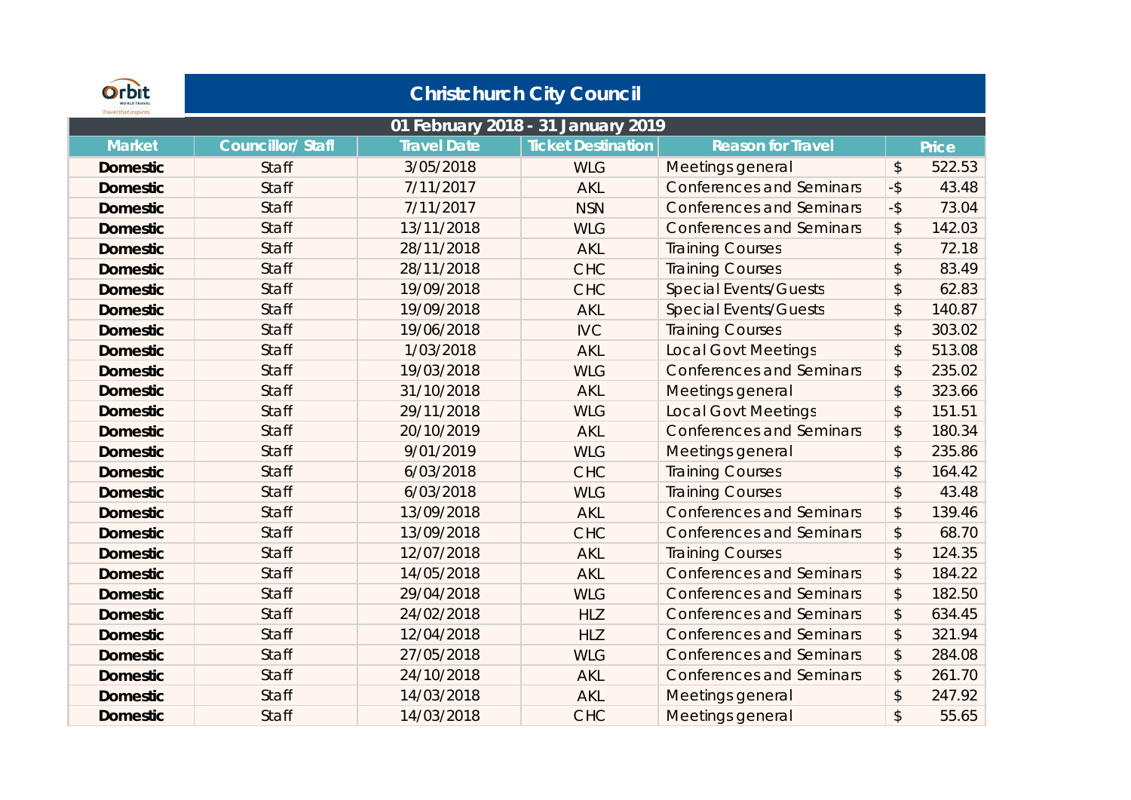| Orbit           |                  |                    | <b>Christchurch City Council</b>   |                                 |                           |        |
|-----------------|------------------|--------------------|------------------------------------|---------------------------------|---------------------------|--------|
|                 |                  |                    | 01 February 2018 - 31 January 2019 |                                 |                           |        |
| <b>Market</b>   | Councillor/Staff | <b>Travel Date</b> | <b>Ticket Destination</b>          | <b>Reason for Travel</b>        |                           | Price  |
| <b>Domestic</b> | <b>Staff</b>     | 3/05/2018          | <b>WLG</b>                         | Meetings general                | \$                        | 522.53 |
| <b>Domestic</b> | <b>Staff</b>     | 7/11/2017          | <b>AKL</b>                         | <b>Conferences and Seminars</b> | $-5$                      | 43.48  |
| <b>Domestic</b> | <b>Staff</b>     | 7/11/2017          | <b>NSN</b>                         | <b>Conferences and Seminars</b> | $-5$                      | 73.04  |
| <b>Domestic</b> | <b>Staff</b>     | 13/11/2018         | <b>WLG</b>                         | <b>Conferences and Seminars</b> | $\boldsymbol{\hat{z}}$    | 142.03 |
| <b>Domestic</b> | <b>Staff</b>     | 28/11/2018         | AKL                                | <b>Training Courses</b>         | $\boldsymbol{\hat{z}}$    | 72.18  |
| <b>Domestic</b> | Staff            | 28/11/2018         | <b>CHC</b>                         | <b>Training Courses</b>         | $\boldsymbol{\hat{z}}$    | 83.49  |
| <b>Domestic</b> | <b>Staff</b>     | 19/09/2018         | <b>CHC</b>                         | <b>Special Events/Guests</b>    | $\boldsymbol{\hat{z}}$    | 62.83  |
| <b>Domestic</b> | <b>Staff</b>     | 19/09/2018         | <b>AKL</b>                         | <b>Special Events/Guests</b>    | $\frac{1}{2}$             | 140.87 |
| <b>Domestic</b> | <b>Staff</b>     | 19/06/2018         | <b>IVC</b>                         | <b>Training Courses</b>         | $\mathfrak{D}$            | 303.02 |
| <b>Domestic</b> | <b>Staff</b>     | 1/03/2018          | <b>AKL</b>                         | <b>Local Govt Meetings</b>      | $\boldsymbol{\hat{z}}$    | 513.08 |
| <b>Domestic</b> | <b>Staff</b>     | 19/03/2018         | <b>WLG</b>                         | <b>Conferences and Seminars</b> | \$                        | 235.02 |
| <b>Domestic</b> | Staff            | 31/10/2018         | <b>AKL</b>                         | Meetings general                | $\boldsymbol{\hat{z}}$    | 323.66 |
| <b>Domestic</b> | <b>Staff</b>     | 29/11/2018         | <b>WLG</b>                         | <b>Local Govt Meetings</b>      | $\boldsymbol{\hat{z}}$    | 151.51 |
| <b>Domestic</b> | <b>Staff</b>     | 20/10/2019         | <b>AKL</b>                         | <b>Conferences and Seminars</b> | $\boldsymbol{\hat{z}}$    | 180.34 |
| <b>Domestic</b> | Staff            | 9/01/2019          | <b>WLG</b>                         | Meetings general                | $\boldsymbol{\hat{z}}$    | 235.86 |
| <b>Domestic</b> | <b>Staff</b>     | 6/03/2018          | <b>CHC</b>                         | <b>Training Courses</b>         | $\boldsymbol{\hat{z}}$    | 164.42 |
| <b>Domestic</b> | <b>Staff</b>     | 6/03/2018          | <b>WLG</b>                         | <b>Training Courses</b>         | $\mathfrak{D}$            | 43.48  |
| <b>Domestic</b> | Staff            | 13/09/2018         | <b>AKL</b>                         | <b>Conferences and Seminars</b> | \$                        | 139.46 |
| <b>Domestic</b> | <b>Staff</b>     | 13/09/2018         | <b>CHC</b>                         | <b>Conferences and Seminars</b> | \$                        | 68.70  |
| <b>Domestic</b> | <b>Staff</b>     | 12/07/2018         | <b>AKL</b>                         | <b>Training Courses</b>         | $\boldsymbol{\hat{z}}$    | 124.35 |
| <b>Domestic</b> | Staff            | 14/05/2018         | <b>AKL</b>                         | <b>Conferences and Seminars</b> | $\boldsymbol{\hat{z}}$    | 184.22 |
| <b>Domestic</b> | <b>Staff</b>     | 29/04/2018         | <b>WLG</b>                         | <b>Conferences and Seminars</b> | \$                        | 182.50 |
| <b>Domestic</b> | <b>Staff</b>     | 24/02/2018         | <b>HLZ</b>                         | <b>Conferences and Seminars</b> | \$                        | 634.45 |
| <b>Domestic</b> | Staff            | 12/04/2018         | <b>HLZ</b>                         | <b>Conferences and Seminars</b> | \$                        | 321.94 |
| <b>Domestic</b> | <b>Staff</b>     | 27/05/2018         | <b>WLG</b>                         | <b>Conferences and Seminars</b> | $\boldsymbol{\hat{z}}$    | 284.08 |
| <b>Domestic</b> | <b>Staff</b>     | 24/10/2018         | <b>AKL</b>                         | <b>Conferences and Seminars</b> | $\boldsymbol{\mathsf{S}}$ | 261.70 |
| <b>Domestic</b> | <b>Staff</b>     | 14/03/2018         | <b>AKL</b>                         | Meetings general                | $\frac{1}{2}$             | 247.92 |
| Domestic        | <b>Staff</b>     | 14/03/2018         | <b>CHC</b>                         | Meetings general                | $\mathfrak{D}$            | 55.65  |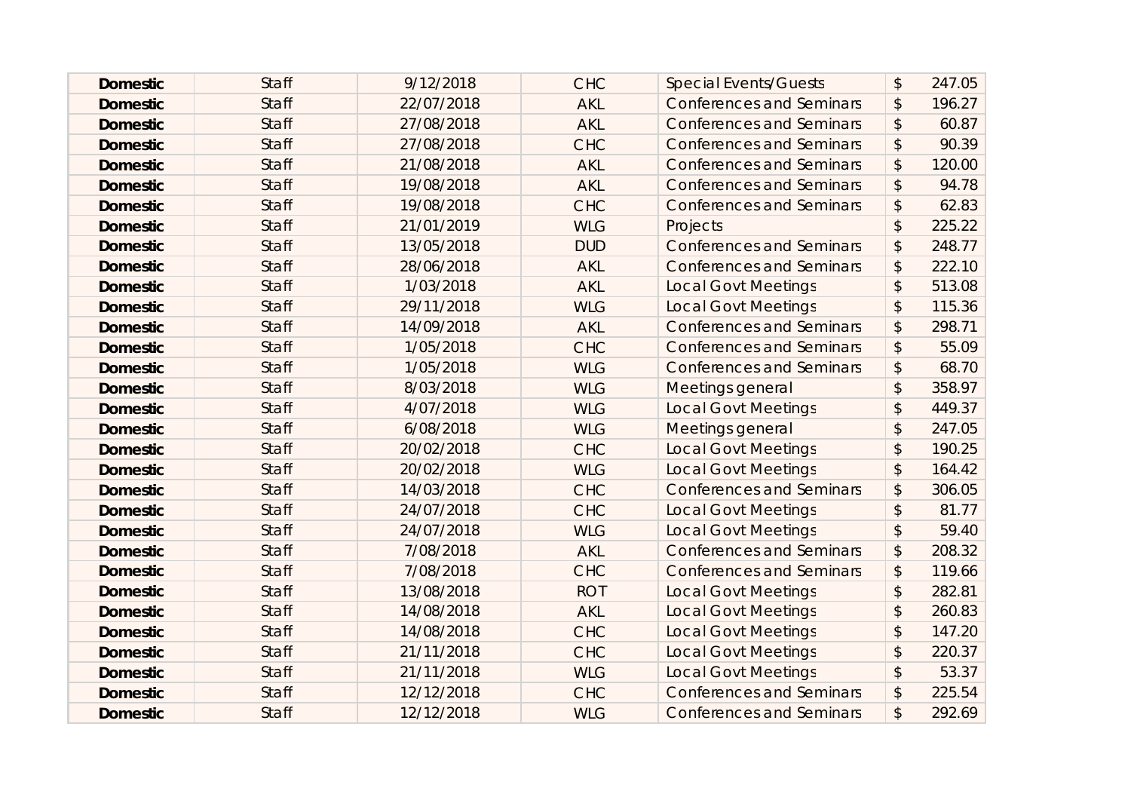| <b>Domestic</b> | <b>Staff</b> | 9/12/2018  | <b>CHC</b> | <b>Special Events/Guests</b>    | $\boldsymbol{\mathsf{S}}$ | 247.05 |
|-----------------|--------------|------------|------------|---------------------------------|---------------------------|--------|
| <b>Domestic</b> | <b>Staff</b> | 22/07/2018 | <b>AKL</b> | <b>Conferences and Seminars</b> | $\boldsymbol{\hat{z}}$    | 196.27 |
| <b>Domestic</b> | <b>Staff</b> | 27/08/2018 | <b>AKL</b> | <b>Conferences and Seminars</b> | \$                        | 60.87  |
| <b>Domestic</b> | <b>Staff</b> | 27/08/2018 | <b>CHC</b> | <b>Conferences and Seminars</b> | $\boldsymbol{\mathsf{S}}$ | 90.39  |
| <b>Domestic</b> | <b>Staff</b> | 21/08/2018 | <b>AKL</b> | <b>Conferences and Seminars</b> | $\boldsymbol{\mathsf{S}}$ | 120.00 |
| <b>Domestic</b> | <b>Staff</b> | 19/08/2018 | <b>AKL</b> | <b>Conferences and Seminars</b> | $\boldsymbol{\hat{z}}$    | 94.78  |
| <b>Domestic</b> | <b>Staff</b> | 19/08/2018 | <b>CHC</b> | <b>Conferences and Seminars</b> | \$                        | 62.83  |
| <b>Domestic</b> | <b>Staff</b> | 21/01/2019 | <b>WLG</b> | Projects                        | $\sqrt{2}$                | 225.22 |
| <b>Domestic</b> | <b>Staff</b> | 13/05/2018 | <b>DUD</b> | <b>Conferences and Seminars</b> | $\boldsymbol{\mathsf{S}}$ | 248.77 |
| <b>Domestic</b> | <b>Staff</b> | 28/06/2018 | <b>AKL</b> | <b>Conferences and Seminars</b> | \$                        | 222.10 |
| <b>Domestic</b> | <b>Staff</b> | 1/03/2018  | <b>AKL</b> | <b>Local Govt Meetings</b>      | $\boldsymbol{\mathsf{S}}$ | 513.08 |
| <b>Domestic</b> | <b>Staff</b> | 29/11/2018 | <b>WLG</b> | <b>Local Govt Meetings</b>      | $\boldsymbol{\mathsf{S}}$ | 115.36 |
| <b>Domestic</b> | <b>Staff</b> | 14/09/2018 | <b>AKL</b> | <b>Conferences and Seminars</b> | \$                        | 298.71 |
| <b>Domestic</b> | <b>Staff</b> | 1/05/2018  | <b>CHC</b> | <b>Conferences and Seminars</b> | $\boldsymbol{\mathsf{S}}$ | 55.09  |
| <b>Domestic</b> | <b>Staff</b> | 1/05/2018  | <b>WLG</b> | <b>Conferences and Seminars</b> | \$                        | 68.70  |
| <b>Domestic</b> | <b>Staff</b> | 8/03/2018  | <b>WLG</b> | Meetings general                | $\sqrt{2}$                | 358.97 |
| <b>Domestic</b> | <b>Staff</b> | 4/07/2018  | <b>WLG</b> | <b>Local Govt Meetings</b>      | \$                        | 449.37 |
| <b>Domestic</b> | <b>Staff</b> | 6/08/2018  | <b>WLG</b> | Meetings general                | $\mathfrak{D}$            | 247.05 |
| <b>Domestic</b> | <b>Staff</b> | 20/02/2018 | <b>CHC</b> | <b>Local Govt Meetings</b>      | \$                        | 190.25 |
| <b>Domestic</b> | <b>Staff</b> | 20/02/2018 | <b>WLG</b> | <b>Local Govt Meetings</b>      | $\frac{1}{2}$             | 164.42 |
| <b>Domestic</b> | <b>Staff</b> | 14/03/2018 | <b>CHC</b> | <b>Conferences and Seminars</b> | $\mathcal{L}$             | 306.05 |
| <b>Domestic</b> | <b>Staff</b> | 24/07/2018 | <b>CHC</b> | <b>Local Govt Meetings</b>      | $\boldsymbol{\mathsf{S}}$ | 81.77  |
| <b>Domestic</b> | <b>Staff</b> | 24/07/2018 | <b>WLG</b> | <b>Local Govt Meetings</b>      | $\sqrt{2}$                | 59.40  |
| <b>Domestic</b> | <b>Staff</b> | 7/08/2018  | <b>AKL</b> | <b>Conferences and Seminars</b> | $\boldsymbol{\mathsf{S}}$ | 208.32 |
| <b>Domestic</b> | <b>Staff</b> | 7/08/2018  | <b>CHC</b> | <b>Conferences and Seminars</b> | \$                        | 119.66 |
| <b>Domestic</b> | <b>Staff</b> | 13/08/2018 | <b>ROT</b> | <b>Local Govt Meetings</b>      | $\sqrt{2}$                | 282.81 |
| <b>Domestic</b> | <b>Staff</b> | 14/08/2018 | <b>AKL</b> | <b>Local Govt Meetings</b>      | $\mathfrak{D}$            | 260.83 |
| <b>Domestic</b> | <b>Staff</b> | 14/08/2018 | <b>CHC</b> | <b>Local Govt Meetings</b>      | $\frac{1}{2}$             | 147.20 |
| <b>Domestic</b> | <b>Staff</b> | 21/11/2018 | <b>CHC</b> | <b>Local Govt Meetings</b>      | $\sqrt{2}$                | 220.37 |
| <b>Domestic</b> | <b>Staff</b> | 21/11/2018 | <b>WLG</b> | <b>Local Govt Meetings</b>      | $\mathcal{L}$             | 53.37  |
| <b>Domestic</b> | <b>Staff</b> | 12/12/2018 | <b>CHC</b> | <b>Conferences and Seminars</b> | \$                        | 225.54 |
| <b>Domestic</b> | <b>Staff</b> | 12/12/2018 | <b>WLG</b> | <b>Conferences and Seminars</b> | $\mathbf{\hat{z}}$        | 292.69 |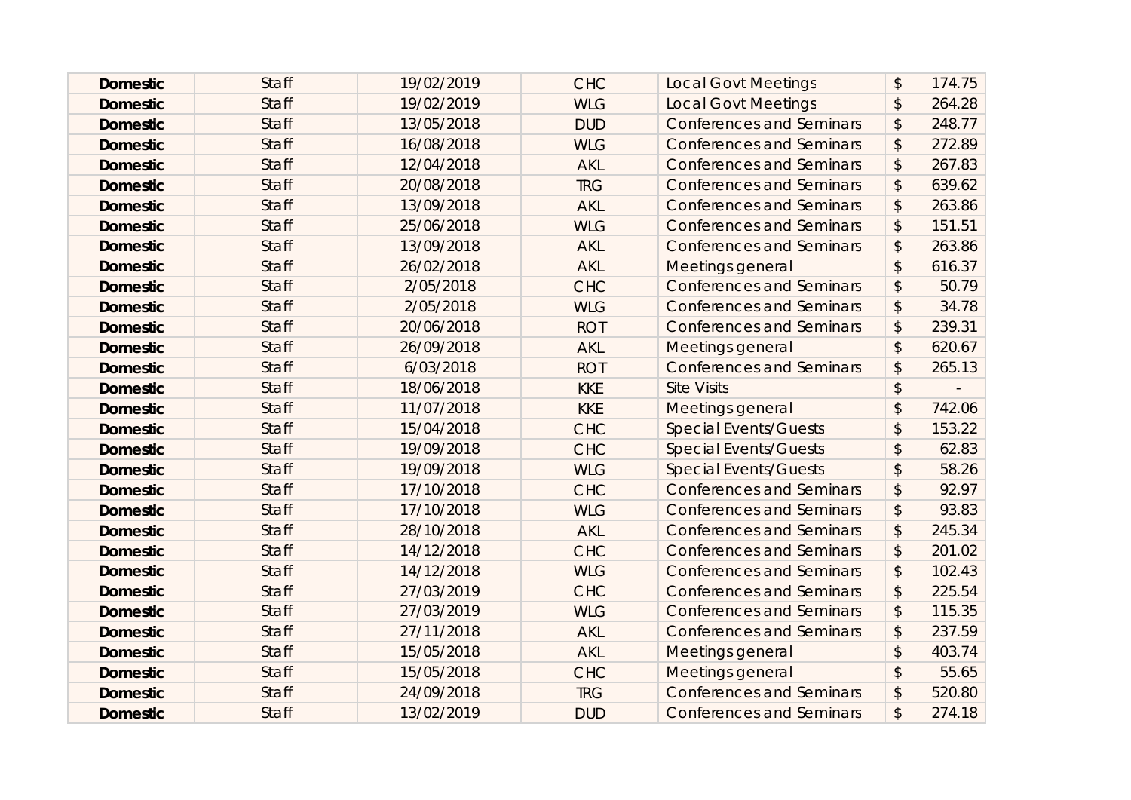| <b>Domestic</b> | <b>Staff</b> | 19/02/2019 | <b>CHC</b> | <b>Local Govt Meetings</b>      | $\boldsymbol{\mathsf{S}}$ | 174.75 |
|-----------------|--------------|------------|------------|---------------------------------|---------------------------|--------|
| <b>Domestic</b> | <b>Staff</b> | 19/02/2019 | <b>WLG</b> | <b>Local Govt Meetings</b>      | $\boldsymbol{\hat{z}}$    | 264.28 |
| <b>Domestic</b> | <b>Staff</b> | 13/05/2018 | <b>DUD</b> | <b>Conferences and Seminars</b> | $\boldsymbol{\hat{z}}$    | 248.77 |
| <b>Domestic</b> | <b>Staff</b> | 16/08/2018 | <b>WLG</b> | <b>Conferences and Seminars</b> | $\boldsymbol{\mathsf{S}}$ | 272.89 |
| <b>Domestic</b> | <b>Staff</b> | 12/04/2018 | <b>AKL</b> | <b>Conferences and Seminars</b> | $\boldsymbol{\mathsf{S}}$ | 267.83 |
| <b>Domestic</b> | <b>Staff</b> | 20/08/2018 | <b>TRG</b> | <b>Conferences and Seminars</b> | $\boldsymbol{\hat{z}}$    | 639.62 |
| <b>Domestic</b> | <b>Staff</b> | 13/09/2018 | <b>AKL</b> | <b>Conferences and Seminars</b> | \$                        | 263.86 |
| <b>Domestic</b> | <b>Staff</b> | 25/06/2018 | <b>WLG</b> | <b>Conferences and Seminars</b> | $\boldsymbol{\mathsf{S}}$ | 151.51 |
| <b>Domestic</b> | <b>Staff</b> | 13/09/2018 | <b>AKL</b> | <b>Conferences and Seminars</b> | \$                        | 263.86 |
| <b>Domestic</b> | <b>Staff</b> | 26/02/2018 | <b>AKL</b> | Meetings general                | $\boldsymbol{\mathsf{S}}$ | 616.37 |
| <b>Domestic</b> | <b>Staff</b> | 2/05/2018  | <b>CHC</b> | <b>Conferences and Seminars</b> | $\boldsymbol{\mathsf{S}}$ | 50.79  |
| <b>Domestic</b> | <b>Staff</b> | 2/05/2018  | <b>WLG</b> | <b>Conferences and Seminars</b> | \$                        | 34.78  |
| <b>Domestic</b> | <b>Staff</b> | 20/06/2018 | <b>ROT</b> | <b>Conferences and Seminars</b> | \$                        | 239.31 |
| <b>Domestic</b> | <b>Staff</b> | 26/09/2018 | <b>AKL</b> | Meetings general                | $\mathfrak{D}$            | 620.67 |
| <b>Domestic</b> | Staff        | 6/03/2018  | <b>ROT</b> | <b>Conferences and Seminars</b> | $\mathcal{L}$             | 265.13 |
| <b>Domestic</b> | <b>Staff</b> | 18/06/2018 | <b>KKE</b> | <b>Site Visits</b>              | $\boldsymbol{\mathsf{S}}$ |        |
| <b>Domestic</b> | <b>Staff</b> | 11/07/2018 | <b>KKE</b> | Meetings general                | $\mathsf{\$}$             | 742.06 |
| <b>Domestic</b> | <b>Staff</b> | 15/04/2018 | <b>CHC</b> | <b>Special Events/Guests</b>    | $\mathcal{L}$             | 153.22 |
| <b>Domestic</b> | <b>Staff</b> | 19/09/2018 | <b>CHC</b> | <b>Special Events/Guests</b>    | $\boldsymbol{\mathsf{S}}$ | 62.83  |
| <b>Domestic</b> | <b>Staff</b> | 19/09/2018 | <b>WLG</b> | <b>Special Events/Guests</b>    | $\sqrt{2}$                | 58.26  |
| <b>Domestic</b> | <b>Staff</b> | 17/10/2018 | <b>CHC</b> | <b>Conferences and Seminars</b> | $\boldsymbol{\mathsf{S}}$ | 92.97  |
| <b>Domestic</b> | <b>Staff</b> | 17/10/2018 | <b>WLG</b> | <b>Conferences and Seminars</b> | $\boldsymbol{\mathsf{S}}$ | 93.83  |
| <b>Domestic</b> | <b>Staff</b> | 28/10/2018 | <b>AKL</b> | <b>Conferences and Seminars</b> | $\frac{1}{2}$             | 245.34 |
| <b>Domestic</b> | <b>Staff</b> | 14/12/2018 | <b>CHC</b> | <b>Conferences and Seminars</b> | $\mathcal{L}$             | 201.02 |
| <b>Domestic</b> | <b>Staff</b> | 14/12/2018 | <b>WLG</b> | <b>Conferences and Seminars</b> | \$                        | 102.43 |
| <b>Domestic</b> | <b>Staff</b> | 27/03/2019 | <b>CHC</b> | <b>Conferences and Seminars</b> | $\frac{1}{2}$             | 225.54 |
| <b>Domestic</b> | <b>Staff</b> | 27/03/2019 | <b>WLG</b> | <b>Conferences and Seminars</b> | $\boldsymbol{\mathsf{S}}$ | 115.35 |
| <b>Domestic</b> | <b>Staff</b> | 27/11/2018 | <b>AKL</b> | <b>Conferences and Seminars</b> | \$                        | 237.59 |
| <b>Domestic</b> | <b>Staff</b> | 15/05/2018 | <b>AKL</b> | Meetings general                | $\mathsf{\$}$             | 403.74 |
| <b>Domestic</b> | <b>Staff</b> | 15/05/2018 | <b>CHC</b> | Meetings general                | $\mathcal{L}$             | 55.65  |
| <b>Domestic</b> | <b>Staff</b> | 24/09/2018 | <b>TRG</b> | <b>Conferences and Seminars</b> | \$                        | 520.80 |
| <b>Domestic</b> | <b>Staff</b> | 13/02/2019 | <b>DUD</b> | <b>Conferences and Seminars</b> | \$                        | 274.18 |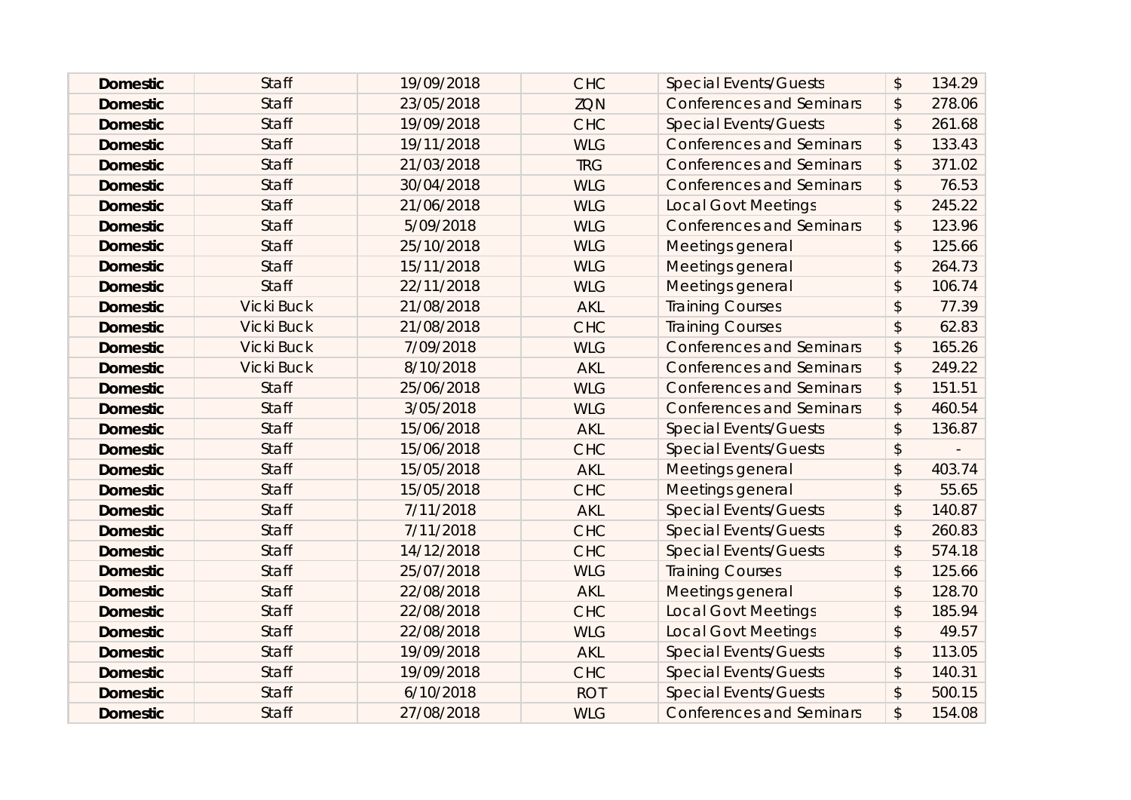| <b>Domestic</b> | <b>Staff</b>      | 19/09/2018 | <b>CHC</b> | <b>Special Events/Guests</b>    | $\boldsymbol{\mathsf{S}}$ | 134.29 |
|-----------------|-------------------|------------|------------|---------------------------------|---------------------------|--------|
| <b>Domestic</b> | <b>Staff</b>      | 23/05/2018 | <b>ZQN</b> | <b>Conferences and Seminars</b> | $\boldsymbol{\mathsf{S}}$ | 278.06 |
| <b>Domestic</b> | <b>Staff</b>      | 19/09/2018 | <b>CHC</b> | <b>Special Events/Guests</b>    | $\boldsymbol{\mathsf{S}}$ | 261.68 |
| <b>Domestic</b> | <b>Staff</b>      | 19/11/2018 | <b>WLG</b> | <b>Conferences and Seminars</b> | $\boldsymbol{\mathsf{S}}$ | 133.43 |
| <b>Domestic</b> | <b>Staff</b>      | 21/03/2018 | <b>TRG</b> | <b>Conferences and Seminars</b> | $\boldsymbol{\mathsf{S}}$ | 371.02 |
| <b>Domestic</b> | <b>Staff</b>      | 30/04/2018 | <b>WLG</b> | <b>Conferences and Seminars</b> | $\boldsymbol{\mathsf{S}}$ | 76.53  |
| <b>Domestic</b> | <b>Staff</b>      | 21/06/2018 | <b>WLG</b> | <b>Local Govt Meetings</b>      | \$                        | 245.22 |
| <b>Domestic</b> | <b>Staff</b>      | 5/09/2018  | <b>WLG</b> | <b>Conferences and Seminars</b> | $\boldsymbol{\mathsf{S}}$ | 123.96 |
| <b>Domestic</b> | <b>Staff</b>      | 25/10/2018 | <b>WLG</b> | Meetings general                | $\mathcal{L}$             | 125.66 |
| <b>Domestic</b> | <b>Staff</b>      | 15/11/2018 | <b>WLG</b> | Meetings general                | $\mathcal{L}$             | 264.73 |
| <b>Domestic</b> | <b>Staff</b>      | 22/11/2018 | <b>WLG</b> | Meetings general                | $\mathcal{L}$             | 106.74 |
| <b>Domestic</b> | <b>Vicki Buck</b> | 21/08/2018 | <b>AKL</b> | <b>Training Courses</b>         | $\mathcal{L}$             | 77.39  |
| <b>Domestic</b> | <b>Vicki Buck</b> | 21/08/2018 | <b>CHC</b> | <b>Training Courses</b>         | \$                        | 62.83  |
| <b>Domestic</b> | <b>Vicki Buck</b> | 7/09/2018  | <b>WLG</b> | <b>Conferences and Seminars</b> | $\boldsymbol{\mathsf{S}}$ | 165.26 |
| <b>Domestic</b> | <b>Vicki Buck</b> | 8/10/2018  | <b>AKL</b> | <b>Conferences and Seminars</b> | \$                        | 249.22 |
| <b>Domestic</b> | <b>Staff</b>      | 25/06/2018 | <b>WLG</b> | <b>Conferences and Seminars</b> | \$                        | 151.51 |
| <b>Domestic</b> | <b>Staff</b>      | 3/05/2018  | <b>WLG</b> | <b>Conferences and Seminars</b> | $\boldsymbol{\mathsf{S}}$ | 460.54 |
| <b>Domestic</b> | <b>Staff</b>      | 15/06/2018 | <b>AKL</b> | <b>Special Events/Guests</b>    | \$                        | 136.87 |
| <b>Domestic</b> | <b>Staff</b>      | 15/06/2018 | <b>CHC</b> | <b>Special Events/Guests</b>    | $\boldsymbol{\mathsf{S}}$ |        |
| <b>Domestic</b> | <b>Staff</b>      | 15/05/2018 | <b>AKL</b> | Meetings general                | $\boldsymbol{\mathsf{S}}$ | 403.74 |
| <b>Domestic</b> | <b>Staff</b>      | 15/05/2018 | <b>CHC</b> | Meetings general                | $\mathcal{L}$             | 55.65  |
| <b>Domestic</b> | <b>Staff</b>      | 7/11/2018  | <b>AKL</b> | <b>Special Events/Guests</b>    | $\boldsymbol{\mathsf{S}}$ | 140.87 |
| <b>Domestic</b> | <b>Staff</b>      | 7/11/2018  | <b>CHC</b> | <b>Special Events/Guests</b>    | $\sqrt{2}$                | 260.83 |
| <b>Domestic</b> | <b>Staff</b>      | 14/12/2018 | <b>CHC</b> | <b>Special Events/Guests</b>    | $\mathcal{L}$             | 574.18 |
| <b>Domestic</b> | <b>Staff</b>      | 25/07/2018 | <b>WLG</b> | <b>Training Courses</b>         | \$                        | 125.66 |
| <b>Domestic</b> | <b>Staff</b>      | 22/08/2018 | <b>AKL</b> | Meetings general                | $\sqrt{2}$                | 128.70 |
| <b>Domestic</b> | <b>Staff</b>      | 22/08/2018 | <b>CHC</b> | <b>Local Govt Meetings</b>      | $\boldsymbol{\mathsf{S}}$ | 185.94 |
| <b>Domestic</b> | <b>Staff</b>      | 22/08/2018 | <b>WLG</b> | <b>Local Govt Meetings</b>      | \$                        | 49.57  |
| <b>Domestic</b> | <b>Staff</b>      | 19/09/2018 | <b>AKL</b> | <b>Special Events/Guests</b>    | $\sqrt{2}$                | 113.05 |
| <b>Domestic</b> | <b>Staff</b>      | 19/09/2018 | <b>CHC</b> | <b>Special Events/Guests</b>    | $\mathcal{L}$             | 140.31 |
| <b>Domestic</b> | <b>Staff</b>      | 6/10/2018  | <b>ROT</b> | <b>Special Events/Guests</b>    | $\mathcal{L}$             | 500.15 |
| <b>Domestic</b> | <b>Staff</b>      | 27/08/2018 | <b>WLG</b> | <b>Conferences and Seminars</b> | $\mathbf{\hat{z}}$        | 154.08 |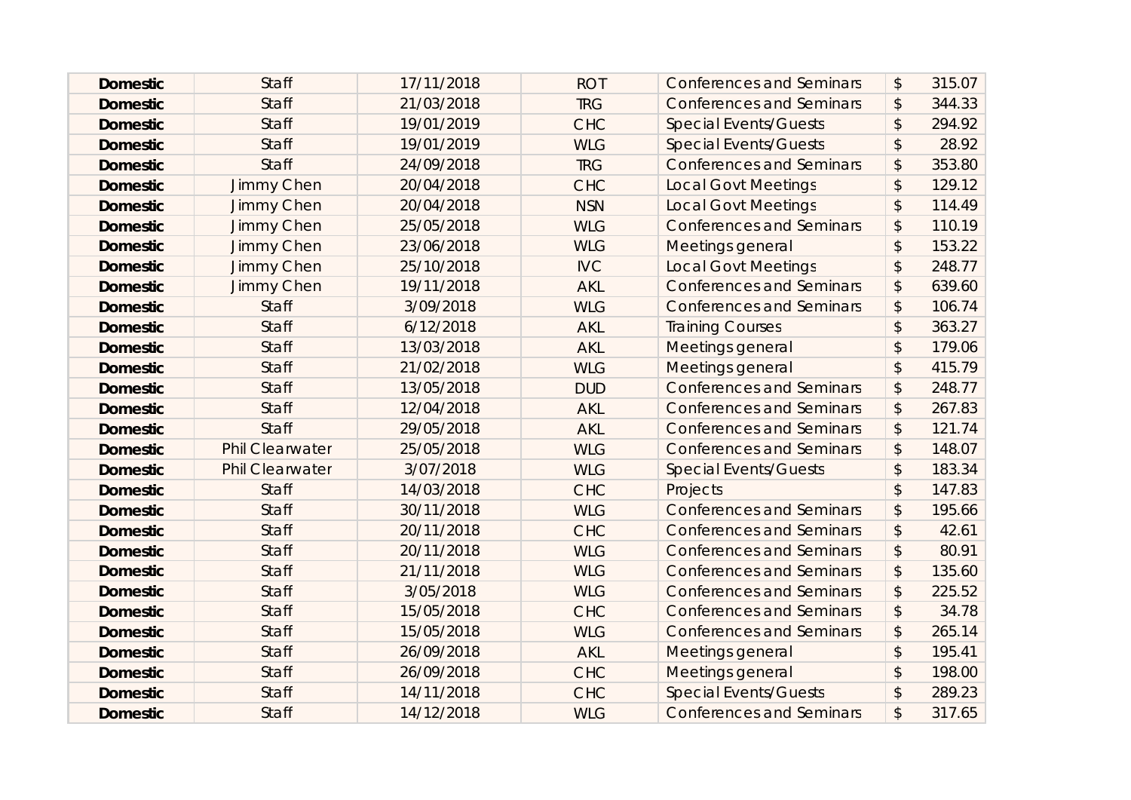| <b>Domestic</b> | <b>Staff</b>           | 17/11/2018 | <b>ROT</b> | <b>Conferences and Seminars</b> | \$                        | 315.07 |
|-----------------|------------------------|------------|------------|---------------------------------|---------------------------|--------|
| <b>Domestic</b> | <b>Staff</b>           | 21/03/2018 | <b>TRG</b> | <b>Conferences and Seminars</b> | \$                        | 344.33 |
| <b>Domestic</b> | <b>Staff</b>           | 19/01/2019 | <b>CHC</b> | <b>Special Events/Guests</b>    | \$                        | 294.92 |
| <b>Domestic</b> | <b>Staff</b>           | 19/01/2019 | <b>WLG</b> | <b>Special Events/Guests</b>    | \$                        | 28.92  |
| <b>Domestic</b> | <b>Staff</b>           | 24/09/2018 | <b>TRG</b> | <b>Conferences and Seminars</b> | \$                        | 353.80 |
| <b>Domestic</b> | Jimmy Chen             | 20/04/2018 | <b>CHC</b> | <b>Local Govt Meetings</b>      | \$                        | 129.12 |
| <b>Domestic</b> | Jimmy Chen             | 20/04/2018 | <b>NSN</b> | <b>Local Govt Meetings</b>      | $\mathfrak{D}$            | 114.49 |
| <b>Domestic</b> | Jimmy Chen             | 25/05/2018 | <b>WLG</b> | <b>Conferences and Seminars</b> | \$                        | 110.19 |
| <b>Domestic</b> | Jimmy Chen             | 23/06/2018 | <b>WLG</b> | Meetings general                | \$                        | 153.22 |
| <b>Domestic</b> | Jimmy Chen             | 25/10/2018 | <b>IVC</b> | <b>Local Govt Meetings</b>      | \$                        | 248.77 |
| <b>Domestic</b> | Jimmy Chen             | 19/11/2018 | <b>AKL</b> | <b>Conferences and Seminars</b> | \$                        | 639.60 |
| <b>Domestic</b> | <b>Staff</b>           | 3/09/2018  | <b>WLG</b> | <b>Conferences and Seminars</b> | \$                        | 106.74 |
| <b>Domestic</b> | <b>Staff</b>           | 6/12/2018  | <b>AKL</b> | <b>Training Courses</b>         | $\boldsymbol{\mathsf{S}}$ | 363.27 |
| <b>Domestic</b> | <b>Staff</b>           | 13/03/2018 | <b>AKL</b> | Meetings general                | $\boldsymbol{\mathsf{S}}$ | 179.06 |
| <b>Domestic</b> | Staff                  | 21/02/2018 | <b>WLG</b> | Meetings general                | $\boldsymbol{\mathsf{S}}$ | 415.79 |
| <b>Domestic</b> | <b>Staff</b>           | 13/05/2018 | <b>DUD</b> | <b>Conferences and Seminars</b> | \$                        | 248.77 |
| <b>Domestic</b> | <b>Staff</b>           | 12/04/2018 | <b>AKL</b> | <b>Conferences and Seminars</b> | \$                        | 267.83 |
| <b>Domestic</b> | <b>Staff</b>           | 29/05/2018 | <b>AKL</b> | <b>Conferences and Seminars</b> | \$                        | 121.74 |
| <b>Domestic</b> | <b>Phil Clearwater</b> | 25/05/2018 | <b>WLG</b> | <b>Conferences and Seminars</b> | \$                        | 148.07 |
| <b>Domestic</b> | <b>Phil Clearwater</b> | 3/07/2018  | <b>WLG</b> | <b>Special Events/Guests</b>    | \$                        | 183.34 |
| <b>Domestic</b> | <b>Staff</b>           | 14/03/2018 | <b>CHC</b> | Projects                        | $\mathfrak{D}$            | 147.83 |
| <b>Domestic</b> | <b>Staff</b>           | 30/11/2018 | <b>WLG</b> | <b>Conferences and Seminars</b> | \$                        | 195.66 |
| <b>Domestic</b> | <b>Staff</b>           | 20/11/2018 | <b>CHC</b> | <b>Conferences and Seminars</b> | \$                        | 42.61  |
| <b>Domestic</b> | <b>Staff</b>           | 20/11/2018 | <b>WLG</b> | <b>Conferences and Seminars</b> | $\boldsymbol{\mathsf{S}}$ | 80.91  |
| <b>Domestic</b> | <b>Staff</b>           | 21/11/2018 | <b>WLG</b> | <b>Conferences and Seminars</b> | \$                        | 135.60 |
| <b>Domestic</b> | <b>Staff</b>           | 3/05/2018  | <b>WLG</b> | <b>Conferences and Seminars</b> | \$                        | 225.52 |
| <b>Domestic</b> | <b>Staff</b>           | 15/05/2018 | <b>CHC</b> | <b>Conferences and Seminars</b> | \$                        | 34.78  |
| <b>Domestic</b> | <b>Staff</b>           | 15/05/2018 | <b>WLG</b> | <b>Conferences and Seminars</b> | \$                        | 265.14 |
| <b>Domestic</b> | <b>Staff</b>           | 26/09/2018 | <b>AKL</b> | Meetings general                | $\mathfrak{D}$            | 195.41 |
| <b>Domestic</b> | <b>Staff</b>           | 26/09/2018 | <b>CHC</b> | Meetings general                | $\mathfrak{L}$            | 198.00 |
| <b>Domestic</b> | <b>Staff</b>           | 14/11/2018 | <b>CHC</b> | <b>Special Events/Guests</b>    | \$                        | 289.23 |
| <b>Domestic</b> | <b>Staff</b>           | 14/12/2018 | <b>WLG</b> | <b>Conferences and Seminars</b> | $\mathfrak{D}$            | 317.65 |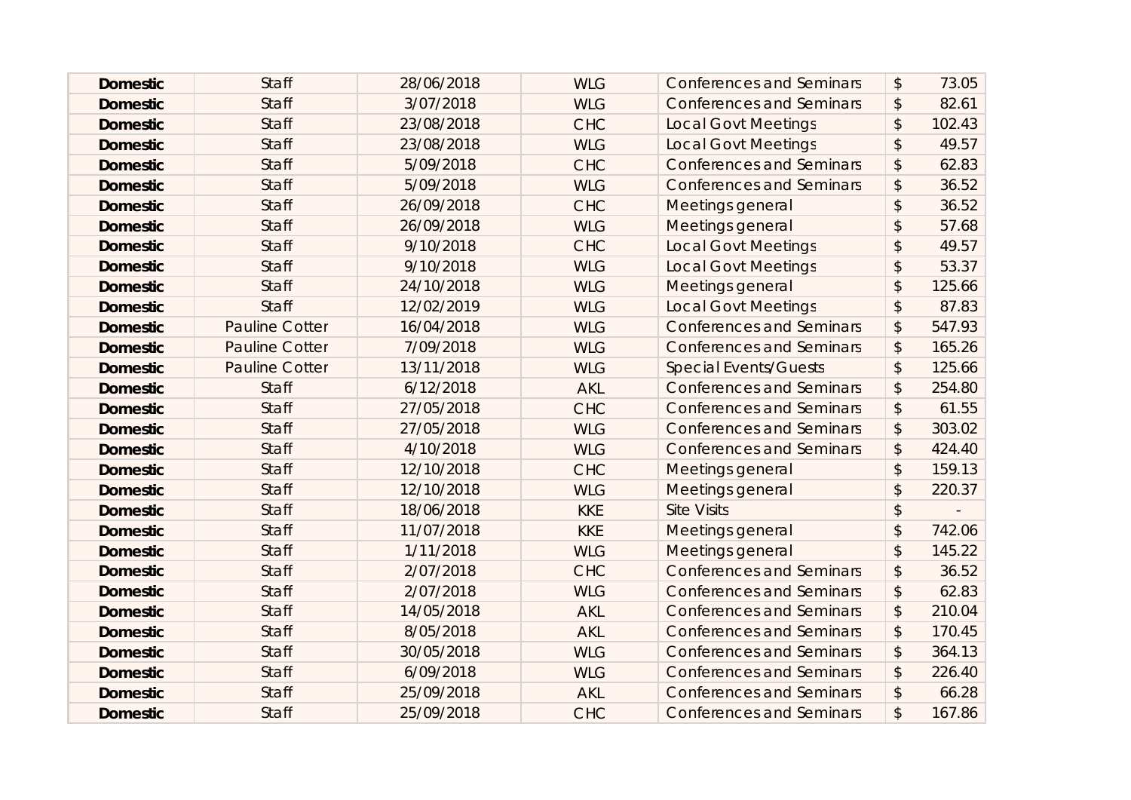| <b>Domestic</b> | <b>Staff</b>          | 28/06/2018 | <b>WLG</b> | <b>Conferences and Seminars</b> | $\boldsymbol{\mathsf{S}}$ | 73.05  |
|-----------------|-----------------------|------------|------------|---------------------------------|---------------------------|--------|
| <b>Domestic</b> | <b>Staff</b>          | 3/07/2018  | <b>WLG</b> | <b>Conferences and Seminars</b> | $\boldsymbol{\hat{z}}$    | 82.61  |
| <b>Domestic</b> | <b>Staff</b>          | 23/08/2018 | <b>CHC</b> | <b>Local Govt Meetings</b>      | $\boldsymbol{\mathsf{S}}$ | 102.43 |
| <b>Domestic</b> | <b>Staff</b>          | 23/08/2018 | <b>WLG</b> | <b>Local Govt Meetings</b>      | $\mathcal{L}$             | 49.57  |
| <b>Domestic</b> | <b>Staff</b>          | 5/09/2018  | <b>CHC</b> | <b>Conferences and Seminars</b> | $\boldsymbol{\hat{z}}$    | 62.83  |
| <b>Domestic</b> | <b>Staff</b>          | 5/09/2018  | <b>WLG</b> | <b>Conferences and Seminars</b> | $\boldsymbol{\hat{z}}$    | 36.52  |
| <b>Domestic</b> | <b>Staff</b>          | 26/09/2018 | <b>CHC</b> | Meetings general                | $\mathbf{\hat{z}}$        | 36.52  |
| <b>Domestic</b> | <b>Staff</b>          | 26/09/2018 | <b>WLG</b> | Meetings general                | $\mathfrak{D}$            | 57.68  |
| <b>Domestic</b> | <b>Staff</b>          | 9/10/2018  | <b>CHC</b> | <b>Local Govt Meetings</b>      | \$                        | 49.57  |
| <b>Domestic</b> | <b>Staff</b>          | 9/10/2018  | <b>WLG</b> | <b>Local Govt Meetings</b>      | $\frac{1}{2}$             | 53.37  |
| <b>Domestic</b> | <b>Staff</b>          | 24/10/2018 | <b>WLG</b> | Meetings general                | $\mathfrak{D}$            | 125.66 |
| <b>Domestic</b> | Staff                 | 12/02/2019 | <b>WLG</b> | <b>Local Govt Meetings</b>      | $\boldsymbol{\hat{z}}$    | 87.83  |
| <b>Domestic</b> | <b>Pauline Cotter</b> | 16/04/2018 | <b>WLG</b> | <b>Conferences and Seminars</b> | \$                        | 547.93 |
| <b>Domestic</b> | <b>Pauline Cotter</b> | 7/09/2018  | <b>WLG</b> | <b>Conferences and Seminars</b> | $\boldsymbol{\mathsf{S}}$ | 165.26 |
| <b>Domestic</b> | <b>Pauline Cotter</b> | 13/11/2018 | <b>WLG</b> | <b>Special Events/Guests</b>    | $\boldsymbol{\mathsf{S}}$ | 125.66 |
| <b>Domestic</b> | <b>Staff</b>          | 6/12/2018  | <b>AKL</b> | <b>Conferences and Seminars</b> | $\boldsymbol{\mathsf{S}}$ | 254.80 |
| <b>Domestic</b> | <b>Staff</b>          | 27/05/2018 | <b>CHC</b> | <b>Conferences and Seminars</b> | $\frac{1}{2}$             | 61.55  |
| <b>Domestic</b> | <b>Staff</b>          | 27/05/2018 | <b>WLG</b> | <b>Conferences and Seminars</b> | $\mathcal{L}$             | 303.02 |
| <b>Domestic</b> | <b>Staff</b>          | 4/10/2018  | <b>WLG</b> | <b>Conferences and Seminars</b> | \$                        | 424.40 |
| <b>Domestic</b> | <b>Staff</b>          | 12/10/2018 | <b>CHC</b> | Meetings general                | $\sqrt{2}$                | 159.13 |
| <b>Domestic</b> | <b>Staff</b>          | 12/10/2018 | <b>WLG</b> | Meetings general                | $\boldsymbol{\mathsf{S}}$ | 220.37 |
| <b>Domestic</b> | <b>Staff</b>          | 18/06/2018 | <b>KKE</b> | <b>Site Visits</b>              | $\frac{1}{2}$             |        |
| <b>Domestic</b> | <b>Staff</b>          | 11/07/2018 | <b>KKE</b> | Meetings general                | $\mathbf{\hat{z}}$        | 742.06 |
| <b>Domestic</b> | <b>Staff</b>          | 1/11/2018  | <b>WLG</b> | Meetings general                | $\mathcal{L}$             | 145.22 |
| <b>Domestic</b> | <b>Staff</b>          | 2/07/2018  | <b>CHC</b> | <b>Conferences and Seminars</b> | \$                        | 36.52  |
| <b>Domestic</b> | <b>Staff</b>          | 2/07/2018  | <b>WLG</b> | <b>Conferences and Seminars</b> | $\frac{1}{2}$             | 62.83  |
| <b>Domestic</b> | <b>Staff</b>          | 14/05/2018 | <b>AKL</b> | <b>Conferences and Seminars</b> | $\boldsymbol{\mathsf{S}}$ | 210.04 |
| <b>Domestic</b> | <b>Staff</b>          | 8/05/2018  | <b>AKL</b> | <b>Conferences and Seminars</b> | $\frac{1}{2}$             | 170.45 |
| <b>Domestic</b> | <b>Staff</b>          | 30/05/2018 | <b>WLG</b> | <b>Conferences and Seminars</b> | $\boldsymbol{\mathsf{S}}$ | 364.13 |
| <b>Domestic</b> | <b>Staff</b>          | 6/09/2018  | <b>WLG</b> | <b>Conferences and Seminars</b> | $\mathcal{L}$             | 226.40 |
| <b>Domestic</b> | <b>Staff</b>          | 25/09/2018 | <b>AKL</b> | <b>Conferences and Seminars</b> | $\mathcal{L}$             | 66.28  |
| <b>Domestic</b> | <b>Staff</b>          | 25/09/2018 | <b>CHC</b> | <b>Conferences and Seminars</b> | \$                        | 167.86 |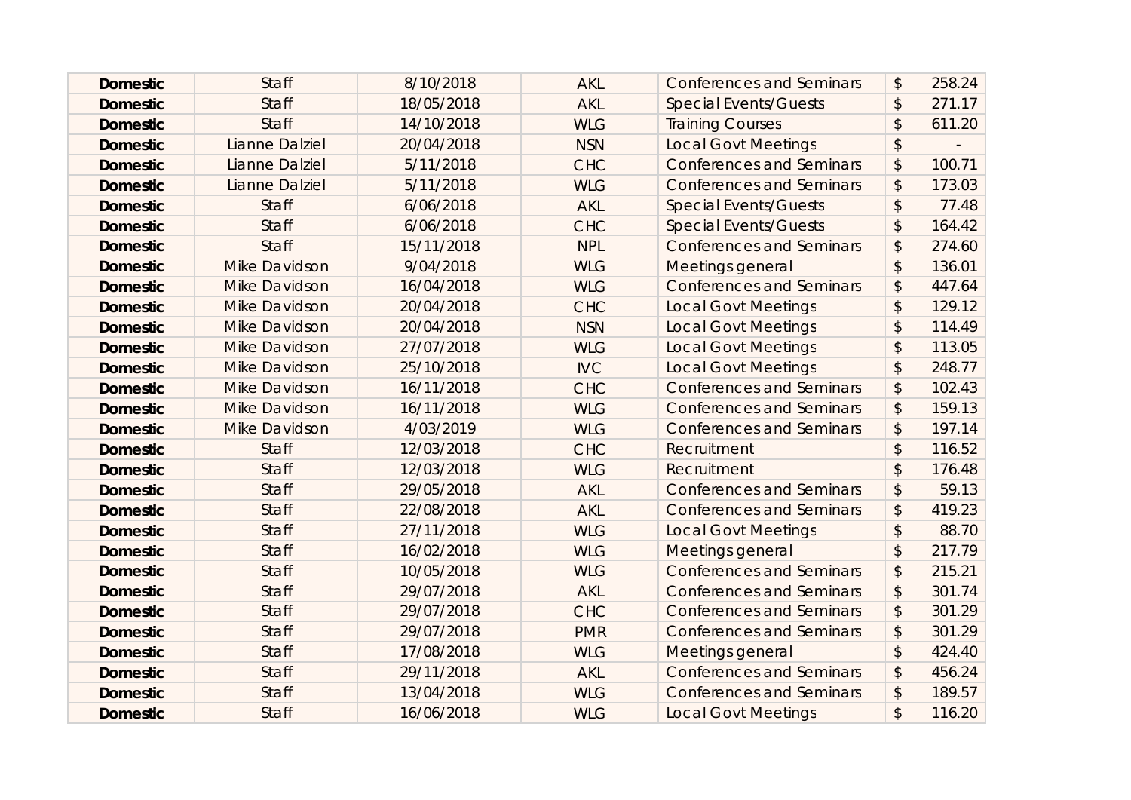| <b>Domestic</b> | <b>Staff</b>         | 8/10/2018  | <b>AKL</b> | <b>Conferences and Seminars</b> | \$                         | 258.24 |
|-----------------|----------------------|------------|------------|---------------------------------|----------------------------|--------|
| <b>Domestic</b> | <b>Staff</b>         | 18/05/2018 | <b>AKL</b> | <b>Special Events/Guests</b>    | \$                         | 271.17 |
| <b>Domestic</b> | <b>Staff</b>         | 14/10/2018 | <b>WLG</b> | <b>Training Courses</b>         | \$                         | 611.20 |
| <b>Domestic</b> | Lianne Dalziel       | 20/04/2018 | <b>NSN</b> | <b>Local Govt Meetings</b>      | \$                         |        |
| <b>Domestic</b> | Lianne Dalziel       | 5/11/2018  | <b>CHC</b> | <b>Conferences and Seminars</b> | \$                         | 100.71 |
| <b>Domestic</b> | Lianne Dalziel       | 5/11/2018  | <b>WLG</b> | <b>Conferences and Seminars</b> | \$                         | 173.03 |
| <b>Domestic</b> | <b>Staff</b>         | 6/06/2018  | <b>AKL</b> | <b>Special Events/Guests</b>    | $\mathfrak{D}$             | 77.48  |
| <b>Domestic</b> | <b>Staff</b>         | 6/06/2018  | <b>CHC</b> | <b>Special Events/Guests</b>    | \$                         | 164.42 |
| <b>Domestic</b> | <b>Staff</b>         | 15/11/2018 | <b>NPL</b> | <b>Conferences and Seminars</b> | \$                         | 274.60 |
| <b>Domestic</b> | <b>Mike Davidson</b> | 9/04/2018  | <b>WLG</b> | Meetings general                | \$                         | 136.01 |
| <b>Domestic</b> | <b>Mike Davidson</b> | 16/04/2018 | <b>WLG</b> | <b>Conferences and Seminars</b> | \$                         | 447.64 |
| <b>Domestic</b> | <b>Mike Davidson</b> | 20/04/2018 | <b>CHC</b> | <b>Local Govt Meetings</b>      | \$                         | 129.12 |
| <b>Domestic</b> | <b>Mike Davidson</b> | 20/04/2018 | <b>NSN</b> | <b>Local Govt Meetings</b>      | \$                         | 114.49 |
| <b>Domestic</b> | <b>Mike Davidson</b> | 27/07/2018 | <b>WLG</b> | <b>Local Govt Meetings</b>      | $\boldsymbol{\mathsf{S}}$  | 113.05 |
| <b>Domestic</b> | <b>Mike Davidson</b> | 25/10/2018 | <b>IVC</b> | <b>Local Govt Meetings</b>      | \$                         | 248.77 |
| <b>Domestic</b> | <b>Mike Davidson</b> | 16/11/2018 | <b>CHC</b> | <b>Conferences and Seminars</b> | \$                         | 102.43 |
| <b>Domestic</b> | Mike Davidson        | 16/11/2018 | <b>WLG</b> | <b>Conferences and Seminars</b> | \$                         | 159.13 |
| <b>Domestic</b> | <b>Mike Davidson</b> | 4/03/2019  | <b>WLG</b> | <b>Conferences and Seminars</b> | $\boldsymbol{\mathsf{S}}$  | 197.14 |
| <b>Domestic</b> | <b>Staff</b>         | 12/03/2018 | <b>CHC</b> | Recruitment                     | $\boldsymbol{\mathsf{S}}$  | 116.52 |
| <b>Domestic</b> | <b>Staff</b>         | 12/03/2018 | <b>WLG</b> | Recruitment                     | $\mathcal{L}$              | 176.48 |
| <b>Domestic</b> | <b>Staff</b>         | 29/05/2018 | <b>AKL</b> | <b>Conferences and Seminars</b> | \$                         | 59.13  |
| <b>Domestic</b> | <b>Staff</b>         | 22/08/2018 | <b>AKL</b> | <b>Conferences and Seminars</b> | \$                         | 419.23 |
| <b>Domestic</b> | <b>Staff</b>         | 27/11/2018 | <b>WLG</b> | <b>Local Govt Meetings</b>      | $\boldsymbol{\hat{\zeta}}$ | 88.70  |
| <b>Domestic</b> | <b>Staff</b>         | 16/02/2018 | <b>WLG</b> | Meetings general                | $\mathfrak{D}$             | 217.79 |
| <b>Domestic</b> | <b>Staff</b>         | 10/05/2018 | <b>WLG</b> | <b>Conferences and Seminars</b> | \$                         | 215.21 |
| <b>Domestic</b> | <b>Staff</b>         | 29/07/2018 | <b>AKL</b> | <b>Conferences and Seminars</b> | \$                         | 301.74 |
| <b>Domestic</b> | <b>Staff</b>         | 29/07/2018 | <b>CHC</b> | <b>Conferences and Seminars</b> | \$                         | 301.29 |
| <b>Domestic</b> | <b>Staff</b>         | 29/07/2018 | <b>PMR</b> | <b>Conferences and Seminars</b> | \$                         | 301.29 |
| <b>Domestic</b> | <b>Staff</b>         | 17/08/2018 | <b>WLG</b> | Meetings general                | $\sqrt{2}$                 | 424.40 |
| <b>Domestic</b> | <b>Staff</b>         | 29/11/2018 | <b>AKL</b> | <b>Conferences and Seminars</b> | \$                         | 456.24 |
| <b>Domestic</b> | <b>Staff</b>         | 13/04/2018 | <b>WLG</b> | <b>Conferences and Seminars</b> | $\boldsymbol{\mathsf{S}}$  | 189.57 |
| <b>Domestic</b> | <b>Staff</b>         | 16/06/2018 | <b>WLG</b> | <b>Local Govt Meetings</b>      | $\mathfrak{D}$             | 116.20 |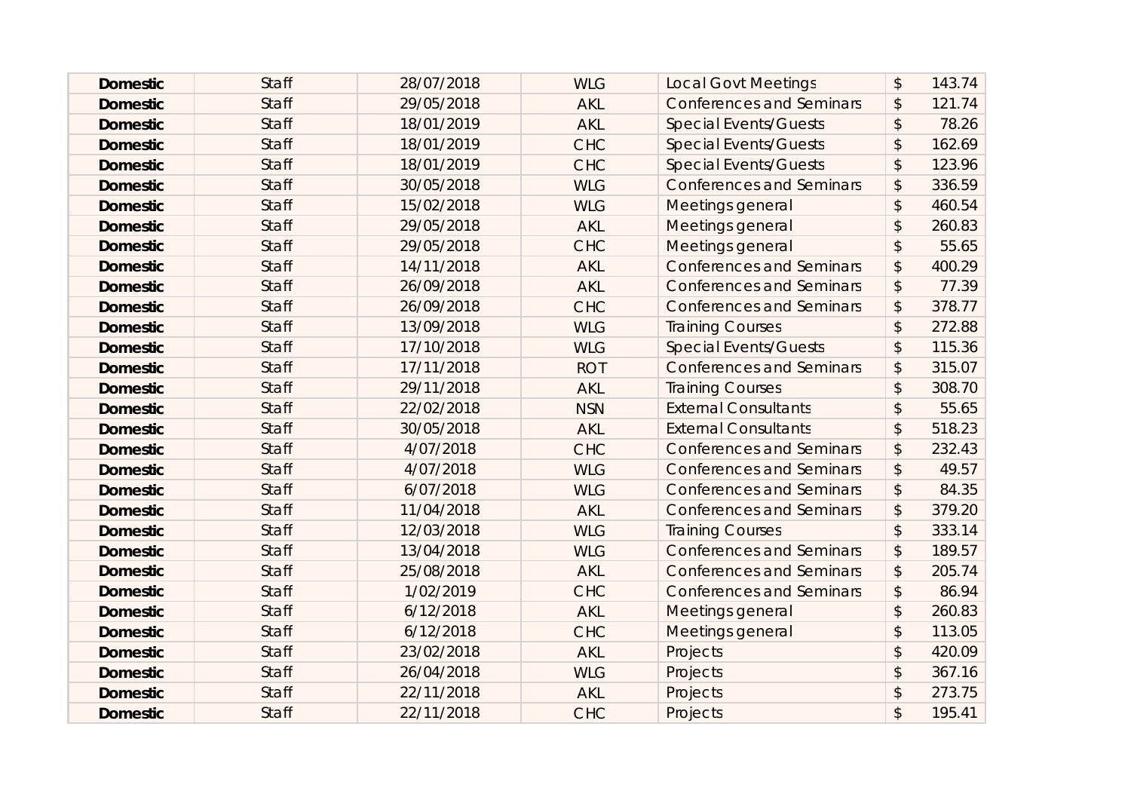| <b>Domestic</b> | <b>Staff</b> | 28/07/2018 | <b>WLG</b> | <b>Local Govt Meetings</b>      | $\boldsymbol{\mathsf{S}}$ | 143.74 |
|-----------------|--------------|------------|------------|---------------------------------|---------------------------|--------|
| <b>Domestic</b> | <b>Staff</b> | 29/05/2018 | <b>AKL</b> | <b>Conferences and Seminars</b> | \$                        | 121.74 |
| <b>Domestic</b> | <b>Staff</b> | 18/01/2019 | <b>AKL</b> | <b>Special Events/Guests</b>    | $\boldsymbol{\mathsf{S}}$ | 78.26  |
| <b>Domestic</b> | <b>Staff</b> | 18/01/2019 | <b>CHC</b> | <b>Special Events/Guests</b>    | $\boldsymbol{\mathsf{S}}$ | 162.69 |
| <b>Domestic</b> | <b>Staff</b> | 18/01/2019 | <b>CHC</b> | <b>Special Events/Guests</b>    | $\mathcal{L}$             | 123.96 |
| <b>Domestic</b> | <b>Staff</b> | 30/05/2018 | <b>WLG</b> | <b>Conferences and Seminars</b> | $\boldsymbol{\mathsf{S}}$ | 336.59 |
| <b>Domestic</b> | <b>Staff</b> | 15/02/2018 | <b>WLG</b> | Meetings general                | $\mathcal{L}$             | 460.54 |
| <b>Domestic</b> | <b>Staff</b> | 29/05/2018 | <b>AKL</b> | Meetings general                | $\mathcal{L}$             | 260.83 |
| <b>Domestic</b> | <b>Staff</b> | 29/05/2018 | <b>CHC</b> | Meetings general                | $\mathsf{\$}$             | 55.65  |
| <b>Domestic</b> | <b>Staff</b> | 14/11/2018 | <b>AKL</b> | <b>Conferences and Seminars</b> | $\frac{1}{2}$             | 400.29 |
| <b>Domestic</b> | <b>Staff</b> | 26/09/2018 | <b>AKL</b> | <b>Conferences and Seminars</b> | $\boldsymbol{\mathsf{S}}$ | 77.39  |
| <b>Domestic</b> | <b>Staff</b> | 26/09/2018 | <b>CHC</b> | <b>Conferences and Seminars</b> | $\boldsymbol{\mathsf{S}}$ | 378.77 |
| <b>Domestic</b> | <b>Staff</b> | 13/09/2018 | <b>WLG</b> | <b>Training Courses</b>         | $\mathcal{L}$             | 272.88 |
| <b>Domestic</b> | <b>Staff</b> | 17/10/2018 | <b>WLG</b> | <b>Special Events/Guests</b>    | $\boldsymbol{\mathsf{S}}$ | 115.36 |
| <b>Domestic</b> | <b>Staff</b> | 17/11/2018 | <b>ROT</b> | <b>Conferences and Seminars</b> | \$                        | 315.07 |
| <b>Domestic</b> | <b>Staff</b> | 29/11/2018 | <b>AKL</b> | <b>Training Courses</b>         | $\mathcal{L}$             | 308.70 |
| <b>Domestic</b> | <b>Staff</b> | 22/02/2018 | <b>NSN</b> | <b>External Consultants</b>     | $\mathcal{L}$             | 55.65  |
| <b>Domestic</b> | <b>Staff</b> | 30/05/2018 | <b>AKL</b> | <b>External Consultants</b>     | $\mathcal{L}$             | 518.23 |
| <b>Domestic</b> | <b>Staff</b> | 4/07/2018  | <b>CHC</b> | <b>Conferences and Seminars</b> | \$                        | 232.43 |
| <b>Domestic</b> | <b>Staff</b> | 4/07/2018  | <b>WLG</b> | <b>Conferences and Seminars</b> | $\boldsymbol{\mathsf{S}}$ | 49.57  |
| <b>Domestic</b> | <b>Staff</b> | 6/07/2018  | <b>WLG</b> | <b>Conferences and Seminars</b> | $\boldsymbol{\mathsf{S}}$ | 84.35  |
| <b>Domestic</b> | <b>Staff</b> | 11/04/2018 | <b>AKL</b> | <b>Conferences and Seminars</b> | \$                        | 379.20 |
| <b>Domestic</b> | <b>Staff</b> | 12/03/2018 | <b>WLG</b> | <b>Training Courses</b>         | $\sqrt{2}$                | 333.14 |
| <b>Domestic</b> | <b>Staff</b> | 13/04/2018 | <b>WLG</b> | <b>Conferences and Seminars</b> | $\boldsymbol{\mathsf{S}}$ | 189.57 |
| <b>Domestic</b> | <b>Staff</b> | 25/08/2018 | <b>AKL</b> | <b>Conferences and Seminars</b> | \$                        | 205.74 |
| <b>Domestic</b> | <b>Staff</b> | 1/02/2019  | <b>CHC</b> | <b>Conferences and Seminars</b> | \$                        | 86.94  |
| <b>Domestic</b> | <b>Staff</b> | 6/12/2018  | <b>AKL</b> | Meetings general                | $\mathcal{L}$             | 260.83 |
| <b>Domestic</b> | <b>Staff</b> | 6/12/2018  | <b>CHC</b> | Meetings general                | $\mathsf{\$}$             | 113.05 |
| <b>Domestic</b> | <b>Staff</b> | 23/02/2018 | <b>AKL</b> | Projects                        | $\mathsf{\$}$             | 420.09 |
| <b>Domestic</b> | <b>Staff</b> | 26/04/2018 | <b>WLG</b> | Projects                        | $\mathcal{L}$             | 367.16 |
| <b>Domestic</b> | <b>Staff</b> | 22/11/2018 | <b>AKL</b> | Projects                        | \$                        | 273.75 |
| <b>Domestic</b> | <b>Staff</b> | 22/11/2018 | <b>CHC</b> | Projects                        | $\mathbf{\hat{z}}$        | 195.41 |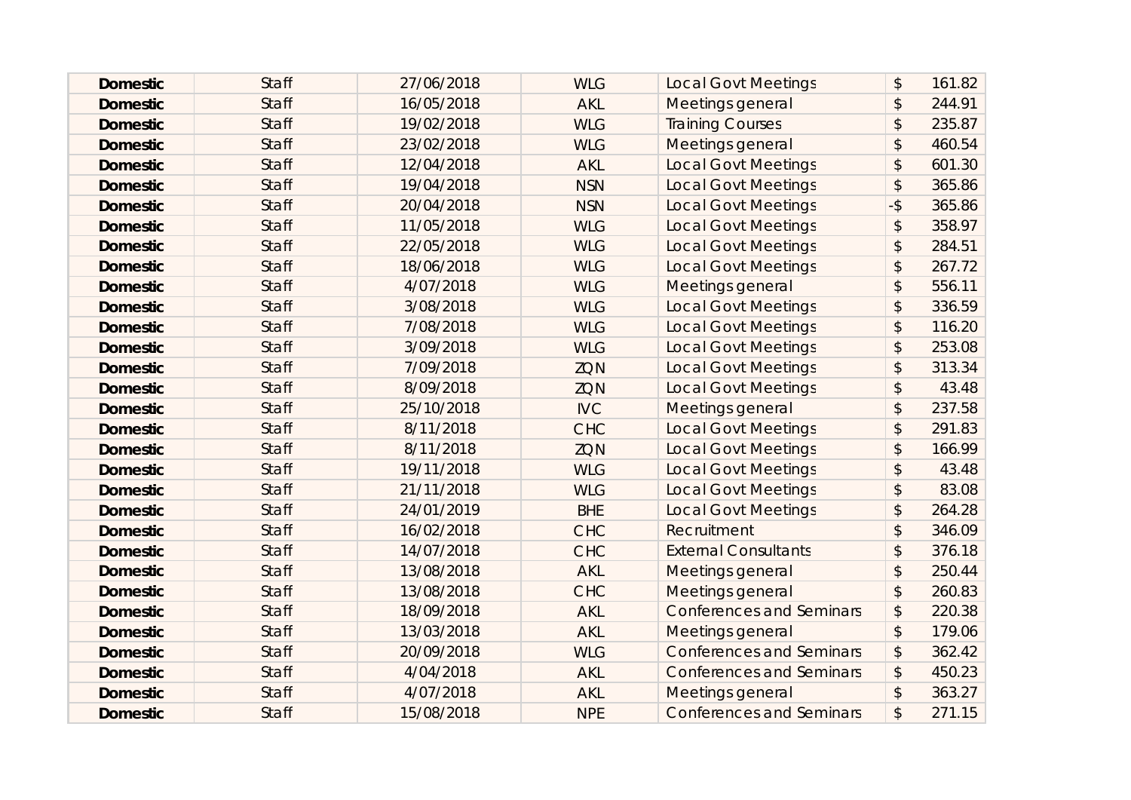| <b>Domestic</b> | <b>Staff</b> | 27/06/2018 | <b>WLG</b> | <b>Local Govt Meetings</b>      | $\boldsymbol{\hat{z}}$    | 161.82 |
|-----------------|--------------|------------|------------|---------------------------------|---------------------------|--------|
| <b>Domestic</b> | <b>Staff</b> | 16/05/2018 | <b>AKL</b> | Meetings general                | \$                        | 244.91 |
| <b>Domestic</b> | <b>Staff</b> | 19/02/2018 | <b>WLG</b> | <b>Training Courses</b>         | \$                        | 235.87 |
| <b>Domestic</b> | <b>Staff</b> | 23/02/2018 | <b>WLG</b> | Meetings general                | $\mathfrak{D}$            | 460.54 |
| <b>Domestic</b> | <b>Staff</b> | 12/04/2018 | <b>AKL</b> | <b>Local Govt Meetings</b>      | $\mathfrak{D}$            | 601.30 |
| <b>Domestic</b> | <b>Staff</b> | 19/04/2018 | <b>NSN</b> | <b>Local Govt Meetings</b>      | $\mathcal{L}$             | 365.86 |
| <b>Domestic</b> | <b>Staff</b> | 20/04/2018 | <b>NSN</b> | <b>Local Govt Meetings</b>      | $-5$                      | 365.86 |
| <b>Domestic</b> | <b>Staff</b> | 11/05/2018 | <b>WLG</b> | <b>Local Govt Meetings</b>      | $\mathfrak{D}$            | 358.97 |
| <b>Domestic</b> | <b>Staff</b> | 22/05/2018 | <b>WLG</b> | <b>Local Govt Meetings</b>      | $\boldsymbol{\hat{z}}$    | 284.51 |
| <b>Domestic</b> | <b>Staff</b> | 18/06/2018 | <b>WLG</b> | <b>Local Govt Meetings</b>      | \$                        | 267.72 |
| <b>Domestic</b> | <b>Staff</b> | 4/07/2018  | <b>WLG</b> | Meetings general                | $\mathcal{L}$             | 556.11 |
| <b>Domestic</b> | <b>Staff</b> | 3/08/2018  | <b>WLG</b> | <b>Local Govt Meetings</b>      | $\mathcal{L}$             | 336.59 |
| <b>Domestic</b> | <b>Staff</b> | 7/08/2018  | <b>WLG</b> | <b>Local Govt Meetings</b>      | \$                        | 116.20 |
| <b>Domestic</b> | <b>Staff</b> | 3/09/2018  | <b>WLG</b> | <b>Local Govt Meetings</b>      | $\boldsymbol{\mathsf{S}}$ | 253.08 |
| <b>Domestic</b> | <b>Staff</b> | 7/09/2018  | ZQN        | <b>Local Govt Meetings</b>      | $\boldsymbol{\mathsf{S}}$ | 313.34 |
| <b>Domestic</b> | <b>Staff</b> | 8/09/2018  | <b>ZQN</b> | <b>Local Govt Meetings</b>      | \$                        | 43.48  |
| <b>Domestic</b> | <b>Staff</b> | 25/10/2018 | <b>IVC</b> | Meetings general                | $\mathfrak{D}$            | 237.58 |
| <b>Domestic</b> | <b>Staff</b> | 8/11/2018  | <b>CHC</b> | <b>Local Govt Meetings</b>      | $\mathcal{L}$             | 291.83 |
| <b>Domestic</b> | <b>Staff</b> | 8/11/2018  | <b>ZQN</b> | <b>Local Govt Meetings</b>      | \$                        | 166.99 |
| <b>Domestic</b> | <b>Staff</b> | 19/11/2018 | <b>WLG</b> | <b>Local Govt Meetings</b>      | $\sqrt{2}$                | 43.48  |
| <b>Domestic</b> | <b>Staff</b> | 21/11/2018 | <b>WLG</b> | <b>Local Govt Meetings</b>      | $\boldsymbol{\mathsf{S}}$ | 83.08  |
| <b>Domestic</b> | <b>Staff</b> | 24/01/2019 | <b>BHE</b> | <b>Local Govt Meetings</b>      | \$                        | 264.28 |
| <b>Domestic</b> | <b>Staff</b> | 16/02/2018 | <b>CHC</b> | Recruitment                     | $\mathsf{\$}$             | 346.09 |
| <b>Domestic</b> | <b>Staff</b> | 14/07/2018 | <b>CHC</b> | <b>External Consultants</b>     | $\mathcal{L}$             | 376.18 |
| <b>Domestic</b> | <b>Staff</b> | 13/08/2018 | <b>AKL</b> | Meetings general                | \$                        | 250.44 |
| <b>Domestic</b> | <b>Staff</b> | 13/08/2018 | <b>CHC</b> | Meetings general                | $\sqrt{2}$                | 260.83 |
| <b>Domestic</b> | <b>Staff</b> | 18/09/2018 | <b>AKL</b> | <b>Conferences and Seminars</b> | \$                        | 220.38 |
| <b>Domestic</b> | <b>Staff</b> | 13/03/2018 | <b>AKL</b> | Meetings general                | $\frac{1}{2}$             | 179.06 |
| <b>Domestic</b> | <b>Staff</b> | 20/09/2018 | <b>WLG</b> | <b>Conferences and Seminars</b> | \$                        | 362.42 |
| <b>Domestic</b> | <b>Staff</b> | 4/04/2018  | <b>AKL</b> | <b>Conferences and Seminars</b> | $\mathcal{L}$             | 450.23 |
| <b>Domestic</b> | <b>Staff</b> | 4/07/2018  | <b>AKL</b> | Meetings general                | $\mathcal{L}$             | 363.27 |
| <b>Domestic</b> | <b>Staff</b> | 15/08/2018 | <b>NPE</b> | <b>Conferences and Seminars</b> | \$                        | 271.15 |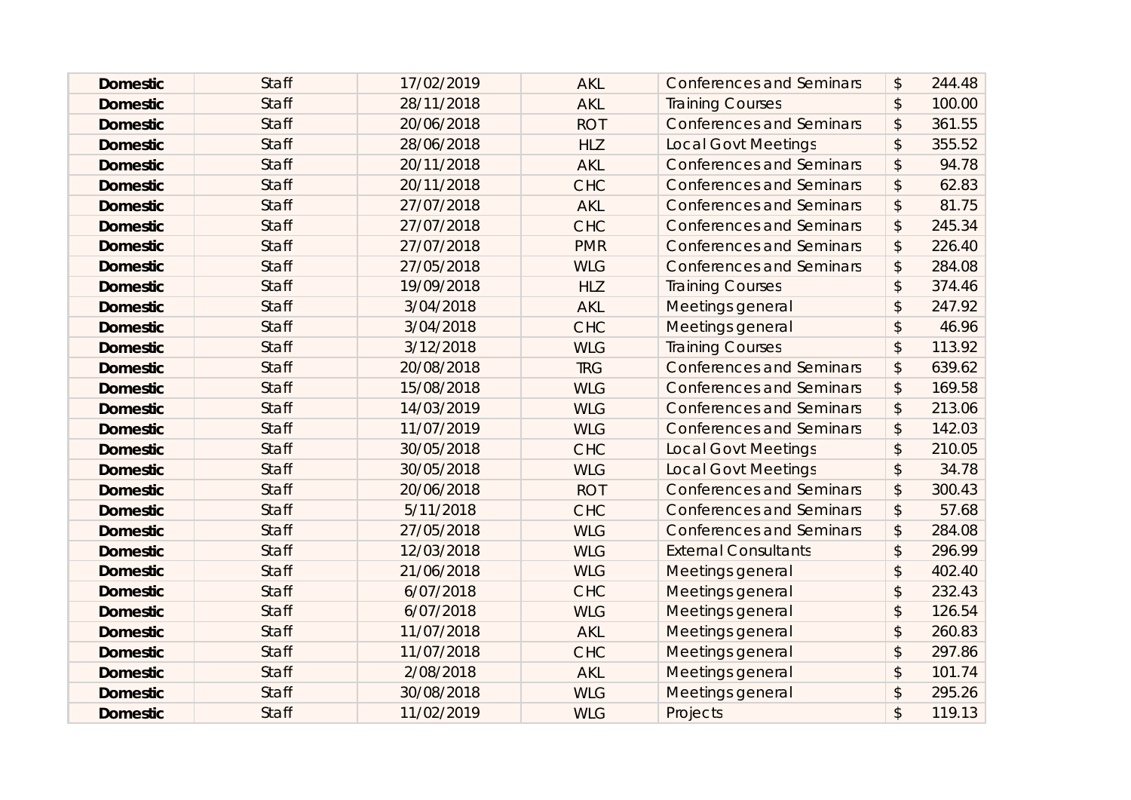| <b>Domestic</b> | <b>Staff</b> | 17/02/2019 | <b>AKL</b> | <b>Conferences and Seminars</b> | $\boldsymbol{\mathsf{S}}$ | 244.48 |
|-----------------|--------------|------------|------------|---------------------------------|---------------------------|--------|
| <b>Domestic</b> | <b>Staff</b> | 28/11/2018 | <b>AKL</b> | <b>Training Courses</b>         | $\boldsymbol{\hat{z}}$    | 100.00 |
| <b>Domestic</b> | <b>Staff</b> | 20/06/2018 | <b>ROT</b> | <b>Conferences and Seminars</b> | \$                        | 361.55 |
| <b>Domestic</b> | <b>Staff</b> | 28/06/2018 | <b>HLZ</b> | <b>Local Govt Meetings</b>      | $\boldsymbol{\mathsf{S}}$ | 355.52 |
| <b>Domestic</b> | <b>Staff</b> | 20/11/2018 | <b>AKL</b> | <b>Conferences and Seminars</b> | $\boldsymbol{\mathsf{S}}$ | 94.78  |
| <b>Domestic</b> | <b>Staff</b> | 20/11/2018 | <b>CHC</b> | <b>Conferences and Seminars</b> | $\boldsymbol{\hat{z}}$    | 62.83  |
| <b>Domestic</b> | <b>Staff</b> | 27/07/2018 | <b>AKL</b> | <b>Conferences and Seminars</b> | \$                        | 81.75  |
| <b>Domestic</b> | <b>Staff</b> | 27/07/2018 | <b>CHC</b> | <b>Conferences and Seminars</b> | $\boldsymbol{\mathsf{S}}$ | 245.34 |
| <b>Domestic</b> | <b>Staff</b> | 27/07/2018 | <b>PMR</b> | <b>Conferences and Seminars</b> | \$                        | 226.40 |
| <b>Domestic</b> | <b>Staff</b> | 27/05/2018 | <b>WLG</b> | <b>Conferences and Seminars</b> | \$                        | 284.08 |
| <b>Domestic</b> | <b>Staff</b> | 19/09/2018 | <b>HLZ</b> | <b>Training Courses</b>         | $\mathfrak{D}$            | 374.46 |
| <b>Domestic</b> | <b>Staff</b> | 3/04/2018  | <b>AKL</b> | Meetings general                | $\mathcal{L}$             | 247.92 |
| <b>Domestic</b> | <b>Staff</b> | 3/04/2018  | <b>CHC</b> | Meetings general                | \$                        | 46.96  |
| <b>Domestic</b> | <b>Staff</b> | 3/12/2018  | <b>WLG</b> | <b>Training Courses</b>         | $\mathcal{L}$             | 113.92 |
| <b>Domestic</b> | <b>Staff</b> | 20/08/2018 | <b>TRG</b> | <b>Conferences and Seminars</b> | $\boldsymbol{\hat{z}}$    | 639.62 |
| <b>Domestic</b> | <b>Staff</b> | 15/08/2018 | <b>WLG</b> | <b>Conferences and Seminars</b> | \$                        | 169.58 |
| <b>Domestic</b> | <b>Staff</b> | 14/03/2019 | <b>WLG</b> | <b>Conferences and Seminars</b> | $\boldsymbol{\mathsf{S}}$ | 213.06 |
| <b>Domestic</b> | <b>Staff</b> | 11/07/2019 | <b>WLG</b> | <b>Conferences and Seminars</b> | \$                        | 142.03 |
| <b>Domestic</b> | <b>Staff</b> | 30/05/2018 | <b>CHC</b> | <b>Local Govt Meetings</b>      | \$                        | 210.05 |
| <b>Domestic</b> | <b>Staff</b> | 30/05/2018 | <b>WLG</b> | <b>Local Govt Meetings</b>      | $\frac{1}{2}$             | 34.78  |
| <b>Domestic</b> | <b>Staff</b> | 20/06/2018 | <b>ROT</b> | <b>Conferences and Seminars</b> | $\boldsymbol{\hat{z}}$    | 300.43 |
| <b>Domestic</b> | <b>Staff</b> | 5/11/2018  | <b>CHC</b> | <b>Conferences and Seminars</b> | \$                        | 57.68  |
| <b>Domestic</b> | <b>Staff</b> | 27/05/2018 | <b>WLG</b> | <b>Conferences and Seminars</b> | \$                        | 284.08 |
| <b>Domestic</b> | <b>Staff</b> | 12/03/2018 | <b>WLG</b> | <b>External Consultants</b>     | $\mathfrak{D}$            | 296.99 |
| <b>Domestic</b> | <b>Staff</b> | 21/06/2018 | <b>WLG</b> | <b>Meetings general</b>         | \$                        | 402.40 |
| <b>Domestic</b> | <b>Staff</b> | 6/07/2018  | <b>CHC</b> | Meetings general                | $\sqrt{2}$                | 232.43 |
| <b>Domestic</b> | <b>Staff</b> | 6/07/2018  | <b>WLG</b> | Meetings general                | $\boldsymbol{\mathsf{S}}$ | 126.54 |
| <b>Domestic</b> | <b>Staff</b> | 11/07/2018 | <b>AKL</b> | <b>Meetings general</b>         | $\mathcal{L}$             | 260.83 |
| <b>Domestic</b> | <b>Staff</b> | 11/07/2018 | <b>CHC</b> | Meetings general                | $\mathsf{\$}$             | 297.86 |
| <b>Domestic</b> | <b>Staff</b> | 2/08/2018  | <b>AKL</b> | Meetings general                | $\mathcal{L}$             | 101.74 |
| <b>Domestic</b> | <b>Staff</b> | 30/08/2018 | <b>WLG</b> | <b>Meetings general</b>         | \$                        | 295.26 |
| <b>Domestic</b> | <b>Staff</b> | 11/02/2019 | <b>WLG</b> | Projects                        | \$                        | 119.13 |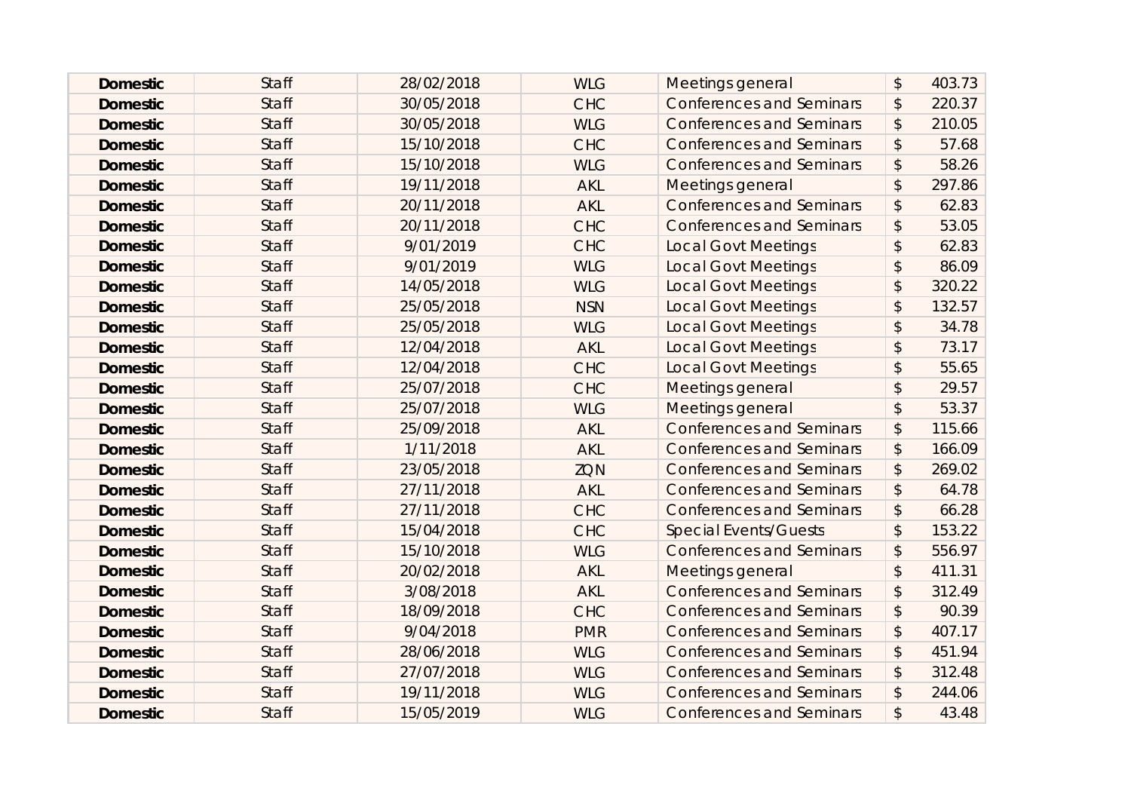| <b>Domestic</b> | <b>Staff</b> | 28/02/2018 | <b>WLG</b> | Meetings general                | $\boldsymbol{\mathsf{S}}$ | 403.73 |
|-----------------|--------------|------------|------------|---------------------------------|---------------------------|--------|
| <b>Domestic</b> | <b>Staff</b> | 30/05/2018 | <b>CHC</b> | <b>Conferences and Seminars</b> | $\boldsymbol{\mathsf{S}}$ | 220.37 |
| <b>Domestic</b> | <b>Staff</b> | 30/05/2018 | <b>WLG</b> | <b>Conferences and Seminars</b> | $\boldsymbol{\mathsf{S}}$ | 210.05 |
| <b>Domestic</b> | <b>Staff</b> | 15/10/2018 | <b>CHC</b> | <b>Conferences and Seminars</b> | $\frac{1}{2}$             | 57.68  |
| <b>Domestic</b> | <b>Staff</b> | 15/10/2018 | <b>WLG</b> | <b>Conferences and Seminars</b> | $\mathcal{L}$             | 58.26  |
| <b>Domestic</b> | <b>Staff</b> | 19/11/2018 | <b>AKL</b> | Meetings general                | $\mathcal{L}$             | 297.86 |
| <b>Domestic</b> | <b>Staff</b> | 20/11/2018 | <b>AKL</b> | <b>Conferences and Seminars</b> | $\boldsymbol{\mathsf{S}}$ | 62.83  |
| <b>Domestic</b> | <b>Staff</b> | 20/11/2018 | <b>CHC</b> | <b>Conferences and Seminars</b> | $\boldsymbol{\mathsf{S}}$ | 53.05  |
| <b>Domestic</b> | <b>Staff</b> | 9/01/2019  | <b>CHC</b> | <b>Local Govt Meetings</b>      | $\boldsymbol{\mathsf{S}}$ | 62.83  |
| <b>Domestic</b> | <b>Staff</b> | 9/01/2019  | <b>WLG</b> | <b>Local Govt Meetings</b>      | $\sqrt{2}$                | 86.09  |
| <b>Domestic</b> | <b>Staff</b> | 14/05/2018 | <b>WLG</b> | <b>Local Govt Meetings</b>      | $\boldsymbol{\mathsf{S}}$ | 320.22 |
| <b>Domestic</b> | <b>Staff</b> | 25/05/2018 | <b>NSN</b> | <b>Local Govt Meetings</b>      | $\boldsymbol{\mathsf{S}}$ | 132.57 |
| <b>Domestic</b> | <b>Staff</b> | 25/05/2018 | <b>WLG</b> | <b>Local Govt Meetings</b>      | \$                        | 34.78  |
| <b>Domestic</b> | <b>Staff</b> | 12/04/2018 | <b>AKL</b> | <b>Local Govt Meetings</b>      | $\mathcal{L}$             | 73.17  |
| <b>Domestic</b> | <b>Staff</b> | 12/04/2018 | <b>CHC</b> | <b>Local Govt Meetings</b>      | $\sqrt{2}$                | 55.65  |
| <b>Domestic</b> | <b>Staff</b> | 25/07/2018 | <b>CHC</b> | Meetings general                | $\sqrt{2}$                | 29.57  |
| <b>Domestic</b> | <b>Staff</b> | 25/07/2018 | <b>WLG</b> | Meetings general                | $\sqrt{2}$                | 53.37  |
| <b>Domestic</b> | <b>Staff</b> | 25/09/2018 | <b>AKL</b> | <b>Conferences and Seminars</b> | $\boldsymbol{\mathsf{S}}$ | 115.66 |
| <b>Domestic</b> | <b>Staff</b> | 1/11/2018  | <b>AKL</b> | <b>Conferences and Seminars</b> | \$                        | 166.09 |
| <b>Domestic</b> | <b>Staff</b> | 23/05/2018 | <b>ZQN</b> | <b>Conferences and Seminars</b> | $\frac{1}{2}$             | 269.02 |
| <b>Domestic</b> | <b>Staff</b> | 27/11/2018 | <b>AKL</b> | <b>Conferences and Seminars</b> | $\mathcal{L}$             | 64.78  |
| <b>Domestic</b> | <b>Staff</b> | 27/11/2018 | <b>CHC</b> | <b>Conferences and Seminars</b> | \$                        | 66.28  |
| <b>Domestic</b> | <b>Staff</b> | 15/04/2018 | <b>CHC</b> | <b>Special Events/Guests</b>    | $\sqrt{2}$                | 153.22 |
| <b>Domestic</b> | <b>Staff</b> | 15/10/2018 | <b>WLG</b> | <b>Conferences and Seminars</b> | $\mathfrak{D}$            | 556.97 |
| <b>Domestic</b> | <b>Staff</b> | 20/02/2018 | <b>AKL</b> | Meetings general                | $\boldsymbol{\mathsf{S}}$ | 411.31 |
| <b>Domestic</b> | <b>Staff</b> | 3/08/2018  | <b>AKL</b> | <b>Conferences and Seminars</b> | $\frac{1}{2}$             | 312.49 |
| <b>Domestic</b> | <b>Staff</b> | 18/09/2018 | <b>CHC</b> | <b>Conferences and Seminars</b> | $\boldsymbol{\mathsf{S}}$ | 90.39  |
| <b>Domestic</b> | <b>Staff</b> | 9/04/2018  | <b>PMR</b> | <b>Conferences and Seminars</b> | \$                        | 407.17 |
| <b>Domestic</b> | <b>Staff</b> | 28/06/2018 | <b>WLG</b> | <b>Conferences and Seminars</b> | $\sqrt{2}$                | 451.94 |
| <b>Domestic</b> | <b>Staff</b> | 27/07/2018 | <b>WLG</b> | <b>Conferences and Seminars</b> | \$                        | 312.48 |
| <b>Domestic</b> | <b>Staff</b> | 19/11/2018 | <b>WLG</b> | <b>Conferences and Seminars</b> | \$                        | 244.06 |
| <b>Domestic</b> | <b>Staff</b> | 15/05/2019 | <b>WLG</b> | <b>Conferences and Seminars</b> | \$                        | 43.48  |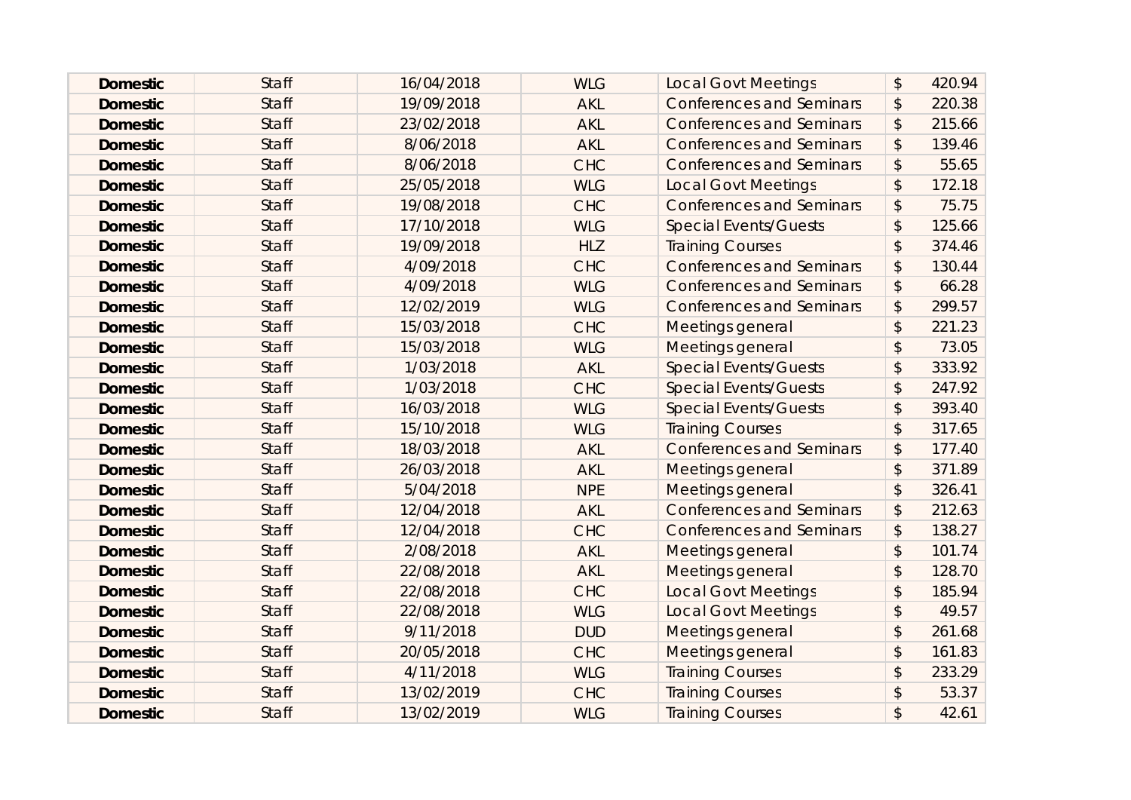| <b>Domestic</b> | <b>Staff</b> | 16/04/2018 | <b>WLG</b> | <b>Local Govt Meetings</b>      | $\boldsymbol{\mathsf{S}}$ | 420.94 |
|-----------------|--------------|------------|------------|---------------------------------|---------------------------|--------|
| <b>Domestic</b> | <b>Staff</b> | 19/09/2018 | <b>AKL</b> | <b>Conferences and Seminars</b> | $\boldsymbol{\hat{z}}$    | 220.38 |
| <b>Domestic</b> | <b>Staff</b> | 23/02/2018 | <b>AKL</b> | <b>Conferences and Seminars</b> | $\boldsymbol{\hat{z}}$    | 215.66 |
| <b>Domestic</b> | <b>Staff</b> | 8/06/2018  | <b>AKL</b> | <b>Conferences and Seminars</b> | $\boldsymbol{\mathsf{S}}$ | 139.46 |
| <b>Domestic</b> | <b>Staff</b> | 8/06/2018  | <b>CHC</b> | <b>Conferences and Seminars</b> | $\boldsymbol{\hat{z}}$    | 55.65  |
| <b>Domestic</b> | <b>Staff</b> | 25/05/2018 | <b>WLG</b> | <b>Local Govt Meetings</b>      | $\boldsymbol{\hat{z}}$    | 172.18 |
| <b>Domestic</b> | <b>Staff</b> | 19/08/2018 | <b>CHC</b> | <b>Conferences and Seminars</b> | \$                        | 75.75  |
| <b>Domestic</b> | <b>Staff</b> | 17/10/2018 | <b>WLG</b> | <b>Special Events/Guests</b>    | $\boldsymbol{\mathsf{S}}$ | 125.66 |
| <b>Domestic</b> | <b>Staff</b> | 19/09/2018 | <b>HLZ</b> | <b>Training Courses</b>         | $\boldsymbol{\mathsf{S}}$ | 374.46 |
| <b>Domestic</b> | <b>Staff</b> | 4/09/2018  | <b>CHC</b> | <b>Conferences and Seminars</b> | $\frac{1}{2}$             | 130.44 |
| <b>Domestic</b> | <b>Staff</b> | 4/09/2018  | <b>WLG</b> | <b>Conferences and Seminars</b> | $\boldsymbol{\mathsf{S}}$ | 66.28  |
| <b>Domestic</b> | <b>Staff</b> | 12/02/2019 | <b>WLG</b> | <b>Conferences and Seminars</b> | $\boldsymbol{\hat{z}}$    | 299.57 |
| <b>Domestic</b> | <b>Staff</b> | 15/03/2018 | <b>CHC</b> | Meetings general                | \$                        | 221.23 |
| <b>Domestic</b> | <b>Staff</b> | 15/03/2018 | <b>WLG</b> | Meetings general                | $\mathfrak{D}$            | 73.05  |
| <b>Domestic</b> | <b>Staff</b> | 1/03/2018  | <b>AKL</b> | <b>Special Events/Guests</b>    | $\mathcal{L}$             | 333.92 |
| <b>Domestic</b> | <b>Staff</b> | 1/03/2018  | <b>CHC</b> | <b>Special Events/Guests</b>    | $\sqrt{2}$                | 247.92 |
| <b>Domestic</b> | <b>Staff</b> | 16/03/2018 | <b>WLG</b> | <b>Special Events/Guests</b>    | $\sqrt{2}$                | 393.40 |
| <b>Domestic</b> | <b>Staff</b> | 15/10/2018 | <b>WLG</b> | <b>Training Courses</b>         | $\mathcal{L}$             | 317.65 |
| <b>Domestic</b> | <b>Staff</b> | 18/03/2018 | <b>AKL</b> | <b>Conferences and Seminars</b> | \$                        | 177.40 |
| <b>Domestic</b> | <b>Staff</b> | 26/03/2018 | <b>AKL</b> | Meetings general                | $\boldsymbol{\mathsf{S}}$ | 371.89 |
| <b>Domestic</b> | <b>Staff</b> | 5/04/2018  | <b>NPE</b> | Meetings general                | $\mathcal{L}$             | 326.41 |
| <b>Domestic</b> | <b>Staff</b> | 12/04/2018 | <b>AKL</b> | <b>Conferences and Seminars</b> | $\boldsymbol{\mathsf{S}}$ | 212.63 |
| <b>Domestic</b> | <b>Staff</b> | 12/04/2018 | <b>CHC</b> | <b>Conferences and Seminars</b> | $\sqrt{2}$                | 138.27 |
| <b>Domestic</b> | <b>Staff</b> | 2/08/2018  | <b>AKL</b> | Meetings general                | $\mathcal{L}$             | 101.74 |
| <b>Domestic</b> | <b>Staff</b> | 22/08/2018 | <b>AKL</b> | Meetings general                | \$                        | 128.70 |
| <b>Domestic</b> | <b>Staff</b> | 22/08/2018 | <b>CHC</b> | <b>Local Govt Meetings</b>      | $\sqrt{2}$                | 185.94 |
| <b>Domestic</b> | <b>Staff</b> | 22/08/2018 | <b>WLG</b> | <b>Local Govt Meetings</b>      | $\boldsymbol{\mathsf{S}}$ | 49.57  |
| <b>Domestic</b> | <b>Staff</b> | 9/11/2018  | <b>DUD</b> | <b>Meetings general</b>         | $\mathcal{L}$             | 261.68 |
| <b>Domestic</b> | <b>Staff</b> | 20/05/2018 | <b>CHC</b> | Meetings general                | $\mathsf{\$}$             | 161.83 |
| <b>Domestic</b> | <b>Staff</b> | 4/11/2018  | <b>WLG</b> | <b>Training Courses</b>         | $\mathcal{L}$             | 233.29 |
| <b>Domestic</b> | <b>Staff</b> | 13/02/2019 | <b>CHC</b> | <b>Training Courses</b>         | \$                        | 53.37  |
| <b>Domestic</b> | <b>Staff</b> | 13/02/2019 | <b>WLG</b> | <b>Training Courses</b>         | \$                        | 42.61  |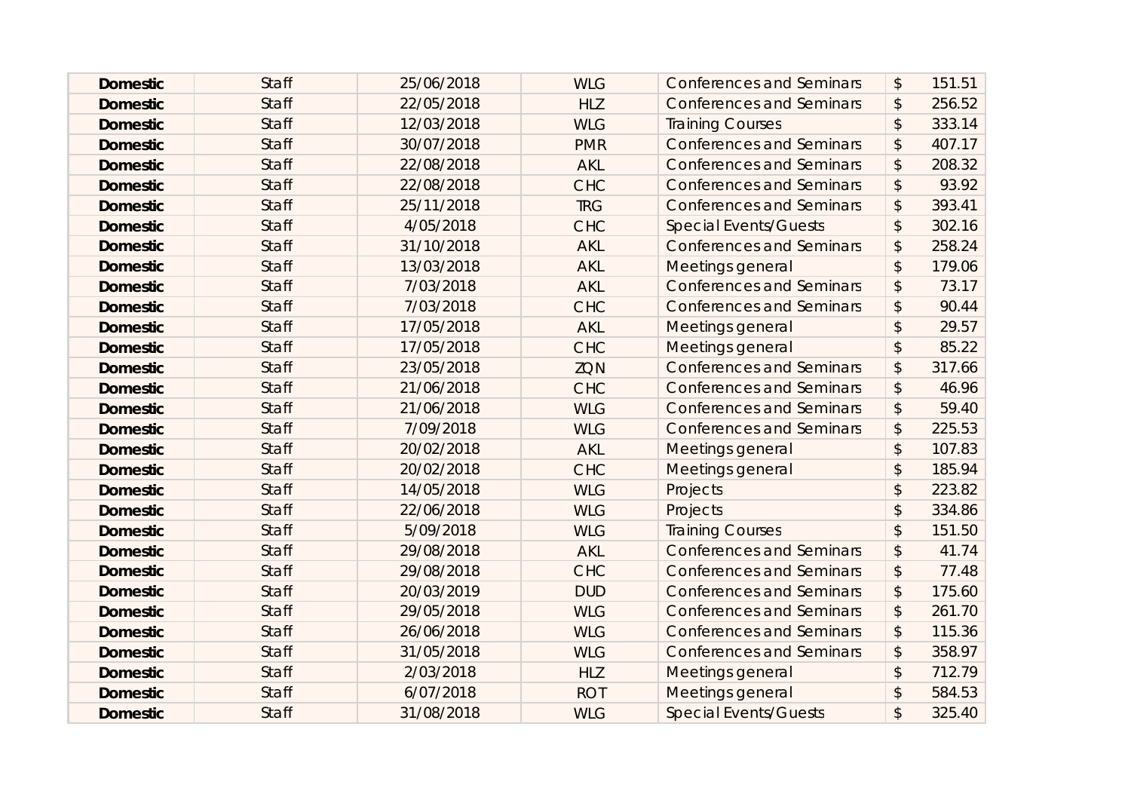| <b>Domestic</b> | <b>Staff</b> | 25/06/2018 | <b>WLG</b> | <b>Conferences and Seminars</b> | $\boldsymbol{\mathsf{S}}$ | 151.51 |
|-----------------|--------------|------------|------------|---------------------------------|---------------------------|--------|
| <b>Domestic</b> | <b>Staff</b> | 22/05/2018 | <b>HLZ</b> | <b>Conferences and Seminars</b> | $\boldsymbol{\mathsf{S}}$ | 256.52 |
| <b>Domestic</b> | <b>Staff</b> | 12/03/2018 | <b>WLG</b> | <b>Training Courses</b>         | $\boldsymbol{\mathsf{S}}$ | 333.14 |
| <b>Domestic</b> | <b>Staff</b> | 30/07/2018 | <b>PMR</b> | <b>Conferences and Seminars</b> | $\frac{1}{2}$             | 407.17 |
| <b>Domestic</b> | <b>Staff</b> | 22/08/2018 | <b>AKL</b> | <b>Conferences and Seminars</b> | $\boldsymbol{\mathsf{S}}$ | 208.32 |
| <b>Domestic</b> | <b>Staff</b> | 22/08/2018 | <b>CHC</b> | <b>Conferences and Seminars</b> | $\boldsymbol{\mathsf{S}}$ | 93.92  |
| <b>Domestic</b> | <b>Staff</b> | 25/11/2018 | <b>TRG</b> | <b>Conferences and Seminars</b> | \$                        | 393.41 |
| <b>Domestic</b> | <b>Staff</b> | 4/05/2018  | <b>CHC</b> | <b>Special Events/Guests</b>    | $\sqrt{2}$                | 302.16 |
| <b>Domestic</b> | <b>Staff</b> | 31/10/2018 | <b>AKL</b> | <b>Conferences and Seminars</b> | $\boldsymbol{\mathsf{S}}$ | 258.24 |
| <b>Domestic</b> | <b>Staff</b> | 13/03/2018 | <b>AKL</b> | Meetings general                | $\boldsymbol{\mathsf{S}}$ | 179.06 |
| <b>Domestic</b> | <b>Staff</b> | 7/03/2018  | <b>AKL</b> | <b>Conferences and Seminars</b> | $\boldsymbol{\mathsf{S}}$ | 73.17  |
| <b>Domestic</b> | <b>Staff</b> | 7/03/2018  | <b>CHC</b> | <b>Conferences and Seminars</b> | $\boldsymbol{\mathsf{S}}$ | 90.44  |
| <b>Domestic</b> | <b>Staff</b> | 17/05/2018 | <b>AKL</b> | Meetings general                | \$                        | 29.57  |
| <b>Domestic</b> | <b>Staff</b> | 17/05/2018 | <b>CHC</b> | Meetings general                | $\mathcal{L}$             | 85.22  |
| <b>Domestic</b> | <b>Staff</b> | 23/05/2018 | <b>ZQN</b> | <b>Conferences and Seminars</b> | $\boldsymbol{\mathsf{S}}$ | 317.66 |
| <b>Domestic</b> | <b>Staff</b> | 21/06/2018 | <b>CHC</b> | <b>Conferences and Seminars</b> | \$                        | 46.96  |
| <b>Domestic</b> | <b>Staff</b> | 21/06/2018 | <b>WLG</b> | <b>Conferences and Seminars</b> | $\boldsymbol{\mathsf{S}}$ | 59.40  |
| <b>Domestic</b> | <b>Staff</b> | 7/09/2018  | <b>WLG</b> | <b>Conferences and Seminars</b> | \$                        | 225.53 |
| <b>Domestic</b> | <b>Staff</b> | 20/02/2018 | <b>AKL</b> | Meetings general                | \$                        | 107.83 |
| <b>Domestic</b> | <b>Staff</b> | 20/02/2018 | <b>CHC</b> | Meetings general                | $\boldsymbol{\mathsf{S}}$ | 185.94 |
| <b>Domestic</b> | <b>Staff</b> | 14/05/2018 | <b>WLG</b> | Projects                        | $\mathcal{L}$             | 223.82 |
| <b>Domestic</b> | <b>Staff</b> | 22/06/2018 | <b>WLG</b> | Projects                        | \$                        | 334.86 |
| <b>Domestic</b> | <b>Staff</b> | 5/09/2018  | <b>WLG</b> | <b>Training Courses</b>         | $\sqrt{2}$                | 151.50 |
| <b>Domestic</b> | <b>Staff</b> | 29/08/2018 | <b>AKL</b> | <b>Conferences and Seminars</b> | $\boldsymbol{\mathsf{S}}$ | 41.74  |
| <b>Domestic</b> | <b>Staff</b> | 29/08/2018 | <b>CHC</b> | <b>Conferences and Seminars</b> | $\boldsymbol{\mathsf{S}}$ | 77.48  |
| <b>Domestic</b> | <b>Staff</b> | 20/03/2019 | <b>DUD</b> | <b>Conferences and Seminars</b> | $\frac{1}{2}$             | 175.60 |
| <b>Domestic</b> | <b>Staff</b> | 29/05/2018 | <b>WLG</b> | <b>Conferences and Seminars</b> | $\boldsymbol{\mathsf{S}}$ | 261.70 |
| <b>Domestic</b> | <b>Staff</b> | 26/06/2018 | <b>WLG</b> | <b>Conferences and Seminars</b> | \$                        | 115.36 |
| <b>Domestic</b> | <b>Staff</b> | 31/05/2018 | <b>WLG</b> | <b>Conferences and Seminars</b> | $\sqrt{2}$                | 358.97 |
| <b>Domestic</b> | <b>Staff</b> | 2/03/2018  | <b>HLZ</b> | Meetings general                | $\mathcal{L}$             | 712.79 |
| <b>Domestic</b> | <b>Staff</b> | 6/07/2018  | <b>ROT</b> | Meetings general                | $\boldsymbol{\mathsf{S}}$ | 584.53 |
| <b>Domestic</b> | <b>Staff</b> | 31/08/2018 | <b>WLG</b> | <b>Special Events/Guests</b>    | \$                        | 325.40 |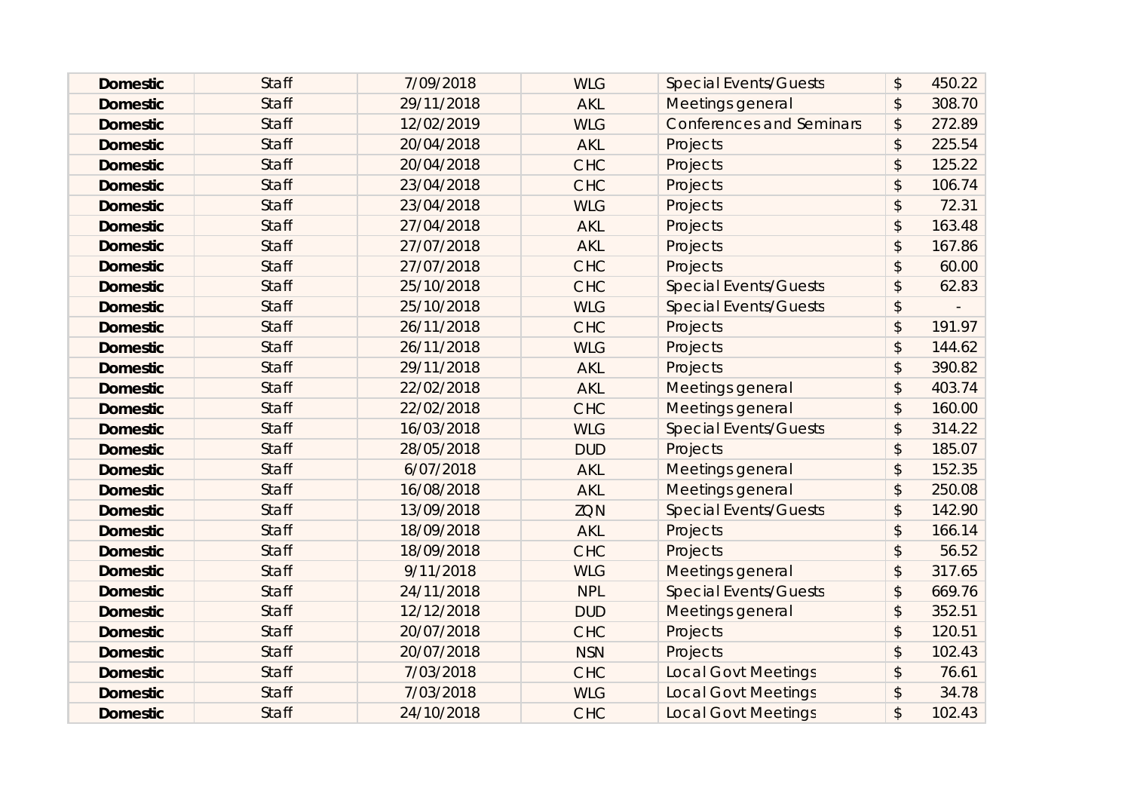| <b>Domestic</b> | <b>Staff</b> | 7/09/2018  | <b>WLG</b> | <b>Special Events/Guests</b>    | \$<br>450.22 |
|-----------------|--------------|------------|------------|---------------------------------|--------------|
| <b>Domestic</b> | <b>Staff</b> | 29/11/2018 | <b>AKL</b> | Meetings general                | \$<br>308.70 |
| <b>Domestic</b> | <b>Staff</b> | 12/02/2019 | <b>WLG</b> | <b>Conferences and Seminars</b> | \$<br>272.89 |
| <b>Domestic</b> | <b>Staff</b> | 20/04/2018 | <b>AKL</b> | Projects                        | \$<br>225.54 |
| <b>Domestic</b> | <b>Staff</b> | 20/04/2018 | <b>CHC</b> | Projects                        | \$<br>125.22 |
| <b>Domestic</b> | <b>Staff</b> | 23/04/2018 | <b>CHC</b> | Projects                        | \$<br>106.74 |
| <b>Domestic</b> | <b>Staff</b> | 23/04/2018 | <b>WLG</b> | Projects                        | \$<br>72.31  |
| <b>Domestic</b> | <b>Staff</b> | 27/04/2018 | <b>AKL</b> | Projects                        | \$<br>163.48 |
| <b>Domestic</b> | <b>Staff</b> | 27/07/2018 | <b>AKL</b> | Projects                        | \$<br>167.86 |
| <b>Domestic</b> | <b>Staff</b> | 27/07/2018 | <b>CHC</b> | Projects                        | \$<br>60.00  |
| <b>Domestic</b> | <b>Staff</b> | 25/10/2018 | <b>CHC</b> | <b>Special Events/Guests</b>    | \$<br>62.83  |
| <b>Domestic</b> | Staff        | 25/10/2018 | <b>WLG</b> | <b>Special Events/Guests</b>    | \$           |
| <b>Domestic</b> | <b>Staff</b> | 26/11/2018 | <b>CHC</b> | <b>Projects</b>                 | \$<br>191.97 |
| <b>Domestic</b> | <b>Staff</b> | 26/11/2018 | <b>WLG</b> | Projects                        | \$<br>144.62 |
| <b>Domestic</b> | <b>Staff</b> | 29/11/2018 | <b>AKL</b> | Projects                        | \$<br>390.82 |
| <b>Domestic</b> | <b>Staff</b> | 22/02/2018 | <b>AKL</b> | Meetings general                | \$<br>403.74 |
| <b>Domestic</b> | <b>Staff</b> | 22/02/2018 | <b>CHC</b> | Meetings general                | \$<br>160.00 |
| <b>Domestic</b> | <b>Staff</b> | 16/03/2018 | <b>WLG</b> | <b>Special Events/Guests</b>    | \$<br>314.22 |
| <b>Domestic</b> | <b>Staff</b> | 28/05/2018 | <b>DUD</b> | Projects                        | \$<br>185.07 |
| <b>Domestic</b> | <b>Staff</b> | 6/07/2018  | <b>AKL</b> | Meetings general                | \$<br>152.35 |
| <b>Domestic</b> | Staff        | 16/08/2018 | <b>AKL</b> | Meetings general                | \$<br>250.08 |
| <b>Domestic</b> | <b>Staff</b> | 13/09/2018 | ZQN        | <b>Special Events/Guests</b>    | \$<br>142.90 |
| <b>Domestic</b> | <b>Staff</b> | 18/09/2018 | <b>AKL</b> | Projects                        | \$<br>166.14 |
| <b>Domestic</b> | <b>Staff</b> | 18/09/2018 | <b>CHC</b> | <b>Projects</b>                 | \$<br>56.52  |
| <b>Domestic</b> | <b>Staff</b> | 9/11/2018  | <b>WLG</b> | Meetings general                | \$<br>317.65 |
| <b>Domestic</b> | <b>Staff</b> | 24/11/2018 | <b>NPL</b> | <b>Special Events/Guests</b>    | \$<br>669.76 |
| <b>Domestic</b> | <b>Staff</b> | 12/12/2018 | <b>DUD</b> | Meetings general                | \$<br>352.51 |
| <b>Domestic</b> | <b>Staff</b> | 20/07/2018 | <b>CHC</b> | Projects                        | \$<br>120.51 |
| <b>Domestic</b> | <b>Staff</b> | 20/07/2018 | <b>NSN</b> | Projects                        | \$<br>102.43 |
| <b>Domestic</b> | <b>Staff</b> | 7/03/2018  | <b>CHC</b> | <b>Local Govt Meetings</b>      | \$<br>76.61  |
| <b>Domestic</b> | <b>Staff</b> | 7/03/2018  | <b>WLG</b> | <b>Local Govt Meetings</b>      | \$<br>34.78  |
| <b>Domestic</b> | <b>Staff</b> | 24/10/2018 | <b>CHC</b> | <b>Local Govt Meetings</b>      | \$<br>102.43 |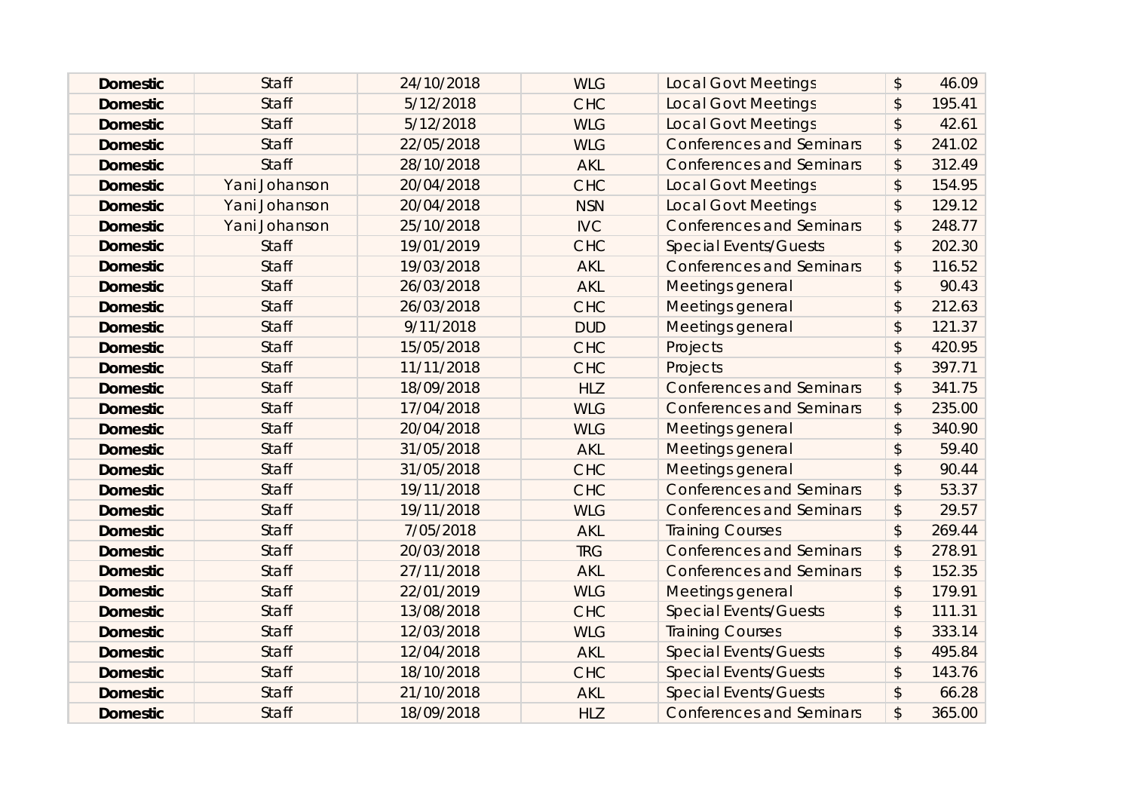| <b>Domestic</b> | <b>Staff</b>  | 24/10/2018 | <b>WLG</b> | <b>Local Govt Meetings</b>      | $\mathcal{L}$             | 46.09  |
|-----------------|---------------|------------|------------|---------------------------------|---------------------------|--------|
| <b>Domestic</b> | <b>Staff</b>  | 5/12/2018  | <b>CHC</b> | <b>Local Govt Meetings</b>      | $\boldsymbol{\mathsf{S}}$ | 195.41 |
| <b>Domestic</b> | <b>Staff</b>  | 5/12/2018  | <b>WLG</b> | <b>Local Govt Meetings</b>      | $\boldsymbol{\mathsf{S}}$ | 42.61  |
| <b>Domestic</b> | <b>Staff</b>  | 22/05/2018 | <b>WLG</b> | <b>Conferences and Seminars</b> | \$                        | 241.02 |
| <b>Domestic</b> | <b>Staff</b>  | 28/10/2018 | <b>AKL</b> | <b>Conferences and Seminars</b> | $\boldsymbol{\mathsf{S}}$ | 312.49 |
| <b>Domestic</b> | Yani Johanson | 20/04/2018 | <b>CHC</b> | <b>Local Govt Meetings</b>      | $\mathcal{L}$             | 154.95 |
| <b>Domestic</b> | Yani Johanson | 20/04/2018 | <b>NSN</b> | <b>Local Govt Meetings</b>      | $\boldsymbol{\hat{z}}$    | 129.12 |
| <b>Domestic</b> | Yani Johanson | 25/10/2018 | <b>IVC</b> | <b>Conferences and Seminars</b> | $\boldsymbol{\mathsf{S}}$ | 248.77 |
| <b>Domestic</b> | <b>Staff</b>  | 19/01/2019 | <b>CHC</b> | <b>Special Events/Guests</b>    | $\boldsymbol{\mathsf{S}}$ | 202.30 |
| <b>Domestic</b> | <b>Staff</b>  | 19/03/2018 | <b>AKL</b> | <b>Conferences and Seminars</b> | $\sqrt[6]{\frac{1}{2}}$   | 116.52 |
| <b>Domestic</b> | <b>Staff</b>  | 26/03/2018 | <b>AKL</b> | Meetings general                | $\mathcal{L}$             | 90.43  |
| <b>Domestic</b> | <b>Staff</b>  | 26/03/2018 | <b>CHC</b> | Meetings general                | $\mathcal{L}$             | 212.63 |
| <b>Domestic</b> | <b>Staff</b>  | 9/11/2018  | <b>DUD</b> | Meetings general                | $\mathcal{L}$             | 121.37 |
| <b>Domestic</b> | <b>Staff</b>  | 15/05/2018 | <b>CHC</b> | Projects                        | $\mathcal{L}$             | 420.95 |
| <b>Domestic</b> | <b>Staff</b>  | 11/11/2018 | <b>CHC</b> | Projects                        | $\mathcal{L}$             | 397.71 |
| <b>Domestic</b> | <b>Staff</b>  | 18/09/2018 | <b>HLZ</b> | <b>Conferences and Seminars</b> | \$                        | 341.75 |
| <b>Domestic</b> | <b>Staff</b>  | 17/04/2018 | <b>WLG</b> | <b>Conferences and Seminars</b> | $\boldsymbol{\mathsf{S}}$ | 235.00 |
| <b>Domestic</b> | <b>Staff</b>  | 20/04/2018 | <b>WLG</b> | Meetings general                | $\mathcal{L}$             | 340.90 |
| <b>Domestic</b> | <b>Staff</b>  | 31/05/2018 | <b>AKL</b> | Meetings general                | \$                        | 59.40  |
| <b>Domestic</b> | <b>Staff</b>  | 31/05/2018 | <b>CHC</b> | Meetings general                | $\boldsymbol{\mathsf{S}}$ | 90.44  |
| <b>Domestic</b> | <b>Staff</b>  | 19/11/2018 | <b>CHC</b> | <b>Conferences and Seminars</b> | $\boldsymbol{\mathsf{S}}$ | 53.37  |
| <b>Domestic</b> | <b>Staff</b>  | 19/11/2018 | <b>WLG</b> | <b>Conferences and Seminars</b> | \$                        | 29.57  |
| <b>Domestic</b> | <b>Staff</b>  | 7/05/2018  | <b>AKL</b> | <b>Training Courses</b>         | $\sqrt{2}$                | 269.44 |
| <b>Domestic</b> | <b>Staff</b>  | 20/03/2018 | <b>TRG</b> | <b>Conferences and Seminars</b> | $\boldsymbol{\mathsf{S}}$ | 278.91 |
| <b>Domestic</b> | <b>Staff</b>  | 27/11/2018 | <b>AKL</b> | <b>Conferences and Seminars</b> | \$                        | 152.35 |
| <b>Domestic</b> | <b>Staff</b>  | 22/01/2019 | <b>WLG</b> | Meetings general                | $\sqrt{2}$                | 179.91 |
| <b>Domestic</b> | <b>Staff</b>  | 13/08/2018 | <b>CHC</b> | <b>Special Events/Guests</b>    | $\mathcal{L}$             | 111.31 |
| <b>Domestic</b> | <b>Staff</b>  | 12/03/2018 | <b>WLG</b> | <b>Training Courses</b>         | $\mathcal{L}$             | 333.14 |
| <b>Domestic</b> | <b>Staff</b>  | 12/04/2018 | <b>AKL</b> | <b>Special Events/Guests</b>    | $\mathsf{\$}$             | 495.84 |
| <b>Domestic</b> | <b>Staff</b>  | 18/10/2018 | <b>CHC</b> | <b>Special Events/Guests</b>    | $\mathcal{L}$             | 143.76 |
| <b>Domestic</b> | <b>Staff</b>  | 21/10/2018 | <b>AKL</b> | <b>Special Events/Guests</b>    | $\mathcal{L}$             | 66.28  |
| <b>Domestic</b> | <b>Staff</b>  | 18/09/2018 | <b>HLZ</b> | <b>Conferences and Seminars</b> | \$                        | 365.00 |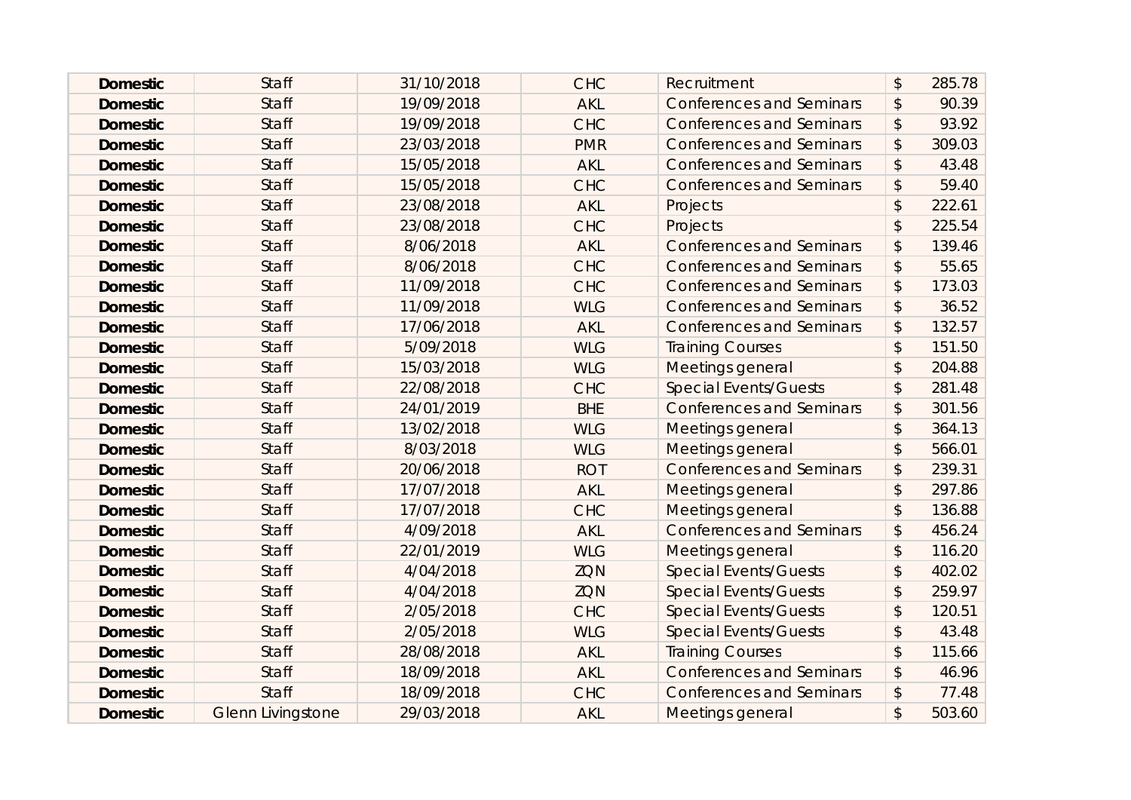| <b>Domestic</b> | <b>Staff</b>             | 31/10/2018 | <b>CHC</b> | Recruitment                     | $\boldsymbol{\mathsf{S}}$ | 285.78 |
|-----------------|--------------------------|------------|------------|---------------------------------|---------------------------|--------|
| <b>Domestic</b> | <b>Staff</b>             | 19/09/2018 | <b>AKL</b> | <b>Conferences and Seminars</b> | $\boldsymbol{\mathsf{S}}$ | 90.39  |
| <b>Domestic</b> | <b>Staff</b>             | 19/09/2018 | <b>CHC</b> | <b>Conferences and Seminars</b> | \$                        | 93.92  |
| <b>Domestic</b> | <b>Staff</b>             | 23/03/2018 | <b>PMR</b> | <b>Conferences and Seminars</b> | $\boldsymbol{\mathsf{S}}$ | 309.03 |
| <b>Domestic</b> | <b>Staff</b>             | 15/05/2018 | <b>AKL</b> | <b>Conferences and Seminars</b> | $\boldsymbol{\mathsf{S}}$ | 43.48  |
| <b>Domestic</b> | <b>Staff</b>             | 15/05/2018 | <b>CHC</b> | <b>Conferences and Seminars</b> | $\boldsymbol{\mathsf{S}}$ | 59.40  |
| <b>Domestic</b> | <b>Staff</b>             | 23/08/2018 | <b>AKL</b> | Projects                        | $\mathcal{L}$             | 222.61 |
| <b>Domestic</b> | <b>Staff</b>             | 23/08/2018 | <b>CHC</b> | Projects                        | $\mathcal{L}$             | 225.54 |
| <b>Domestic</b> | <b>Staff</b>             | 8/06/2018  | <b>AKL</b> | <b>Conferences and Seminars</b> | $\boldsymbol{\mathsf{S}}$ | 139.46 |
| <b>Domestic</b> | <b>Staff</b>             | 8/06/2018  | <b>CHC</b> | <b>Conferences and Seminars</b> | \$                        | 55.65  |
| <b>Domestic</b> | <b>Staff</b>             | 11/09/2018 | <b>CHC</b> | <b>Conferences and Seminars</b> | $\boldsymbol{\mathsf{S}}$ | 173.03 |
| <b>Domestic</b> | <b>Staff</b>             | 11/09/2018 | <b>WLG</b> | <b>Conferences and Seminars</b> | $\boldsymbol{\mathsf{S}}$ | 36.52  |
| <b>Domestic</b> | <b>Staff</b>             | 17/06/2018 | <b>AKL</b> | <b>Conferences and Seminars</b> | \$                        | 132.57 |
| <b>Domestic</b> | <b>Staff</b>             | 5/09/2018  | <b>WLG</b> | <b>Training Courses</b>         | $\mathcal{L}$             | 151.50 |
| <b>Domestic</b> | <b>Staff</b>             | 15/03/2018 | <b>WLG</b> | Meetings general                | $\mathcal{L}$             | 204.88 |
| <b>Domestic</b> | <b>Staff</b>             | 22/08/2018 | <b>CHC</b> | <b>Special Events/Guests</b>    | $\boldsymbol{\mathsf{S}}$ | 281.48 |
| <b>Domestic</b> | <b>Staff</b>             | 24/01/2019 | <b>BHE</b> | <b>Conferences and Seminars</b> | $\sqrt{2}$                | 301.56 |
| <b>Domestic</b> | <b>Staff</b>             | 13/02/2018 | <b>WLG</b> | Meetings general                | $\mathcal{L}$             | 364.13 |
| <b>Domestic</b> | <b>Staff</b>             | 8/03/2018  | <b>WLG</b> | Meetings general                | $\mathcal{L}$             | 566.01 |
| <b>Domestic</b> | <b>Staff</b>             | 20/06/2018 | <b>ROT</b> | <b>Conferences and Seminars</b> | $\boldsymbol{\mathsf{S}}$ | 239.31 |
| <b>Domestic</b> | <b>Staff</b>             | 17/07/2018 | <b>AKL</b> | Meetings general                | $\mathcal{L}$             | 297.86 |
| <b>Domestic</b> | <b>Staff</b>             | 17/07/2018 | <b>CHC</b> | Meetings general                | $\mathcal{L}$             | 136.88 |
| <b>Domestic</b> | <b>Staff</b>             | 4/09/2018  | <b>AKL</b> | <b>Conferences and Seminars</b> | $\frac{1}{2}$             | 456.24 |
| <b>Domestic</b> | <b>Staff</b>             | 22/01/2019 | <b>WLG</b> | Meetings general                | $\mathcal{L}$             | 116.20 |
| <b>Domestic</b> | <b>Staff</b>             | 4/04/2018  | ZQN        | <b>Special Events/Guests</b>    | \$                        | 402.02 |
| <b>Domestic</b> | <b>Staff</b>             | 4/04/2018  | <b>ZQN</b> | <b>Special Events/Guests</b>    | $\sqrt[6]{\frac{1}{2}}$   | 259.97 |
| <b>Domestic</b> | <b>Staff</b>             | 2/05/2018  | <b>CHC</b> | <b>Special Events/Guests</b>    | $\mathcal{L}$             | 120.51 |
| <b>Domestic</b> | <b>Staff</b>             | 2/05/2018  | <b>WLG</b> | <b>Special Events/Guests</b>    | $\boldsymbol{\mathsf{S}}$ | 43.48  |
| <b>Domestic</b> | <b>Staff</b>             | 28/08/2018 | <b>AKL</b> | <b>Training Courses</b>         | $\boldsymbol{\mathsf{S}}$ | 115.66 |
| <b>Domestic</b> | <b>Staff</b>             | 18/09/2018 | <b>AKL</b> | <b>Conferences and Seminars</b> | \$                        | 46.96  |
| <b>Domestic</b> | <b>Staff</b>             | 18/09/2018 | <b>CHC</b> | <b>Conferences and Seminars</b> | \$                        | 77.48  |
| <b>Domestic</b> | <b>Glenn Livingstone</b> | 29/03/2018 | <b>AKL</b> | Meetings general                | \$                        | 503.60 |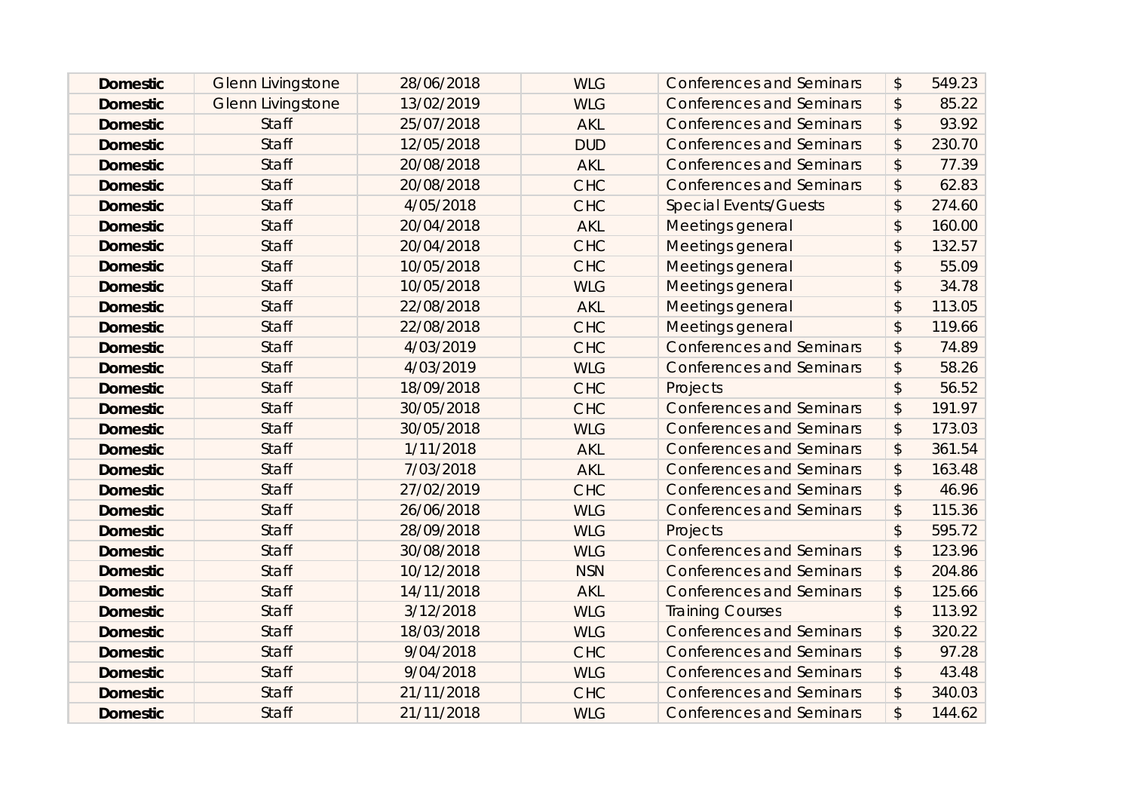| <b>Domestic</b> | <b>Glenn Livingstone</b> | 28/06/2018 | <b>WLG</b> | <b>Conferences and Seminars</b> | $\boldsymbol{\mathsf{S}}$ | 549.23 |
|-----------------|--------------------------|------------|------------|---------------------------------|---------------------------|--------|
| <b>Domestic</b> | <b>Glenn Livingstone</b> | 13/02/2019 | <b>WLG</b> | <b>Conferences and Seminars</b> | $\boldsymbol{\mathsf{S}}$ | 85.22  |
| <b>Domestic</b> | <b>Staff</b>             | 25/07/2018 | <b>AKL</b> | <b>Conferences and Seminars</b> | \$                        | 93.92  |
| <b>Domestic</b> | <b>Staff</b>             | 12/05/2018 | <b>DUD</b> | <b>Conferences and Seminars</b> | $\boldsymbol{\mathsf{S}}$ | 230.70 |
| <b>Domestic</b> | <b>Staff</b>             | 20/08/2018 | <b>AKL</b> | <b>Conferences and Seminars</b> | $\boldsymbol{\mathsf{S}}$ | 77.39  |
| <b>Domestic</b> | <b>Staff</b>             | 20/08/2018 | <b>CHC</b> | <b>Conferences and Seminars</b> | $\boldsymbol{\mathsf{S}}$ | 62.83  |
| <b>Domestic</b> | <b>Staff</b>             | 4/05/2018  | <b>CHC</b> | <b>Special Events/Guests</b>    | \$                        | 274.60 |
| <b>Domestic</b> | <b>Staff</b>             | 20/04/2018 | <b>AKL</b> | Meetings general                | $\mathsf{\$}$             | 160.00 |
| <b>Domestic</b> | <b>Staff</b>             | 20/04/2018 | <b>CHC</b> | Meetings general                | $\mathcal{L}$             | 132.57 |
| <b>Domestic</b> | <b>Staff</b>             | 10/05/2018 | <b>CHC</b> | Meetings general                | $\mathcal{L}$             | 55.09  |
| <b>Domestic</b> | <b>Staff</b>             | 10/05/2018 | <b>WLG</b> | Meetings general                | $\mathcal{L}$             | 34.78  |
| <b>Domestic</b> | <b>Staff</b>             | 22/08/2018 | <b>AKL</b> | Meetings general                | $\mathcal{L}$             | 113.05 |
| <b>Domestic</b> | <b>Staff</b>             | 22/08/2018 | <b>CHC</b> | Meetings general                | \$                        | 119.66 |
| <b>Domestic</b> | <b>Staff</b>             | 4/03/2019  | <b>CHC</b> | <b>Conferences and Seminars</b> | $\boldsymbol{\mathsf{S}}$ | 74.89  |
| <b>Domestic</b> | <b>Staff</b>             | 4/03/2019  | <b>WLG</b> | <b>Conferences and Seminars</b> | \$                        | 58.26  |
| <b>Domestic</b> | <b>Staff</b>             | 18/09/2018 | <b>CHC</b> | Projects                        | $\boldsymbol{\mathsf{S}}$ | 56.52  |
| <b>Domestic</b> | <b>Staff</b>             | 30/05/2018 | <b>CHC</b> | <b>Conferences and Seminars</b> | $\frac{1}{2}$             | 191.97 |
| <b>Domestic</b> | <b>Staff</b>             | 30/05/2018 | <b>WLG</b> | <b>Conferences and Seminars</b> | $\mathcal{L}$             | 173.03 |
| <b>Domestic</b> | <b>Staff</b>             | 1/11/2018  | <b>AKL</b> | <b>Conferences and Seminars</b> | \$                        | 361.54 |
| <b>Domestic</b> | <b>Staff</b>             | 7/03/2018  | <b>AKL</b> | <b>Conferences and Seminars</b> | $\frac{1}{2}$             | 163.48 |
| <b>Domestic</b> | <b>Staff</b>             | 27/02/2019 | <b>CHC</b> | <b>Conferences and Seminars</b> | $\boldsymbol{\mathsf{S}}$ | 46.96  |
| <b>Domestic</b> | <b>Staff</b>             | 26/06/2018 | <b>WLG</b> | <b>Conferences and Seminars</b> | \$                        | 115.36 |
| <b>Domestic</b> | <b>Staff</b>             | 28/09/2018 | <b>WLG</b> | Projects                        | $\mathsf{\$}$             | 595.72 |
| <b>Domestic</b> | <b>Staff</b>             | 30/08/2018 | <b>WLG</b> | <b>Conferences and Seminars</b> | $\boldsymbol{\hat{z}}$    | 123.96 |
| <b>Domestic</b> | <b>Staff</b>             | 10/12/2018 | <b>NSN</b> | <b>Conferences and Seminars</b> | \$                        | 204.86 |
| <b>Domestic</b> | <b>Staff</b>             | 14/11/2018 | <b>AKL</b> | <b>Conferences and Seminars</b> | \$                        | 125.66 |
| <b>Domestic</b> | <b>Staff</b>             | 3/12/2018  | <b>WLG</b> | <b>Training Courses</b>         | $\boldsymbol{\mathsf{S}}$ | 113.92 |
| <b>Domestic</b> | <b>Staff</b>             | 18/03/2018 | <b>WLG</b> | <b>Conferences and Seminars</b> | $\frac{1}{2}$             | 320.22 |
| <b>Domestic</b> | <b>Staff</b>             | 9/04/2018  | <b>CHC</b> | <b>Conferences and Seminars</b> | $\frac{1}{2}$             | 97.28  |
| <b>Domestic</b> | <b>Staff</b>             | 9/04/2018  | <b>WLG</b> | <b>Conferences and Seminars</b> | \$                        | 43.48  |
| <b>Domestic</b> | <b>Staff</b>             | 21/11/2018 | <b>CHC</b> | <b>Conferences and Seminars</b> | \$                        | 340.03 |
| <b>Domestic</b> | <b>Staff</b>             | 21/11/2018 | <b>WLG</b> | <b>Conferences and Seminars</b> | \$                        | 144.62 |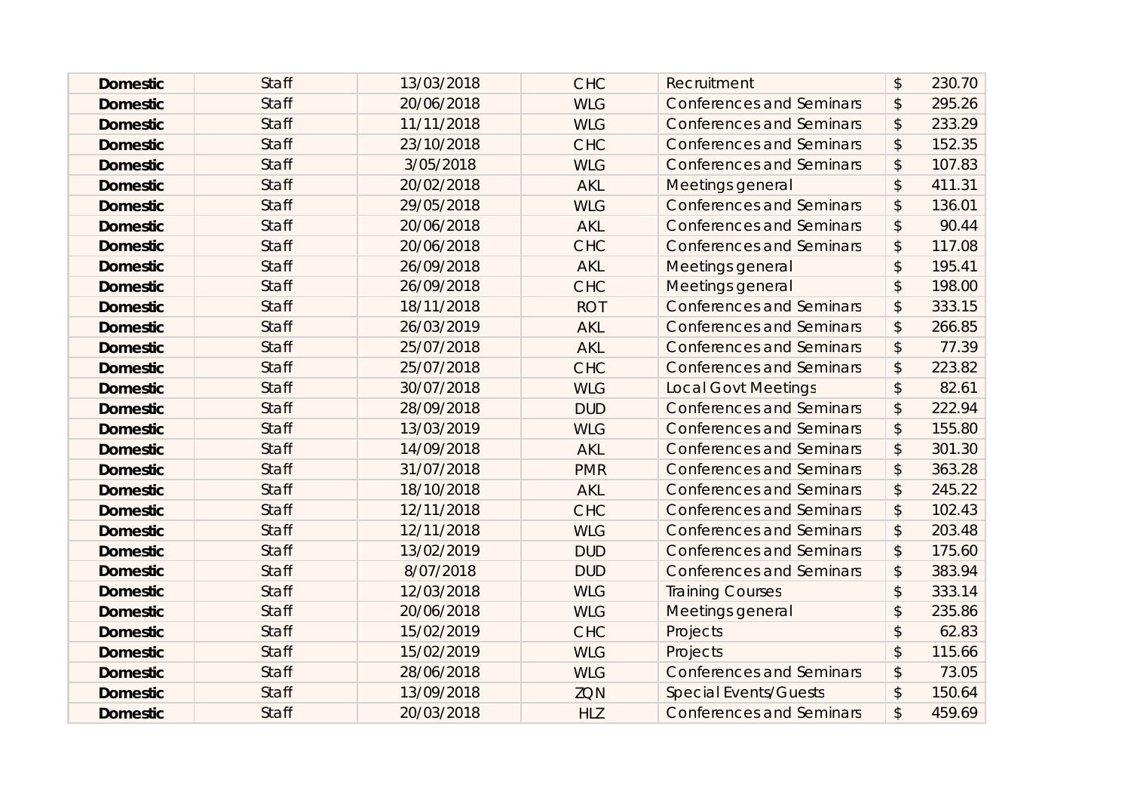| <b>Domestic</b> | <b>Staff</b> | 13/03/2018 | <b>CHC</b> | Recruitment                     | $\boldsymbol{\mathsf{S}}$ | 230.70 |
|-----------------|--------------|------------|------------|---------------------------------|---------------------------|--------|
| <b>Domestic</b> | <b>Staff</b> | 20/06/2018 | <b>WLG</b> | <b>Conferences and Seminars</b> | \$                        | 295.26 |
| <b>Domestic</b> | <b>Staff</b> | 11/11/2018 | <b>WLG</b> | <b>Conferences and Seminars</b> | \$                        | 233.29 |
| <b>Domestic</b> | <b>Staff</b> | 23/10/2018 | <b>CHC</b> | <b>Conferences and Seminars</b> | \$                        | 152.35 |
| <b>Domestic</b> | <b>Staff</b> | 3/05/2018  | <b>WLG</b> | <b>Conferences and Seminars</b> | \$                        | 107.83 |
| <b>Domestic</b> | <b>Staff</b> | 20/02/2018 | <b>AKL</b> | Meetings general                | $\boldsymbol{\mathsf{S}}$ | 411.31 |
| <b>Domestic</b> | <b>Staff</b> | 29/05/2018 | <b>WLG</b> | <b>Conferences and Seminars</b> | \$                        | 136.01 |
| <b>Domestic</b> | <b>Staff</b> | 20/06/2018 | <b>AKL</b> | <b>Conferences and Seminars</b> | \$                        | 90.44  |
| <b>Domestic</b> | <b>Staff</b> | 20/06/2018 | <b>CHC</b> | <b>Conferences and Seminars</b> | \$                        | 117.08 |
| <b>Domestic</b> | <b>Staff</b> | 26/09/2018 | <b>AKL</b> | Meetings general                | \$                        | 195.41 |
| <b>Domestic</b> | <b>Staff</b> | 26/09/2018 | <b>CHC</b> | Meetings general                | \$                        | 198.00 |
| <b>Domestic</b> | <b>Staff</b> | 18/11/2018 | <b>ROT</b> | <b>Conferences and Seminars</b> | \$                        | 333.15 |
| <b>Domestic</b> | <b>Staff</b> | 26/03/2019 | <b>AKL</b> | <b>Conferences and Seminars</b> | \$                        | 266.85 |
| <b>Domestic</b> | <b>Staff</b> | 25/07/2018 | <b>AKL</b> | <b>Conferences and Seminars</b> | \$                        | 77.39  |
| <b>Domestic</b> | <b>Staff</b> | 25/07/2018 | <b>CHC</b> | <b>Conferences and Seminars</b> | \$                        | 223.82 |
| <b>Domestic</b> | <b>Staff</b> | 30/07/2018 | <b>WLG</b> | <b>Local Govt Meetings</b>      | \$                        | 82.61  |
| <b>Domestic</b> | <b>Staff</b> | 28/09/2018 | <b>DUD</b> | <b>Conferences and Seminars</b> | \$                        | 222.94 |
| <b>Domestic</b> | <b>Staff</b> | 13/03/2019 | <b>WLG</b> | <b>Conferences and Seminars</b> | \$                        | 155.80 |
| <b>Domestic</b> | <b>Staff</b> | 14/09/2018 | <b>AKL</b> | <b>Conferences and Seminars</b> | \$                        | 301.30 |
| <b>Domestic</b> | <b>Staff</b> | 31/07/2018 | <b>PMR</b> | <b>Conferences and Seminars</b> | \$                        | 363.28 |
| <b>Domestic</b> | <b>Staff</b> | 18/10/2018 | <b>AKL</b> | <b>Conferences and Seminars</b> | \$                        | 245.22 |
| <b>Domestic</b> | <b>Staff</b> | 12/11/2018 | <b>CHC</b> | <b>Conferences and Seminars</b> | \$                        | 102.43 |
| <b>Domestic</b> | <b>Staff</b> | 12/11/2018 | <b>WLG</b> | <b>Conferences and Seminars</b> | \$                        | 203.48 |
| <b>Domestic</b> | <b>Staff</b> | 13/02/2019 | <b>DUD</b> | <b>Conferences and Seminars</b> | \$                        | 175.60 |
| <b>Domestic</b> | <b>Staff</b> | 8/07/2018  | <b>DUD</b> | <b>Conferences and Seminars</b> | \$                        | 383.94 |
| <b>Domestic</b> | <b>Staff</b> | 12/03/2018 | <b>WLG</b> | <b>Training Courses</b>         | \$                        | 333.14 |
| <b>Domestic</b> | <b>Staff</b> | 20/06/2018 | <b>WLG</b> | Meetings general                | \$                        | 235.86 |
| <b>Domestic</b> | <b>Staff</b> | 15/02/2019 | <b>CHC</b> | Projects                        | \$                        | 62.83  |
| <b>Domestic</b> | <b>Staff</b> | 15/02/2019 | <b>WLG</b> | Projects                        | \$                        | 115.66 |
| <b>Domestic</b> | <b>Staff</b> | 28/06/2018 | <b>WLG</b> | <b>Conferences and Seminars</b> | \$                        | 73.05  |
| <b>Domestic</b> | <b>Staff</b> | 13/09/2018 | <b>ZQN</b> | <b>Special Events/Guests</b>    | \$                        | 150.64 |
| <b>Domestic</b> | <b>Staff</b> | 20/03/2018 | <b>HLZ</b> | <b>Conferences and Seminars</b> | \$                        | 459.69 |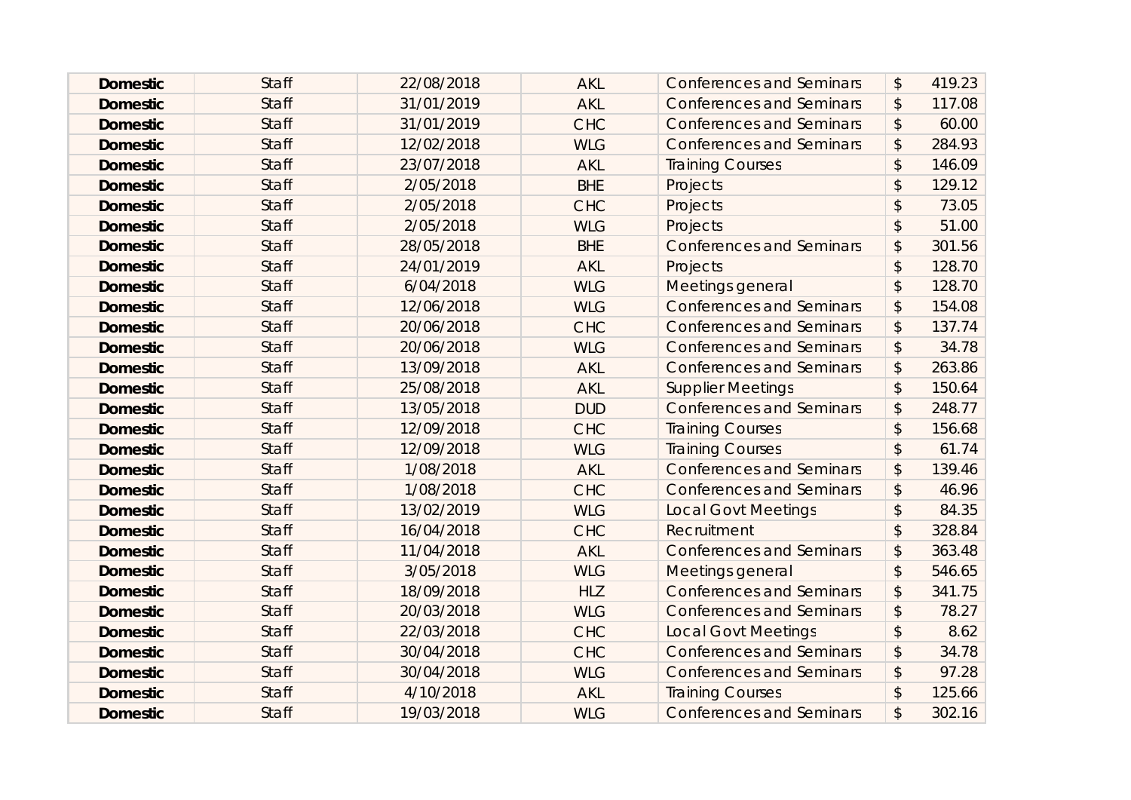| <b>Domestic</b> | <b>Staff</b> | 22/08/2018 | <b>AKL</b> | <b>Conferences and Seminars</b> | $\boldsymbol{\mathsf{S}}$ | 419.23 |
|-----------------|--------------|------------|------------|---------------------------------|---------------------------|--------|
| <b>Domestic</b> | <b>Staff</b> | 31/01/2019 | <b>AKL</b> | <b>Conferences and Seminars</b> | $\boldsymbol{\mathsf{S}}$ | 117.08 |
| <b>Domestic</b> | <b>Staff</b> | 31/01/2019 | <b>CHC</b> | <b>Conferences and Seminars</b> | $\boldsymbol{\hat{z}}$    | 60.00  |
| <b>Domestic</b> | <b>Staff</b> | 12/02/2018 | <b>WLG</b> | <b>Conferences and Seminars</b> | $\mathcal{L}$             | 284.93 |
| <b>Domestic</b> | <b>Staff</b> | 23/07/2018 | <b>AKL</b> | <b>Training Courses</b>         | $\mathfrak{D}$            | 146.09 |
| <b>Domestic</b> | <b>Staff</b> | 2/05/2018  | <b>BHE</b> | Projects                        | $\sqrt{3}$                | 129.12 |
| <b>Domestic</b> | <b>Staff</b> | 2/05/2018  | <b>CHC</b> | Projects                        | $\mathfrak{D}$            | 73.05  |
| <b>Domestic</b> | <b>Staff</b> | 2/05/2018  | <b>WLG</b> | Projects                        | $\mathfrak{D}$            | 51.00  |
| <b>Domestic</b> | <b>Staff</b> | 28/05/2018 | <b>BHE</b> | <b>Conferences and Seminars</b> | $\boldsymbol{\mathsf{S}}$ | 301.56 |
| <b>Domestic</b> | <b>Staff</b> | 24/01/2019 | <b>AKL</b> | Projects                        | $\mathsf{\$}$             | 128.70 |
| <b>Domestic</b> | <b>Staff</b> | 6/04/2018  | <b>WLG</b> | Meetings general                | $\mathfrak{D}$            | 128.70 |
| <b>Domestic</b> | <b>Staff</b> | 12/06/2018 | <b>WLG</b> | <b>Conferences and Seminars</b> | $\boldsymbol{\hat{z}}$    | 154.08 |
| <b>Domestic</b> | <b>Staff</b> | 20/06/2018 | <b>CHC</b> | <b>Conferences and Seminars</b> | \$                        | 137.74 |
| <b>Domestic</b> | <b>Staff</b> | 20/06/2018 | <b>WLG</b> | <b>Conferences and Seminars</b> | $\boldsymbol{\mathsf{S}}$ | 34.78  |
| <b>Domestic</b> | <b>Staff</b> | 13/09/2018 | <b>AKL</b> | <b>Conferences and Seminars</b> | \$                        | 263.86 |
| <b>Domestic</b> | <b>Staff</b> | 25/08/2018 | <b>AKL</b> | <b>Supplier Meetings</b>        | $\boldsymbol{\mathsf{S}}$ | 150.64 |
| <b>Domestic</b> | <b>Staff</b> | 13/05/2018 | <b>DUD</b> | <b>Conferences and Seminars</b> | $\frac{1}{2}$             | 248.77 |
| <b>Domestic</b> | <b>Staff</b> | 12/09/2018 | <b>CHC</b> | <b>Training Courses</b>         | $\mathcal{L}$             | 156.68 |
| <b>Domestic</b> | <b>Staff</b> | 12/09/2018 | <b>WLG</b> | <b>Training Courses</b>         | $\mathfrak{D}$            | 61.74  |
| <b>Domestic</b> | <b>Staff</b> | 1/08/2018  | <b>AKL</b> | <b>Conferences and Seminars</b> | $\frac{1}{2}$             | 139.46 |
| <b>Domestic</b> | <b>Staff</b> | 1/08/2018  | <b>CHC</b> | <b>Conferences and Seminars</b> | $\boldsymbol{\mathsf{S}}$ | 46.96  |
| <b>Domestic</b> | <b>Staff</b> | 13/02/2019 | <b>WLG</b> | <b>Local Govt Meetings</b>      | \$                        | 84.35  |
| <b>Domestic</b> | <b>Staff</b> | 16/04/2018 | <b>CHC</b> | Recruitment                     | $\mathsf{\$}$             | 328.84 |
| <b>Domestic</b> | <b>Staff</b> | 11/04/2018 | <b>AKL</b> | <b>Conferences and Seminars</b> | \$                        | 363.48 |
| <b>Domestic</b> | <b>Staff</b> | 3/05/2018  | <b>WLG</b> | Meetings general                | $\boldsymbol{\hat{z}}$    | 546.65 |
| <b>Domestic</b> | <b>Staff</b> | 18/09/2018 | <b>HLZ</b> | <b>Conferences and Seminars</b> | $\frac{1}{2}$             | 341.75 |
| <b>Domestic</b> | <b>Staff</b> | 20/03/2018 | <b>WLG</b> | <b>Conferences and Seminars</b> | $\boldsymbol{\mathsf{S}}$ | 78.27  |
| <b>Domestic</b> | <b>Staff</b> | 22/03/2018 | <b>CHC</b> | <b>Local Govt Meetings</b>      | $\frac{1}{2}$             | 8.62   |
| <b>Domestic</b> | <b>Staff</b> | 30/04/2018 | <b>CHC</b> | <b>Conferences and Seminars</b> | $\frac{1}{2}$             | 34.78  |
| <b>Domestic</b> | <b>Staff</b> | 30/04/2018 | <b>WLG</b> | <b>Conferences and Seminars</b> | \$                        | 97.28  |
| <b>Domestic</b> | <b>Staff</b> | 4/10/2018  | <b>AKL</b> | <b>Training Courses</b>         | $\boldsymbol{\hat{z}}$    | 125.66 |
| <b>Domestic</b> | <b>Staff</b> | 19/03/2018 | <b>WLG</b> | <b>Conferences and Seminars</b> | \$                        | 302.16 |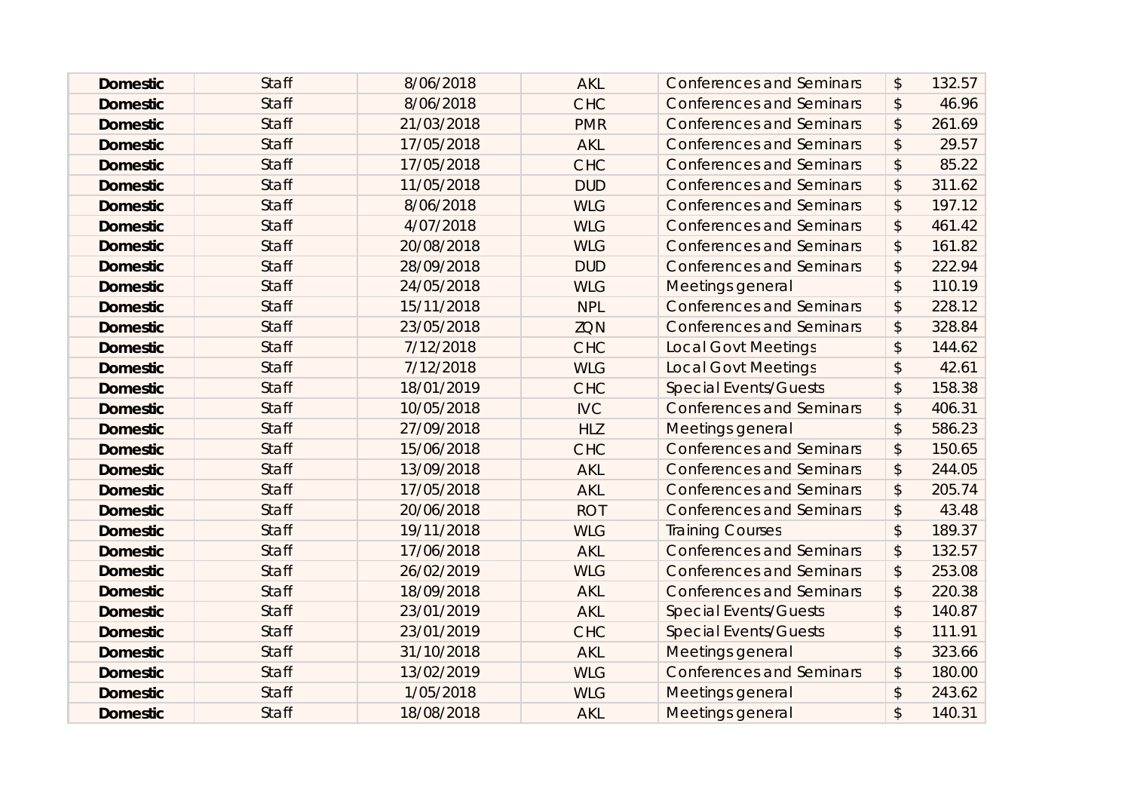| <b>Domestic</b> | <b>Staff</b> | 8/06/2018  | <b>AKL</b> | <b>Conferences and Seminars</b> | $\boldsymbol{\mathsf{S}}$ | 132.57 |
|-----------------|--------------|------------|------------|---------------------------------|---------------------------|--------|
| <b>Domestic</b> | <b>Staff</b> | 8/06/2018  | <b>CHC</b> | <b>Conferences and Seminars</b> | $\boldsymbol{\hat{z}}$    | 46.96  |
| <b>Domestic</b> | <b>Staff</b> | 21/03/2018 | <b>PMR</b> | <b>Conferences and Seminars</b> | \$                        | 261.69 |
| <b>Domestic</b> | <b>Staff</b> | 17/05/2018 | <b>AKL</b> | <b>Conferences and Seminars</b> | $\boldsymbol{\mathsf{S}}$ | 29.57  |
| <b>Domestic</b> | <b>Staff</b> | 17/05/2018 | <b>CHC</b> | <b>Conferences and Seminars</b> | $\boldsymbol{\mathsf{S}}$ | 85.22  |
| <b>Domestic</b> | <b>Staff</b> | 11/05/2018 | <b>DUD</b> | <b>Conferences and Seminars</b> | $\boldsymbol{\hat{z}}$    | 311.62 |
| <b>Domestic</b> | <b>Staff</b> | 8/06/2018  | <b>WLG</b> | <b>Conferences and Seminars</b> | \$                        | 197.12 |
| <b>Domestic</b> | <b>Staff</b> | 4/07/2018  | <b>WLG</b> | <b>Conferences and Seminars</b> | $\boldsymbol{\mathsf{S}}$ | 461.42 |
| <b>Domestic</b> | <b>Staff</b> | 20/08/2018 | <b>WLG</b> | <b>Conferences and Seminars</b> | $\boldsymbol{\mathsf{S}}$ | 161.82 |
| <b>Domestic</b> | <b>Staff</b> | 28/09/2018 | <b>DUD</b> | <b>Conferences and Seminars</b> | \$                        | 222.94 |
| <b>Domestic</b> | <b>Staff</b> | 24/05/2018 | <b>WLG</b> | Meetings general                | $\mathsf{\$}$             | 110.19 |
| <b>Domestic</b> | <b>Staff</b> | 15/11/2018 | <b>NPL</b> | <b>Conferences and Seminars</b> | $\boldsymbol{\mathsf{S}}$ | 228.12 |
| <b>Domestic</b> | <b>Staff</b> | 23/05/2018 | <b>ZQN</b> | <b>Conferences and Seminars</b> | \$                        | 328.84 |
| <b>Domestic</b> | <b>Staff</b> | 7/12/2018  | <b>CHC</b> | <b>Local Govt Meetings</b>      | $\boldsymbol{\mathsf{S}}$ | 144.62 |
| <b>Domestic</b> | <b>Staff</b> | 7/12/2018  | <b>WLG</b> | <b>Local Govt Meetings</b>      | $\boldsymbol{\mathsf{S}}$ | 42.61  |
| <b>Domestic</b> | <b>Staff</b> | 18/01/2019 | <b>CHC</b> | <b>Special Events/Guests</b>    | $\frac{1}{2}$             | 158.38 |
| <b>Domestic</b> | <b>Staff</b> | 10/05/2018 | <b>IVC</b> | <b>Conferences and Seminars</b> | $\frac{1}{2}$             | 406.31 |
| <b>Domestic</b> | <b>Staff</b> | 27/09/2018 | <b>HLZ</b> | Meetings general                | $\mathcal{L}$             | 586.23 |
| <b>Domestic</b> | <b>Staff</b> | 15/06/2018 | <b>CHC</b> | <b>Conferences and Seminars</b> | \$                        | 150.65 |
| <b>Domestic</b> | <b>Staff</b> | 13/09/2018 | <b>AKL</b> | <b>Conferences and Seminars</b> | $\sqrt{2}$                | 244.05 |
| <b>Domestic</b> | <b>Staff</b> | 17/05/2018 | <b>AKL</b> | <b>Conferences and Seminars</b> | $\boldsymbol{\mathsf{S}}$ | 205.74 |
| <b>Domestic</b> | <b>Staff</b> | 20/06/2018 | <b>ROT</b> | <b>Conferences and Seminars</b> | \$                        | 43.48  |
| <b>Domestic</b> | <b>Staff</b> | 19/11/2018 | <b>WLG</b> | <b>Training Courses</b>         | $\mathsf{\$}$             | 189.37 |
| <b>Domestic</b> | <b>Staff</b> | 17/06/2018 | <b>AKL</b> | <b>Conferences and Seminars</b> | $\boldsymbol{\hat{z}}$    | 132.57 |
| <b>Domestic</b> | <b>Staff</b> | 26/02/2019 | <b>WLG</b> | <b>Conferences and Seminars</b> | \$                        | 253.08 |
| <b>Domestic</b> | <b>Staff</b> | 18/09/2018 | <b>AKL</b> | <b>Conferences and Seminars</b> | $\sqrt{2}$                | 220.38 |
| <b>Domestic</b> | <b>Staff</b> | 23/01/2019 | <b>AKL</b> | <b>Special Events/Guests</b>    | $\mathcal{L}$             | 140.87 |
| <b>Domestic</b> | <b>Staff</b> | 23/01/2019 | <b>CHC</b> | <b>Special Events/Guests</b>    | $\boldsymbol{\mathsf{S}}$ | 111.91 |
| <b>Domestic</b> | <b>Staff</b> | 31/10/2018 | <b>AKL</b> | Meetings general                | $\sqrt{2}$                | 323.66 |
| <b>Domestic</b> | <b>Staff</b> | 13/02/2019 | <b>WLG</b> | <b>Conferences and Seminars</b> | \$                        | 180.00 |
| <b>Domestic</b> | <b>Staff</b> | 1/05/2018  | <b>WLG</b> | Meetings general                | $\boldsymbol{\mathsf{S}}$ | 243.62 |
| <b>Domestic</b> | <b>Staff</b> | 18/08/2018 | <b>AKL</b> | Meetings general                | \$                        | 140.31 |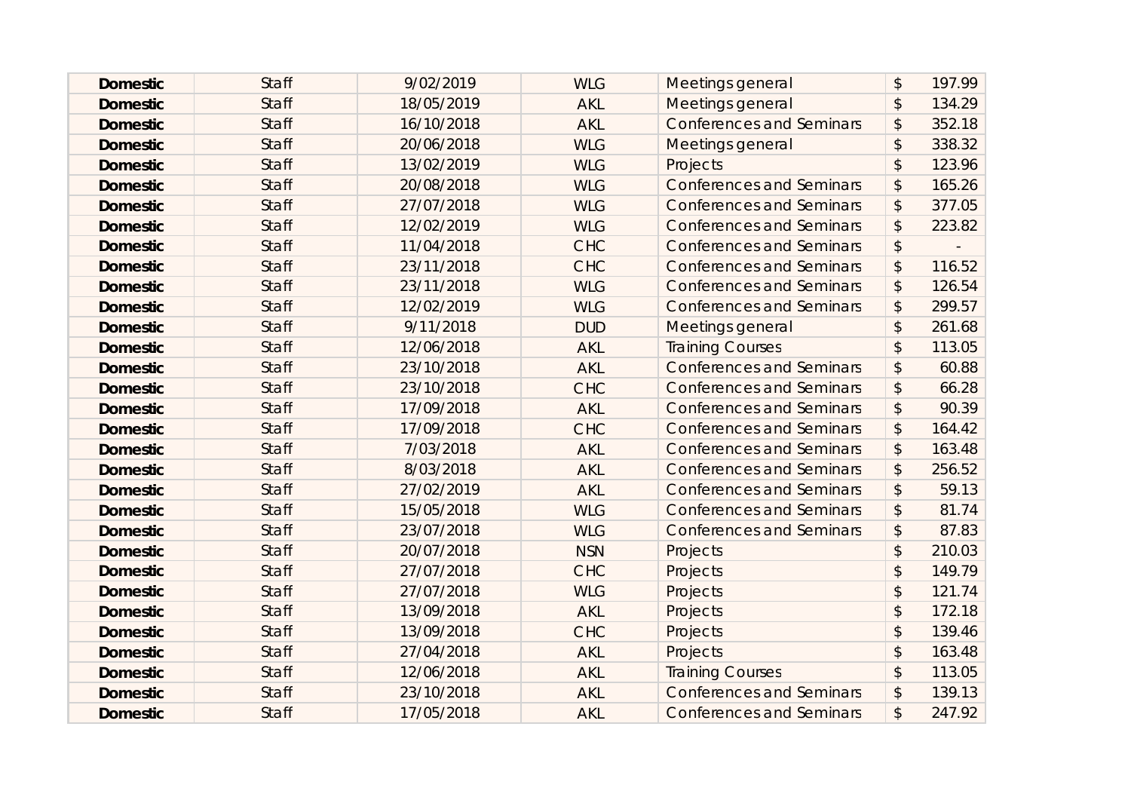| <b>Domestic</b> | <b>Staff</b> | 9/02/2019  | <b>WLG</b> | Meetings general                | $\mathcal{L}$             | 197.99 |
|-----------------|--------------|------------|------------|---------------------------------|---------------------------|--------|
| <b>Domestic</b> | <b>Staff</b> | 18/05/2019 | <b>AKL</b> | Meetings general                | $\boldsymbol{\mathsf{S}}$ | 134.29 |
| <b>Domestic</b> | <b>Staff</b> | 16/10/2018 | <b>AKL</b> | <b>Conferences and Seminars</b> | \$                        | 352.18 |
| <b>Domestic</b> | <b>Staff</b> | 20/06/2018 | <b>WLG</b> | Meetings general                | $\mathcal{L}$             | 338.32 |
| <b>Domestic</b> | <b>Staff</b> | 13/02/2019 | <b>WLG</b> | Projects                        | $\mathsf{\$}$             | 123.96 |
| <b>Domestic</b> | <b>Staff</b> | 20/08/2018 | <b>WLG</b> | <b>Conferences and Seminars</b> | $\boldsymbol{\mathsf{S}}$ | 165.26 |
| <b>Domestic</b> | <b>Staff</b> | 27/07/2018 | <b>WLG</b> | <b>Conferences and Seminars</b> | \$                        | 377.05 |
| <b>Domestic</b> | <b>Staff</b> | 12/02/2019 | <b>WLG</b> | <b>Conferences and Seminars</b> | $\boldsymbol{\mathsf{S}}$ | 223.82 |
| <b>Domestic</b> | <b>Staff</b> | 11/04/2018 | <b>CHC</b> | <b>Conferences and Seminars</b> | \$                        |        |
| <b>Domestic</b> | <b>Staff</b> | 23/11/2018 | <b>CHC</b> | <b>Conferences and Seminars</b> | $\boldsymbol{\mathsf{S}}$ | 116.52 |
| <b>Domestic</b> | <b>Staff</b> | 23/11/2018 | <b>WLG</b> | <b>Conferences and Seminars</b> | $\boldsymbol{\mathsf{S}}$ | 126.54 |
| <b>Domestic</b> | <b>Staff</b> | 12/02/2019 | <b>WLG</b> | <b>Conferences and Seminars</b> | $\boldsymbol{\hat{z}}$    | 299.57 |
| <b>Domestic</b> | <b>Staff</b> | 9/11/2018  | <b>DUD</b> | Meetings general                | $\mathcal{L}$             | 261.68 |
| <b>Domestic</b> | <b>Staff</b> | 12/06/2018 | <b>AKL</b> | <b>Training Courses</b>         | $\mathfrak{D}$            | 113.05 |
| <b>Domestic</b> | <b>Staff</b> | 23/10/2018 | <b>AKL</b> | <b>Conferences and Seminars</b> | \$                        | 60.88  |
| <b>Domestic</b> | <b>Staff</b> | 23/10/2018 | <b>CHC</b> | <b>Conferences and Seminars</b> | \$                        | 66.28  |
| <b>Domestic</b> | <b>Staff</b> | 17/09/2018 | <b>AKL</b> | <b>Conferences and Seminars</b> | $\boldsymbol{\mathsf{S}}$ | 90.39  |
| <b>Domestic</b> | <b>Staff</b> | 17/09/2018 | <b>CHC</b> | <b>Conferences and Seminars</b> | $\boldsymbol{\hat{z}}$    | 164.42 |
| <b>Domestic</b> | <b>Staff</b> | 7/03/2018  | <b>AKL</b> | <b>Conferences and Seminars</b> | \$                        | 163.48 |
| <b>Domestic</b> | <b>Staff</b> | 8/03/2018  | <b>AKL</b> | <b>Conferences and Seminars</b> | $\boldsymbol{\mathsf{S}}$ | 256.52 |
| <b>Domestic</b> | <b>Staff</b> | 27/02/2019 | <b>AKL</b> | <b>Conferences and Seminars</b> | $\boldsymbol{\mathsf{S}}$ | 59.13  |
| <b>Domestic</b> | <b>Staff</b> | 15/05/2018 | <b>WLG</b> | <b>Conferences and Seminars</b> | $\boldsymbol{\hat{z}}$    | 81.74  |
| <b>Domestic</b> | <b>Staff</b> | 23/07/2018 | <b>WLG</b> | <b>Conferences and Seminars</b> | $\boldsymbol{\mathsf{S}}$ | 87.83  |
| <b>Domestic</b> | <b>Staff</b> | 20/07/2018 | <b>NSN</b> | Projects                        | $\mathcal{L}$             | 210.03 |
| <b>Domestic</b> | <b>Staff</b> | 27/07/2018 | <b>CHC</b> | Projects                        | $\mathsf{\$}$             | 149.79 |
| <b>Domestic</b> | <b>Staff</b> | 27/07/2018 | <b>WLG</b> | Projects                        | $\mathsf{\$}$             | 121.74 |
| <b>Domestic</b> | <b>Staff</b> | 13/09/2018 | <b>AKL</b> | Projects                        | $\mathfrak{D}$            | 172.18 |
| <b>Domestic</b> | <b>Staff</b> | 13/09/2018 | <b>CHC</b> | Projects                        | \$                        | 139.46 |
| <b>Domestic</b> | <b>Staff</b> | 27/04/2018 | <b>AKL</b> | Projects                        | $\mathfrak{D}$            | 163.48 |
| <b>Domestic</b> | <b>Staff</b> | 12/06/2018 | <b>AKL</b> | <b>Training Courses</b>         | $\mathcal{L}$             | 113.05 |
| <b>Domestic</b> | <b>Staff</b> | 23/10/2018 | <b>AKL</b> | <b>Conferences and Seminars</b> | \$                        | 139.13 |
| <b>Domestic</b> | <b>Staff</b> | 17/05/2018 | <b>AKL</b> | <b>Conferences and Seminars</b> | $\mathfrak{P}$            | 247.92 |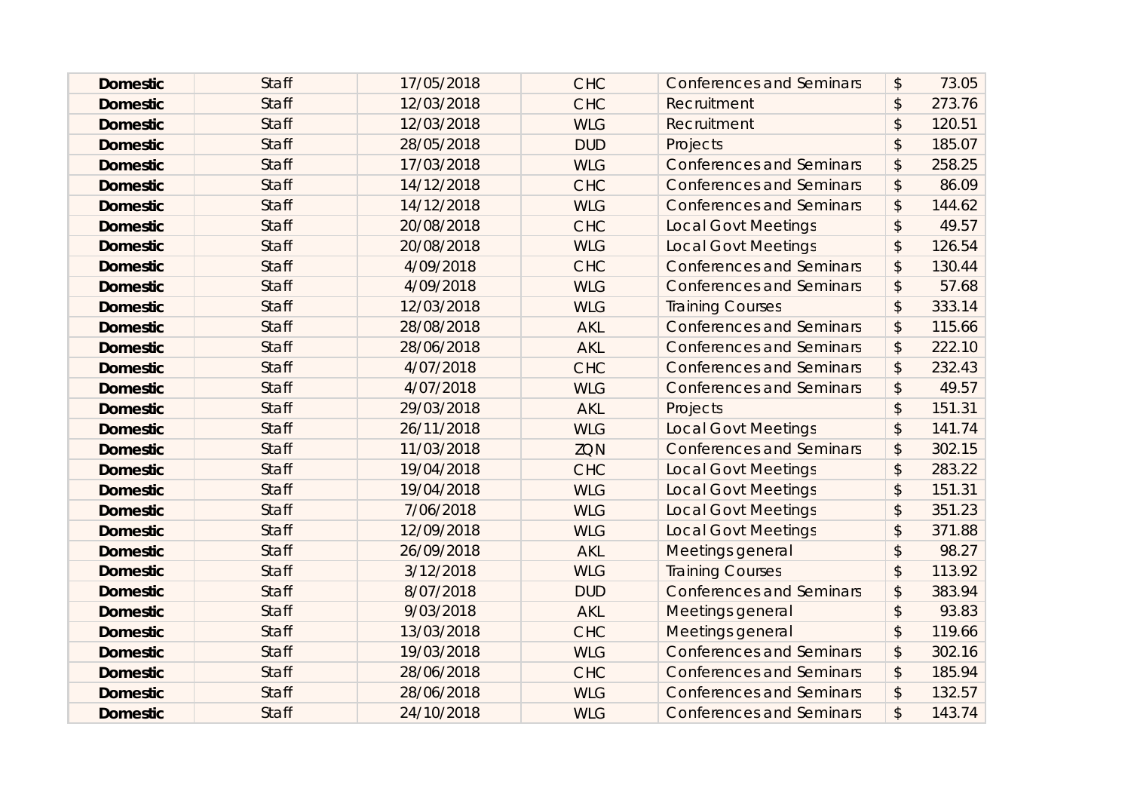| <b>Domestic</b> | <b>Staff</b> | 17/05/2018 | <b>CHC</b> | <b>Conferences and Seminars</b> | $\boldsymbol{\mathsf{S}}$ | 73.05  |
|-----------------|--------------|------------|------------|---------------------------------|---------------------------|--------|
| <b>Domestic</b> | <b>Staff</b> | 12/03/2018 | <b>CHC</b> | Recruitment                     | $\boldsymbol{\mathsf{S}}$ | 273.76 |
| <b>Domestic</b> | <b>Staff</b> | 12/03/2018 | <b>WLG</b> | Recruitment                     | $\boldsymbol{\mathsf{S}}$ | 120.51 |
| <b>Domestic</b> | <b>Staff</b> | 28/05/2018 | <b>DUD</b> | Projects                        | $\mathcal{L}$             | 185.07 |
| <b>Domestic</b> | <b>Staff</b> | 17/03/2018 | <b>WLG</b> | <b>Conferences and Seminars</b> | $\boldsymbol{\hat{z}}$    | 258.25 |
| <b>Domestic</b> | <b>Staff</b> | 14/12/2018 | <b>CHC</b> | <b>Conferences and Seminars</b> | $\boldsymbol{\mathsf{S}}$ | 86.09  |
| <b>Domestic</b> | <b>Staff</b> | 14/12/2018 | <b>WLG</b> | <b>Conferences and Seminars</b> | $\mathcal{L}$             | 144.62 |
| <b>Domestic</b> | <b>Staff</b> | 20/08/2018 | <b>CHC</b> | <b>Local Govt Meetings</b>      | $\boldsymbol{\mathsf{S}}$ | 49.57  |
| <b>Domestic</b> | <b>Staff</b> | 20/08/2018 | <b>WLG</b> | <b>Local Govt Meetings</b>      | $\boldsymbol{\mathsf{S}}$ | 126.54 |
| <b>Domestic</b> | <b>Staff</b> | 4/09/2018  | <b>CHC</b> | <b>Conferences and Seminars</b> | $\boldsymbol{\mathsf{S}}$ | 130.44 |
| <b>Domestic</b> | <b>Staff</b> | 4/09/2018  | <b>WLG</b> | <b>Conferences and Seminars</b> | $\boldsymbol{\hat{z}}$    | 57.68  |
| <b>Domestic</b> | <b>Staff</b> | 12/03/2018 | <b>WLG</b> | <b>Training Courses</b>         | $\mathsf{\$}$             | 333.14 |
| <b>Domestic</b> | <b>Staff</b> | 28/08/2018 | <b>AKL</b> | <b>Conferences and Seminars</b> | \$                        | 115.66 |
| <b>Domestic</b> | <b>Staff</b> | 28/06/2018 | <b>AKL</b> | <b>Conferences and Seminars</b> | $\boldsymbol{\mathsf{S}}$ | 222.10 |
| <b>Domestic</b> | <b>Staff</b> | 4/07/2018  | <b>CHC</b> | <b>Conferences and Seminars</b> | $\boldsymbol{\hat{z}}$    | 232.43 |
| <b>Domestic</b> | <b>Staff</b> | 4/07/2018  | <b>WLG</b> | <b>Conferences and Seminars</b> | \$                        | 49.57  |
| <b>Domestic</b> | <b>Staff</b> | 29/03/2018 | <b>AKL</b> | Projects                        | $\mathfrak{D}$            | 151.31 |
| <b>Domestic</b> | <b>Staff</b> | 26/11/2018 | <b>WLG</b> | <b>Local Govt Meetings</b>      | $\mathcal{L}$             | 141.74 |
| <b>Domestic</b> | <b>Staff</b> | 11/03/2018 | <b>ZQN</b> | <b>Conferences and Seminars</b> | \$                        | 302.15 |
| <b>Domestic</b> | <b>Staff</b> | 19/04/2018 | <b>CHC</b> | <b>Local Govt Meetings</b>      | $\mathfrak{D}$            | 283.22 |
| <b>Domestic</b> | <b>Staff</b> | 19/04/2018 | <b>WLG</b> | <b>Local Govt Meetings</b>      | $\boldsymbol{\mathsf{S}}$ | 151.31 |
| <b>Domestic</b> | <b>Staff</b> | 7/06/2018  | <b>WLG</b> | <b>Local Govt Meetings</b>      | $\boldsymbol{\mathsf{S}}$ | 351.23 |
| <b>Domestic</b> | <b>Staff</b> | 12/09/2018 | <b>WLG</b> | <b>Local Govt Meetings</b>      | $\mathfrak{D}$            | 371.88 |
| <b>Domestic</b> | <b>Staff</b> | 26/09/2018 | <b>AKL</b> | Meetings general                | $\mathfrak{D}$            | 98.27  |
| <b>Domestic</b> | <b>Staff</b> | 3/12/2018  | <b>WLG</b> | <b>Training Courses</b>         | $\mathfrak{D}$            | 113.92 |
| <b>Domestic</b> | <b>Staff</b> | 8/07/2018  | <b>DUD</b> | <b>Conferences and Seminars</b> | $\sqrt{2}$                | 383.94 |
| <b>Domestic</b> | <b>Staff</b> | 9/03/2018  | <b>AKL</b> | Meetings general                | $\mathfrak{D}$            | 93.83  |
| <b>Domestic</b> | <b>Staff</b> | 13/03/2018 | <b>CHC</b> | Meetings general                | $\boldsymbol{\mathsf{S}}$ | 119.66 |
| <b>Domestic</b> | <b>Staff</b> | 19/03/2018 | <b>WLG</b> | <b>Conferences and Seminars</b> | $\frac{1}{2}$             | 302.16 |
| <b>Domestic</b> | <b>Staff</b> | 28/06/2018 | <b>CHC</b> | <b>Conferences and Seminars</b> | \$                        | 185.94 |
| <b>Domestic</b> | <b>Staff</b> | 28/06/2018 | <b>WLG</b> | <b>Conferences and Seminars</b> | \$                        | 132.57 |
| <b>Domestic</b> | <b>Staff</b> | 24/10/2018 | <b>WLG</b> | <b>Conferences and Seminars</b> | $\mathfrak{P}$            | 143.74 |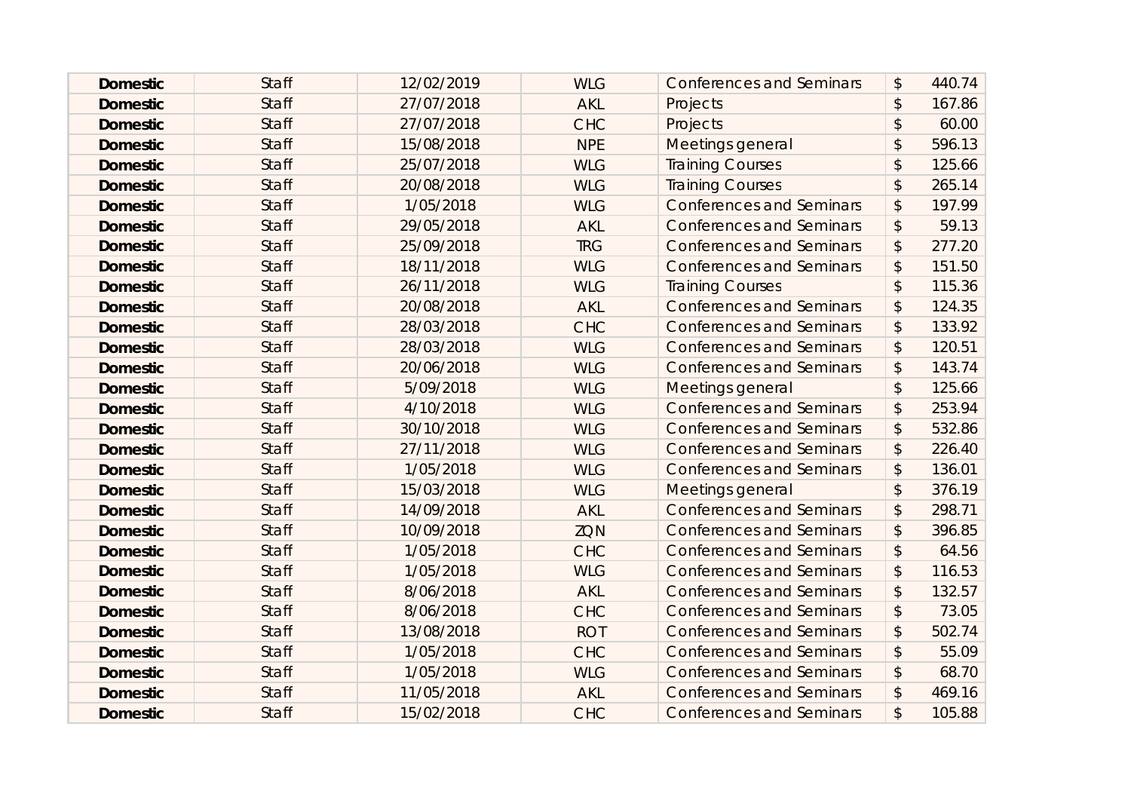| <b>Domestic</b> | <b>Staff</b> | 12/02/2019 | <b>WLG</b> | <b>Conferences and Seminars</b> | $\boldsymbol{\mathsf{S}}$ | 440.74 |
|-----------------|--------------|------------|------------|---------------------------------|---------------------------|--------|
| <b>Domestic</b> | <b>Staff</b> | 27/07/2018 | <b>AKL</b> | Projects                        | $\mathfrak{D}$            | 167.86 |
| <b>Domestic</b> | <b>Staff</b> | 27/07/2018 | <b>CHC</b> | Projects                        | \$                        | 60.00  |
| <b>Domestic</b> | <b>Staff</b> | 15/08/2018 | <b>NPE</b> | Meetings general                | $\boldsymbol{\mathsf{S}}$ | 596.13 |
| <b>Domestic</b> | <b>Staff</b> | 25/07/2018 | <b>WLG</b> | <b>Training Courses</b>         | $\mathfrak{D}$            | 125.66 |
| <b>Domestic</b> | <b>Staff</b> | 20/08/2018 | <b>WLG</b> | <b>Training Courses</b>         | $\mathcal{L}$             | 265.14 |
| <b>Domestic</b> | <b>Staff</b> | 1/05/2018  | <b>WLG</b> | <b>Conferences and Seminars</b> | \$                        | 197.99 |
| <b>Domestic</b> | <b>Staff</b> | 29/05/2018 | <b>AKL</b> | <b>Conferences and Seminars</b> | $\boldsymbol{\mathsf{S}}$ | 59.13  |
| <b>Domestic</b> | <b>Staff</b> | 25/09/2018 | <b>TRG</b> | <b>Conferences and Seminars</b> | $\boldsymbol{\mathsf{S}}$ | 277.20 |
| <b>Domestic</b> | <b>Staff</b> | 18/11/2018 | <b>WLG</b> | <b>Conferences and Seminars</b> | \$                        | 151.50 |
| <b>Domestic</b> | <b>Staff</b> | 26/11/2018 | <b>WLG</b> | <b>Training Courses</b>         | $\sqrt{2}$                | 115.36 |
| <b>Domestic</b> | <b>Staff</b> | 20/08/2018 | <b>AKL</b> | <b>Conferences and Seminars</b> | $\boldsymbol{\mathsf{S}}$ | 124.35 |
| <b>Domestic</b> | <b>Staff</b> | 28/03/2018 | <b>CHC</b> | <b>Conferences and Seminars</b> | \$                        | 133.92 |
| <b>Domestic</b> | <b>Staff</b> | 28/03/2018 | <b>WLG</b> | <b>Conferences and Seminars</b> | $\boldsymbol{\mathsf{S}}$ | 120.51 |
| <b>Domestic</b> | <b>Staff</b> | 20/06/2018 | <b>WLG</b> | <b>Conferences and Seminars</b> | \$                        | 143.74 |
| <b>Domestic</b> | <b>Staff</b> | 5/09/2018  | <b>WLG</b> | Meetings general                | $\boldsymbol{\mathsf{S}}$ | 125.66 |
| <b>Domestic</b> | <b>Staff</b> | 4/10/2018  | <b>WLG</b> | <b>Conferences and Seminars</b> | $\sqrt{2}$                | 253.94 |
| <b>Domestic</b> | <b>Staff</b> | 30/10/2018 | <b>WLG</b> | <b>Conferences and Seminars</b> | \$                        | 532.86 |
| <b>Domestic</b> | <b>Staff</b> | 27/11/2018 | <b>WLG</b> | <b>Conferences and Seminars</b> | \$                        | 226.40 |
| <b>Domestic</b> | <b>Staff</b> | 1/05/2018  | <b>WLG</b> | <b>Conferences and Seminars</b> | $\frac{1}{2}$             | 136.01 |
| <b>Domestic</b> | <b>Staff</b> | 15/03/2018 | <b>WLG</b> | Meetings general                | $\mathcal{L}$             | 376.19 |
| <b>Domestic</b> | <b>Staff</b> | 14/09/2018 | <b>AKL</b> | <b>Conferences and Seminars</b> | $\boldsymbol{\mathsf{S}}$ | 298.71 |
| <b>Domestic</b> | <b>Staff</b> | 10/09/2018 | <b>ZQN</b> | <b>Conferences and Seminars</b> | $\sqrt{2}$                | 396.85 |
| <b>Domestic</b> | <b>Staff</b> | 1/05/2018  | <b>CHC</b> | <b>Conferences and Seminars</b> | $\boldsymbol{\mathsf{S}}$ | 64.56  |
| <b>Domestic</b> | <b>Staff</b> | 1/05/2018  | <b>WLG</b> | <b>Conferences and Seminars</b> | \$                        | 116.53 |
| <b>Domestic</b> | <b>Staff</b> | 8/06/2018  | <b>AKL</b> | <b>Conferences and Seminars</b> | $\frac{1}{2}$             | 132.57 |
| <b>Domestic</b> | <b>Staff</b> | 8/06/2018  | <b>CHC</b> | <b>Conferences and Seminars</b> | $\boldsymbol{\mathsf{S}}$ | 73.05  |
| <b>Domestic</b> | <b>Staff</b> | 13/08/2018 | <b>ROT</b> | <b>Conferences and Seminars</b> | \$                        | 502.74 |
| <b>Domestic</b> | <b>Staff</b> | 1/05/2018  | <b>CHC</b> | <b>Conferences and Seminars</b> | $\sqrt{2}$                | 55.09  |
| <b>Domestic</b> | <b>Staff</b> | 1/05/2018  | <b>WLG</b> | <b>Conferences and Seminars</b> | $\boldsymbol{\mathsf{S}}$ | 68.70  |
| <b>Domestic</b> | <b>Staff</b> | 11/05/2018 | <b>AKL</b> | <b>Conferences and Seminars</b> | \$                        | 469.16 |
| <b>Domestic</b> | <b>Staff</b> | 15/02/2018 | <b>CHC</b> | <b>Conferences and Seminars</b> | $\mathfrak{P}$            | 105.88 |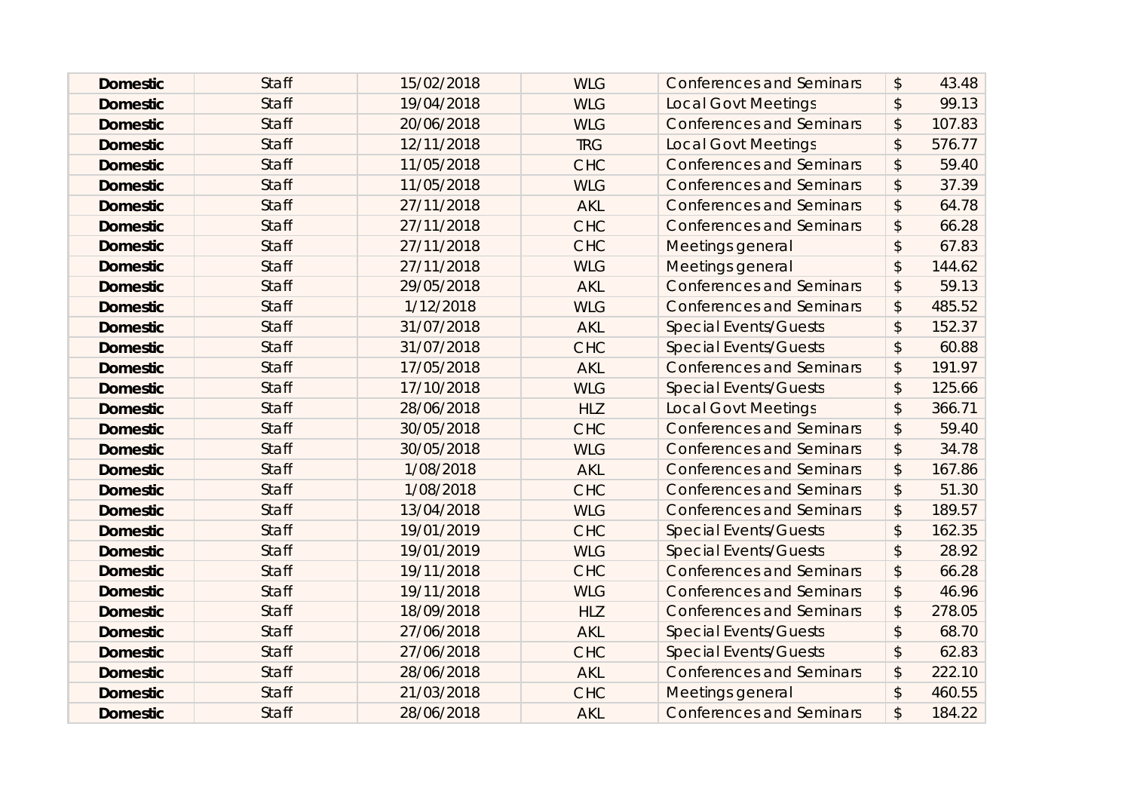| <b>Domestic</b> | <b>Staff</b> | 15/02/2018 | <b>WLG</b> | <b>Conferences and Seminars</b> | $\boldsymbol{\mathsf{S}}$ | 43.48  |
|-----------------|--------------|------------|------------|---------------------------------|---------------------------|--------|
| <b>Domestic</b> | <b>Staff</b> | 19/04/2018 | <b>WLG</b> | <b>Local Govt Meetings</b>      | $\boldsymbol{\mathsf{S}}$ | 99.13  |
| <b>Domestic</b> | <b>Staff</b> | 20/06/2018 | <b>WLG</b> | <b>Conferences and Seminars</b> | \$                        | 107.83 |
| <b>Domestic</b> | <b>Staff</b> | 12/11/2018 | <b>TRG</b> | <b>Local Govt Meetings</b>      | $\boldsymbol{\mathsf{S}}$ | 576.77 |
| <b>Domestic</b> | <b>Staff</b> | 11/05/2018 | <b>CHC</b> | <b>Conferences and Seminars</b> | $\boldsymbol{\mathsf{S}}$ | 59.40  |
| <b>Domestic</b> | <b>Staff</b> | 11/05/2018 | <b>WLG</b> | <b>Conferences and Seminars</b> | $\boldsymbol{\mathsf{S}}$ | 37.39  |
| <b>Domestic</b> | <b>Staff</b> | 27/11/2018 | <b>AKL</b> | <b>Conferences and Seminars</b> | \$                        | 64.78  |
| <b>Domestic</b> | <b>Staff</b> | 27/11/2018 | <b>CHC</b> | <b>Conferences and Seminars</b> | $\boldsymbol{\mathsf{S}}$ | 66.28  |
| <b>Domestic</b> | <b>Staff</b> | 27/11/2018 | <b>CHC</b> | Meetings general                | $\mathcal{L}$             | 67.83  |
| <b>Domestic</b> | <b>Staff</b> | 27/11/2018 | <b>WLG</b> | Meetings general                | $\boldsymbol{\mathsf{S}}$ | 144.62 |
| <b>Domestic</b> | <b>Staff</b> | 29/05/2018 | <b>AKL</b> | <b>Conferences and Seminars</b> | $\boldsymbol{\mathsf{S}}$ | 59.13  |
| <b>Domestic</b> | <b>Staff</b> | 1/12/2018  | <b>WLG</b> | <b>Conferences and Seminars</b> | $\boldsymbol{\mathsf{S}}$ | 485.52 |
| <b>Domestic</b> | <b>Staff</b> | 31/07/2018 | <b>AKL</b> | <b>Special Events/Guests</b>    | \$                        | 152.37 |
| <b>Domestic</b> | <b>Staff</b> | 31/07/2018 | <b>CHC</b> | <b>Special Events/Guests</b>    | $\mathcal{L}$             | 60.88  |
| <b>Domestic</b> | <b>Staff</b> | 17/05/2018 | <b>AKL</b> | <b>Conferences and Seminars</b> | $\mathcal{L}$             | 191.97 |
| <b>Domestic</b> | <b>Staff</b> | 17/10/2018 | <b>WLG</b> | <b>Special Events/Guests</b>    | $\sqrt{2}$                | 125.66 |
| <b>Domestic</b> | <b>Staff</b> | 28/06/2018 | <b>HLZ</b> | <b>Local Govt Meetings</b>      | $\sqrt{2}$                | 366.71 |
| <b>Domestic</b> | <b>Staff</b> | 30/05/2018 | <b>CHC</b> | <b>Conferences and Seminars</b> | $\boldsymbol{\mathsf{S}}$ | 59.40  |
| <b>Domestic</b> | <b>Staff</b> | 30/05/2018 | <b>WLG</b> | <b>Conferences and Seminars</b> | $\boldsymbol{\mathsf{S}}$ | 34.78  |
| <b>Domestic</b> | <b>Staff</b> | 1/08/2018  | <b>AKL</b> | <b>Conferences and Seminars</b> | $\frac{1}{2}$             | 167.86 |
| <b>Domestic</b> | <b>Staff</b> | 1/08/2018  | <b>CHC</b> | <b>Conferences and Seminars</b> | $\mathcal{L}$             | 51.30  |
| <b>Domestic</b> | <b>Staff</b> | 13/04/2018 | <b>WLG</b> | <b>Conferences and Seminars</b> | \$                        | 189.57 |
| <b>Domestic</b> | <b>Staff</b> | 19/01/2019 | <b>CHC</b> | <b>Special Events/Guests</b>    | $\sqrt[6]{\frac{1}{2}}$   | 162.35 |
| <b>Domestic</b> | <b>Staff</b> | 19/01/2019 | <b>WLG</b> | <b>Special Events/Guests</b>    | $\mathcal{L}$             | 28.92  |
| <b>Domestic</b> | <b>Staff</b> | 19/11/2018 | <b>CHC</b> | <b>Conferences and Seminars</b> | $\boldsymbol{\mathsf{S}}$ | 66.28  |
| <b>Domestic</b> | <b>Staff</b> | 19/11/2018 | <b>WLG</b> | <b>Conferences and Seminars</b> | $\frac{1}{2}$             | 46.96  |
| <b>Domestic</b> | <b>Staff</b> | 18/09/2018 | <b>HLZ</b> | <b>Conferences and Seminars</b> | $\boldsymbol{\mathsf{S}}$ | 278.05 |
| <b>Domestic</b> | <b>Staff</b> | 27/06/2018 | <b>AKL</b> | <b>Special Events/Guests</b>    | $\frac{1}{2}$             | 68.70  |
| <b>Domestic</b> | <b>Staff</b> | 27/06/2018 | <b>CHC</b> | <b>Special Events/Guests</b>    | $\sqrt{2}$                | 62.83  |
| <b>Domestic</b> | <b>Staff</b> | 28/06/2018 | <b>AKL</b> | <b>Conferences and Seminars</b> | $\boldsymbol{\mathsf{S}}$ | 222.10 |
| <b>Domestic</b> | <b>Staff</b> | 21/03/2018 | <b>CHC</b> | Meetings general                | $\boldsymbol{\mathsf{S}}$ | 460.55 |
| <b>Domestic</b> | <b>Staff</b> | 28/06/2018 | <b>AKL</b> | <b>Conferences and Seminars</b> | \$                        | 184.22 |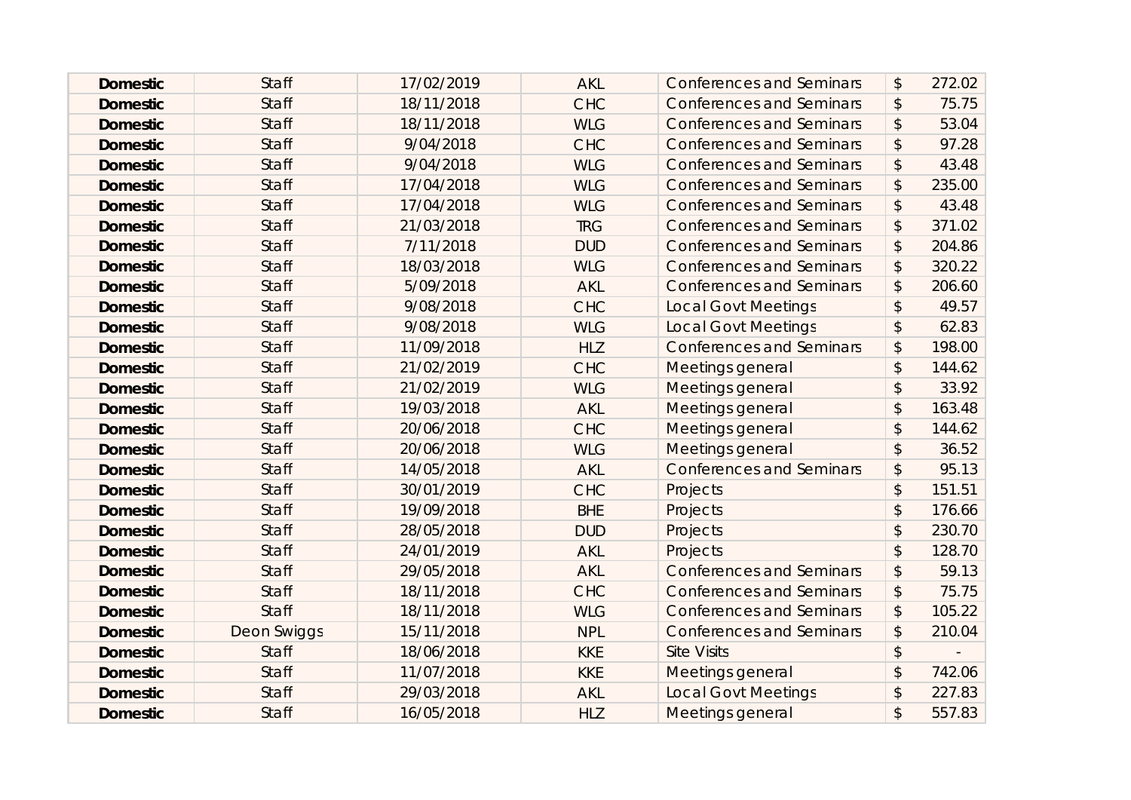| <b>Domestic</b> | <b>Staff</b>       | 17/02/2019 | <b>AKL</b> | <b>Conferences and Seminars</b> | $\boldsymbol{\mathsf{S}}$ | 272.02 |
|-----------------|--------------------|------------|------------|---------------------------------|---------------------------|--------|
| <b>Domestic</b> | <b>Staff</b>       | 18/11/2018 | <b>CHC</b> | <b>Conferences and Seminars</b> | $\boldsymbol{\mathsf{S}}$ | 75.75  |
| <b>Domestic</b> | <b>Staff</b>       | 18/11/2018 | <b>WLG</b> | <b>Conferences and Seminars</b> | \$                        | 53.04  |
| <b>Domestic</b> | <b>Staff</b>       | 9/04/2018  | <b>CHC</b> | <b>Conferences and Seminars</b> | \$                        | 97.28  |
| <b>Domestic</b> | <b>Staff</b>       | 9/04/2018  | <b>WLG</b> | <b>Conferences and Seminars</b> | $\boldsymbol{\mathsf{S}}$ | 43.48  |
| <b>Domestic</b> | <b>Staff</b>       | 17/04/2018 | <b>WLG</b> | <b>Conferences and Seminars</b> | $\boldsymbol{\mathsf{S}}$ | 235.00 |
| <b>Domestic</b> | <b>Staff</b>       | 17/04/2018 | <b>WLG</b> | <b>Conferences and Seminars</b> | \$                        | 43.48  |
| <b>Domestic</b> | <b>Staff</b>       | 21/03/2018 | <b>TRG</b> | <b>Conferences and Seminars</b> | $\boldsymbol{\mathsf{S}}$ | 371.02 |
| <b>Domestic</b> | <b>Staff</b>       | 7/11/2018  | <b>DUD</b> | <b>Conferences and Seminars</b> | \$                        | 204.86 |
| <b>Domestic</b> | <b>Staff</b>       | 18/03/2018 | <b>WLG</b> | <b>Conferences and Seminars</b> | \$                        | 320.22 |
| <b>Domestic</b> | <b>Staff</b>       | 5/09/2018  | <b>AKL</b> | <b>Conferences and Seminars</b> | $\boldsymbol{\mathsf{S}}$ | 206.60 |
| <b>Domestic</b> | <b>Staff</b>       | 9/08/2018  | <b>CHC</b> | <b>Local Govt Meetings</b>      | $\mathcal{L}$             | 49.57  |
| <b>Domestic</b> | <b>Staff</b>       | 9/08/2018  | <b>WLG</b> | <b>Local Govt Meetings</b>      | \$                        | 62.83  |
| <b>Domestic</b> | <b>Staff</b>       | 11/09/2018 | <b>HLZ</b> | <b>Conferences and Seminars</b> | $\mathcal{L}$             | 198.00 |
| <b>Domestic</b> | <b>Staff</b>       | 21/02/2019 | <b>CHC</b> | Meetings general                | $\mathcal{L}$             | 144.62 |
| <b>Domestic</b> | <b>Staff</b>       | 21/02/2019 | <b>WLG</b> | Meetings general                | \$                        | 33.92  |
| <b>Domestic</b> | <b>Staff</b>       | 19/03/2018 | <b>AKL</b> | Meetings general                | \$                        | 163.48 |
| <b>Domestic</b> | <b>Staff</b>       | 20/06/2018 | <b>CHC</b> | Meetings general                | $\sqrt{3}$                | 144.62 |
| <b>Domestic</b> | <b>Staff</b>       | 20/06/2018 | <b>WLG</b> | Meetings general                | $\boldsymbol{\mathsf{S}}$ | 36.52  |
| <b>Domestic</b> | <b>Staff</b>       | 14/05/2018 | <b>AKL</b> | <b>Conferences and Seminars</b> | $\boldsymbol{\mathsf{S}}$ | 95.13  |
| <b>Domestic</b> | <b>Staff</b>       | 30/01/2019 | <b>CHC</b> | Projects                        | $\mathcal{L}$             | 151.51 |
| <b>Domestic</b> | <b>Staff</b>       | 19/09/2018 | <b>BHE</b> | Projects                        | $\mathcal{L}$             | 176.66 |
| <b>Domestic</b> | <b>Staff</b>       | 28/05/2018 | <b>DUD</b> | Projects                        | $\mathbf{\hat{S}}$        | 230.70 |
| <b>Domestic</b> | <b>Staff</b>       | 24/01/2019 | <b>AKL</b> | Projects                        | $\mathcal{L}$             | 128.70 |
| <b>Domestic</b> | <b>Staff</b>       | 29/05/2018 | <b>AKL</b> | <b>Conferences and Seminars</b> | \$                        | 59.13  |
| <b>Domestic</b> | <b>Staff</b>       | 18/11/2018 | <b>CHC</b> | <b>Conferences and Seminars</b> | $\frac{1}{2}$             | 75.75  |
| <b>Domestic</b> | <b>Staff</b>       | 18/11/2018 | <b>WLG</b> | <b>Conferences and Seminars</b> | $\boldsymbol{\mathsf{S}}$ | 105.22 |
| <b>Domestic</b> | <b>Deon Swiggs</b> | 15/11/2018 | <b>NPL</b> | <b>Conferences and Seminars</b> | \$                        | 210.04 |
| <b>Domestic</b> | <b>Staff</b>       | 18/06/2018 | <b>KKE</b> | <b>Site Visits</b>              | $\boldsymbol{\mathsf{S}}$ |        |
| <b>Domestic</b> | <b>Staff</b>       | 11/07/2018 | <b>KKE</b> | Meetings general                | $\mathcal{L}$             | 742.06 |
| <b>Domestic</b> | <b>Staff</b>       | 29/03/2018 | <b>AKL</b> | <b>Local Govt Meetings</b>      | \$                        | 227.83 |
| <b>Domestic</b> | <b>Staff</b>       | 16/05/2018 | <b>HLZ</b> | Meetings general                | $\mathsf{\$}$             | 557.83 |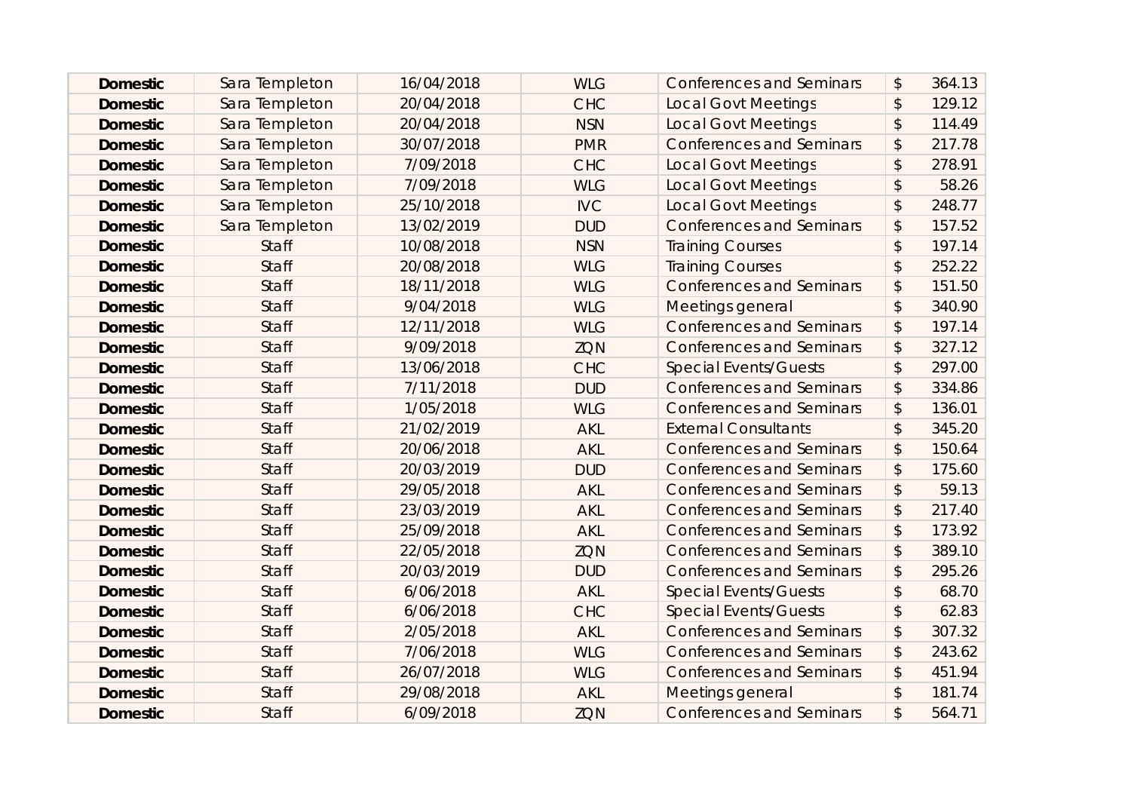| <b>Domestic</b> | Sara Templeton | 16/04/2018 | <b>WLG</b> | <b>Conferences and Seminars</b> | $\frac{1}{2}$             | 364.13 |
|-----------------|----------------|------------|------------|---------------------------------|---------------------------|--------|
| <b>Domestic</b> | Sara Templeton | 20/04/2018 | <b>CHC</b> | <b>Local Govt Meetings</b>      | $\boldsymbol{\hat{z}}$    | 129.12 |
| <b>Domestic</b> | Sara Templeton | 20/04/2018 | <b>NSN</b> | <b>Local Govt Meetings</b>      | $\boldsymbol{\hat{z}}$    | 114.49 |
| <b>Domestic</b> | Sara Templeton | 30/07/2018 | <b>PMR</b> | <b>Conferences and Seminars</b> | $\frac{1}{2}$             | 217.78 |
| <b>Domestic</b> | Sara Templeton | 7/09/2018  | <b>CHC</b> | <b>Local Govt Meetings</b>      | $\boldsymbol{\hat{z}}$    | 278.91 |
| <b>Domestic</b> | Sara Templeton | 7/09/2018  | <b>WLG</b> | <b>Local Govt Meetings</b>      | $\boldsymbol{\hat{z}}$    | 58.26  |
| <b>Domestic</b> | Sara Templeton | 25/10/2018 | <b>IVC</b> | <b>Local Govt Meetings</b>      | \$                        | 248.77 |
| <b>Domestic</b> | Sara Templeton | 13/02/2019 | <b>DUD</b> | <b>Conferences and Seminars</b> | $\boldsymbol{\mathsf{S}}$ | 157.52 |
| <b>Domestic</b> | <b>Staff</b>   | 10/08/2018 | <b>NSN</b> | <b>Training Courses</b>         | $\boldsymbol{\mathsf{S}}$ | 197.14 |
| <b>Domestic</b> | <b>Staff</b>   | 20/08/2018 | <b>WLG</b> | <b>Training Courses</b>         | $\boldsymbol{\mathsf{S}}$ | 252.22 |
| <b>Domestic</b> | <b>Staff</b>   | 18/11/2018 | <b>WLG</b> | <b>Conferences and Seminars</b> | $\boldsymbol{\mathsf{S}}$ | 151.50 |
| <b>Domestic</b> | <b>Staff</b>   | 9/04/2018  | <b>WLG</b> | Meetings general                | $\boldsymbol{\hat{z}}$    | 340.90 |
| <b>Domestic</b> | <b>Staff</b>   | 12/11/2018 | <b>WLG</b> | <b>Conferences and Seminars</b> | \$                        | 197.14 |
| <b>Domestic</b> | <b>Staff</b>   | 9/09/2018  | ZQN        | <b>Conferences and Seminars</b> | $\frac{1}{2}$             | 327.12 |
| <b>Domestic</b> | <b>Staff</b>   | 13/06/2018 | <b>CHC</b> | <b>Special Events/Guests</b>    | $\boldsymbol{\hat{z}}$    | 297.00 |
| <b>Domestic</b> | <b>Staff</b>   | 7/11/2018  | <b>DUD</b> | <b>Conferences and Seminars</b> | $\frac{1}{2}$             | 334.86 |
| <b>Domestic</b> | <b>Staff</b>   | 1/05/2018  | <b>WLG</b> | <b>Conferences and Seminars</b> | $\frac{1}{2}$             | 136.01 |
| <b>Domestic</b> | <b>Staff</b>   | 21/02/2019 | <b>AKL</b> | <b>External Consultants</b>     | $\mathfrak{D}$            | 345.20 |
| <b>Domestic</b> | <b>Staff</b>   | 20/06/2018 | <b>AKL</b> | <b>Conferences and Seminars</b> | \$                        | 150.64 |
| <b>Domestic</b> | <b>Staff</b>   | 20/03/2019 | <b>DUD</b> | <b>Conferences and Seminars</b> | \$                        | 175.60 |
| <b>Domestic</b> | <b>Staff</b>   | 29/05/2018 | <b>AKL</b> | <b>Conferences and Seminars</b> | $\boldsymbol{\hat{z}}$    | 59.13  |
| <b>Domestic</b> | <b>Staff</b>   | 23/03/2019 | <b>AKL</b> | <b>Conferences and Seminars</b> | $\frac{1}{2}$             | 217.40 |
| <b>Domestic</b> | <b>Staff</b>   | 25/09/2018 | <b>AKL</b> | <b>Conferences and Seminars</b> | \$                        | 173.92 |
| <b>Domestic</b> | <b>Staff</b>   | 22/05/2018 | <b>ZQN</b> | <b>Conferences and Seminars</b> | $\boldsymbol{\hat{z}}$    | 389.10 |
| <b>Domestic</b> | <b>Staff</b>   | 20/03/2019 | <b>DUD</b> | <b>Conferences and Seminars</b> | \$                        | 295.26 |
| <b>Domestic</b> | <b>Staff</b>   | 6/06/2018  | <b>AKL</b> | <b>Special Events/Guests</b>    | \$                        | 68.70  |
| <b>Domestic</b> | <b>Staff</b>   | 6/06/2018  | <b>CHC</b> | <b>Special Events/Guests</b>    | $\mathfrak{D}$            | 62.83  |
| <b>Domestic</b> | <b>Staff</b>   | 2/05/2018  | <b>AKL</b> | <b>Conferences and Seminars</b> | \$                        | 307.32 |
| <b>Domestic</b> | <b>Staff</b>   | 7/06/2018  | <b>WLG</b> | <b>Conferences and Seminars</b> | $\boldsymbol{\hat{z}}$    | 243.62 |
| <b>Domestic</b> | <b>Staff</b>   | 26/07/2018 | <b>WLG</b> | <b>Conferences and Seminars</b> | \$                        | 451.94 |
| <b>Domestic</b> | <b>Staff</b>   | 29/08/2018 | <b>AKL</b> | Meetings general                | $\boldsymbol{\hat{z}}$    | 181.74 |
| <b>Domestic</b> | <b>Staff</b>   | 6/09/2018  | <b>ZQN</b> | <b>Conferences and Seminars</b> | \$                        | 564.71 |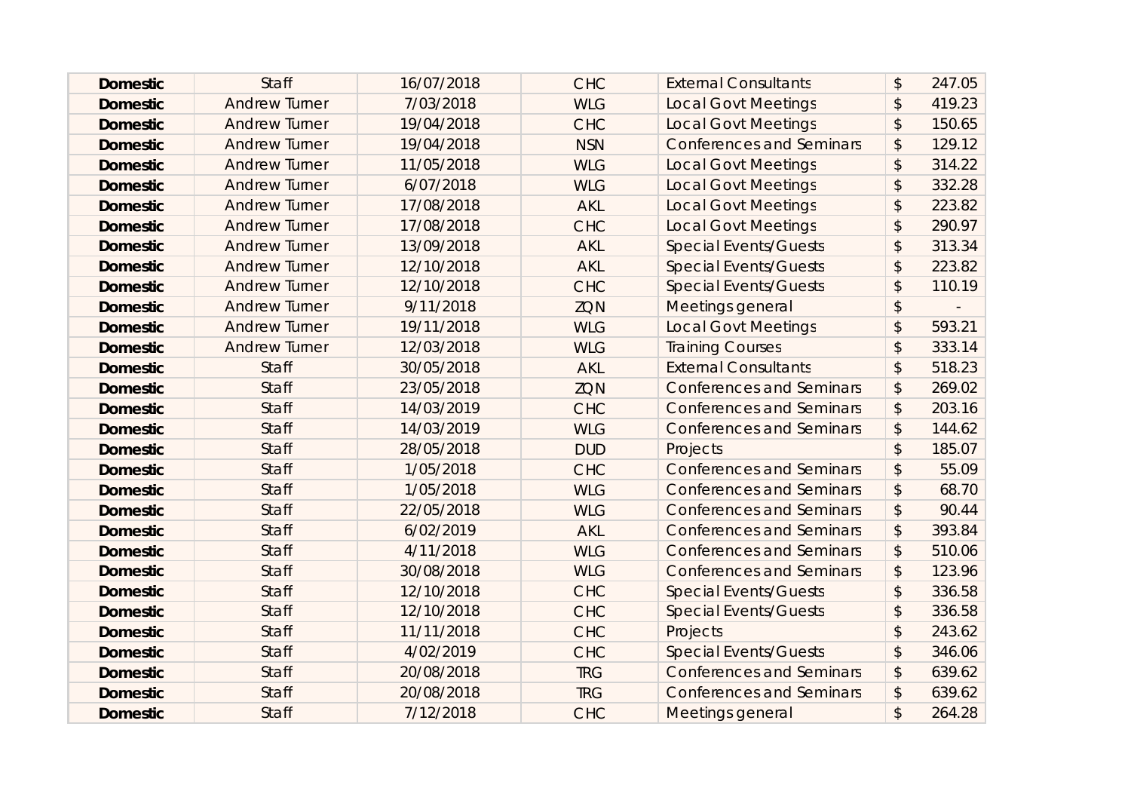| <b>Domestic</b> | <b>Staff</b>         | 16/07/2018 | <b>CHC</b> | <b>External Consultants</b>     | $\boldsymbol{\hat{z}}$    | 247.05 |
|-----------------|----------------------|------------|------------|---------------------------------|---------------------------|--------|
| <b>Domestic</b> | <b>Andrew Turner</b> | 7/03/2018  | <b>WLG</b> | <b>Local Govt Meetings</b>      | \$                        | 419.23 |
| <b>Domestic</b> | <b>Andrew Turner</b> | 19/04/2018 | <b>CHC</b> | <b>Local Govt Meetings</b>      | $\boldsymbol{\hat{z}}$    | 150.65 |
| <b>Domestic</b> | <b>Andrew Turner</b> | 19/04/2018 | <b>NSN</b> | <b>Conferences and Seminars</b> | \$                        | 129.12 |
| <b>Domestic</b> | <b>Andrew Turner</b> | 11/05/2018 | <b>WLG</b> | <b>Local Govt Meetings</b>      | $\mathfrak{D}$            | 314.22 |
| <b>Domestic</b> | <b>Andrew Turner</b> | 6/07/2018  | <b>WLG</b> | <b>Local Govt Meetings</b>      | $\boldsymbol{\mathsf{S}}$ | 332.28 |
| <b>Domestic</b> | <b>Andrew Turner</b> | 17/08/2018 | <b>AKL</b> | <b>Local Govt Meetings</b>      | $\boldsymbol{\mathsf{S}}$ | 223.82 |
| <b>Domestic</b> | <b>Andrew Turner</b> | 17/08/2018 | <b>CHC</b> | <b>Local Govt Meetings</b>      | $\boldsymbol{\hat{z}}$    | 290.97 |
| <b>Domestic</b> | <b>Andrew Turner</b> | 13/09/2018 | <b>AKL</b> | <b>Special Events/Guests</b>    | $\boldsymbol{\hat{z}}$    | 313.34 |
| <b>Domestic</b> | <b>Andrew Turner</b> | 12/10/2018 | <b>AKL</b> | <b>Special Events/Guests</b>    | $\boldsymbol{\hat{z}}$    | 223.82 |
| <b>Domestic</b> | <b>Andrew Turner</b> | 12/10/2018 | <b>CHC</b> | <b>Special Events/Guests</b>    | $\boldsymbol{\hat{z}}$    | 110.19 |
| <b>Domestic</b> | <b>Andrew Turner</b> | 9/11/2018  | <b>ZQN</b> | Meetings general                | $\boldsymbol{\hat{z}}$    |        |
| <b>Domestic</b> | <b>Andrew Turner</b> | 19/11/2018 | <b>WLG</b> | <b>Local Govt Meetings</b>      | \$                        | 593.21 |
| <b>Domestic</b> | <b>Andrew Turner</b> | 12/03/2018 | <b>WLG</b> | <b>Training Courses</b>         | $\mathfrak{D}$            | 333.14 |
| <b>Domestic</b> | <b>Staff</b>         | 30/05/2018 | <b>AKL</b> | <b>External Consultants</b>     | \$                        | 518.23 |
| <b>Domestic</b> | <b>Staff</b>         | 23/05/2018 | <b>ZON</b> | <b>Conferences and Seminars</b> | $\boldsymbol{\hat{z}}$    | 269.02 |
| <b>Domestic</b> | <b>Staff</b>         | 14/03/2019 | <b>CHC</b> | <b>Conferences and Seminars</b> | $\frac{1}{2}$             | 203.16 |
| <b>Domestic</b> | <b>Staff</b>         | 14/03/2019 | <b>WLG</b> | <b>Conferences and Seminars</b> | $\boldsymbol{\hat{z}}$    | 144.62 |
| <b>Domestic</b> | <b>Staff</b>         | 28/05/2018 | <b>DUD</b> | Projects                        | $\boldsymbol{\mathsf{S}}$ | 185.07 |
| <b>Domestic</b> | <b>Staff</b>         | 1/05/2018  | <b>CHC</b> | <b>Conferences and Seminars</b> | $\frac{1}{2}$             | 55.09  |
| <b>Domestic</b> | <b>Staff</b>         | 1/05/2018  | <b>WLG</b> | <b>Conferences and Seminars</b> | \$                        | 68.70  |
| <b>Domestic</b> | <b>Staff</b>         | 22/05/2018 | <b>WLG</b> | <b>Conferences and Seminars</b> | \$                        | 90.44  |
| <b>Domestic</b> | <b>Staff</b>         | 6/02/2019  | <b>AKL</b> | <b>Conferences and Seminars</b> | \$                        | 393.84 |
| <b>Domestic</b> | <b>Staff</b>         | 4/11/2018  | <b>WLG</b> | <b>Conferences and Seminars</b> | $\mathfrak{D}$            | 510.06 |
| <b>Domestic</b> | <b>Staff</b>         | 30/08/2018 | <b>WLG</b> | <b>Conferences and Seminars</b> | \$                        | 123.96 |
| <b>Domestic</b> | <b>Staff</b>         | 12/10/2018 | <b>CHC</b> | <b>Special Events/Guests</b>    | $\boldsymbol{\hat{z}}$    | 336.58 |
| <b>Domestic</b> | <b>Staff</b>         | 12/10/2018 | <b>CHC</b> | <b>Special Events/Guests</b>    | $\boldsymbol{\hat{z}}$    | 336.58 |
| <b>Domestic</b> | <b>Staff</b>         | 11/11/2018 | <b>CHC</b> | Projects                        | $\frac{1}{2}$             | 243.62 |
| <b>Domestic</b> | <b>Staff</b>         | 4/02/2019  | <b>CHC</b> | <b>Special Events/Guests</b>    | $\boldsymbol{\hat{z}}$    | 346.06 |
| <b>Domestic</b> | <b>Staff</b>         | 20/08/2018 | <b>TRG</b> | <b>Conferences and Seminars</b> | $\boldsymbol{\mathsf{S}}$ | 639.62 |
| <b>Domestic</b> | <b>Staff</b>         | 20/08/2018 | <b>TRG</b> | <b>Conferences and Seminars</b> | \$                        | 639.62 |
| <b>Domestic</b> | <b>Staff</b>         | 7/12/2018  | <b>CHC</b> | Meetings general                | $\mathfrak{D}$            | 264.28 |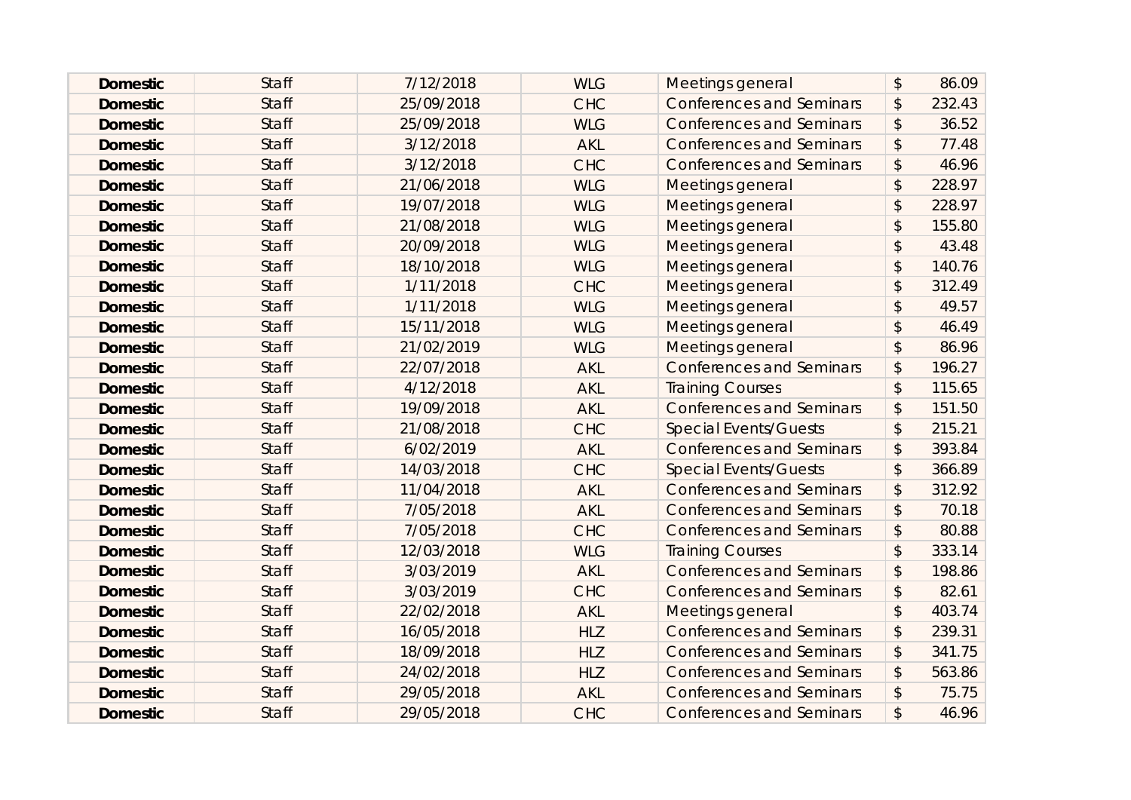| <b>Domestic</b> | <b>Staff</b> | 7/12/2018  | <b>WLG</b> | Meetings general                | $\boldsymbol{\mathsf{S}}$ | 86.09  |
|-----------------|--------------|------------|------------|---------------------------------|---------------------------|--------|
| <b>Domestic</b> | <b>Staff</b> | 25/09/2018 | <b>CHC</b> | <b>Conferences and Seminars</b> | $\boldsymbol{\mathsf{S}}$ | 232.43 |
| <b>Domestic</b> | <b>Staff</b> | 25/09/2018 | <b>WLG</b> | <b>Conferences and Seminars</b> | \$                        | 36.52  |
| <b>Domestic</b> | <b>Staff</b> | 3/12/2018  | <b>AKL</b> | <b>Conferences and Seminars</b> | \$                        | 77.48  |
| <b>Domestic</b> | <b>Staff</b> | 3/12/2018  | <b>CHC</b> | <b>Conferences and Seminars</b> | $\boldsymbol{\mathsf{S}}$ | 46.96  |
| <b>Domestic</b> | <b>Staff</b> | 21/06/2018 | <b>WLG</b> | Meetings general                | $\mathcal{L}$             | 228.97 |
| <b>Domestic</b> | <b>Staff</b> | 19/07/2018 | <b>WLG</b> | Meetings general                | $\mathsf{\$}$             | 228.97 |
| <b>Domestic</b> | <b>Staff</b> | 21/08/2018 | <b>WLG</b> | Meetings general                | $\mathsf{\$}$             | 155.80 |
| <b>Domestic</b> | <b>Staff</b> | 20/09/2018 | <b>WLG</b> | Meetings general                | $\mathcal{L}$             | 43.48  |
| <b>Domestic</b> | <b>Staff</b> | 18/10/2018 | <b>WLG</b> | Meetings general                | $\boldsymbol{\mathsf{S}}$ | 140.76 |
| <b>Domestic</b> | <b>Staff</b> | 1/11/2018  | <b>CHC</b> | Meetings general                | $\mathcal{L}$             | 312.49 |
| <b>Domestic</b> | <b>Staff</b> | 1/11/2018  | <b>WLG</b> | Meetings general                | $\mathcal{L}$             | 49.57  |
| <b>Domestic</b> | <b>Staff</b> | 15/11/2018 | <b>WLG</b> | Meetings general                | \$                        | 46.49  |
| <b>Domestic</b> | <b>Staff</b> | 21/02/2019 | <b>WLG</b> | Meetings general                | $\mathcal{L}$             | 86.96  |
| <b>Domestic</b> | <b>Staff</b> | 22/07/2018 | <b>AKL</b> | <b>Conferences and Seminars</b> | \$                        | 196.27 |
| <b>Domestic</b> | <b>Staff</b> | 4/12/2018  | <b>AKL</b> | <b>Training Courses</b>         | $\sqrt{2}$                | 115.65 |
| <b>Domestic</b> | <b>Staff</b> | 19/09/2018 | <b>AKL</b> | <b>Conferences and Seminars</b> | $\frac{1}{2}$             | 151.50 |
| <b>Domestic</b> | <b>Staff</b> | 21/08/2018 | <b>CHC</b> | <b>Special Events/Guests</b>    | $\boldsymbol{\mathsf{S}}$ | 215.21 |
| <b>Domestic</b> | <b>Staff</b> | 6/02/2019  | <b>AKL</b> | <b>Conferences and Seminars</b> | \$                        | 393.84 |
| <b>Domestic</b> | <b>Staff</b> | 14/03/2018 | <b>CHC</b> | <b>Special Events/Guests</b>    | $\boldsymbol{\mathsf{S}}$ | 366.89 |
| <b>Domestic</b> | <b>Staff</b> | 11/04/2018 | <b>AKL</b> | <b>Conferences and Seminars</b> | $\boldsymbol{\mathsf{S}}$ | 312.92 |
| <b>Domestic</b> | <b>Staff</b> | 7/05/2018  | <b>AKL</b> | <b>Conferences and Seminars</b> | $\boldsymbol{\mathsf{S}}$ | 70.18  |
| <b>Domestic</b> | <b>Staff</b> | 7/05/2018  | <b>CHC</b> | <b>Conferences and Seminars</b> | $\sqrt{2}$                | 80.88  |
| <b>Domestic</b> | <b>Staff</b> | 12/03/2018 | <b>WLG</b> | <b>Training Courses</b>         | $\mathcal{L}$             | 333.14 |
| <b>Domestic</b> | <b>Staff</b> | 3/03/2019  | <b>AKL</b> | <b>Conferences and Seminars</b> | \$                        | 198.86 |
| <b>Domestic</b> | <b>Staff</b> | 3/03/2019  | <b>CHC</b> | <b>Conferences and Seminars</b> | $\frac{1}{2}$             | 82.61  |
| <b>Domestic</b> | <b>Staff</b> | 22/02/2018 | <b>AKL</b> | Meetings general                | $\boldsymbol{\mathsf{S}}$ | 403.74 |
| <b>Domestic</b> | <b>Staff</b> | 16/05/2018 | <b>HLZ</b> | <b>Conferences and Seminars</b> | \$                        | 239.31 |
| <b>Domestic</b> | <b>Staff</b> | 18/09/2018 | <b>HLZ</b> | <b>Conferences and Seminars</b> | $\boldsymbol{\mathsf{S}}$ | 341.75 |
| <b>Domestic</b> | <b>Staff</b> | 24/02/2018 | <b>HLZ</b> | <b>Conferences and Seminars</b> | \$                        | 563.86 |
| <b>Domestic</b> | <b>Staff</b> | 29/05/2018 | <b>AKL</b> | <b>Conferences and Seminars</b> | \$                        | 75.75  |
| <b>Domestic</b> | <b>Staff</b> | 29/05/2018 | <b>CHC</b> | <b>Conferences and Seminars</b> | $\mathfrak{P}$            | 46.96  |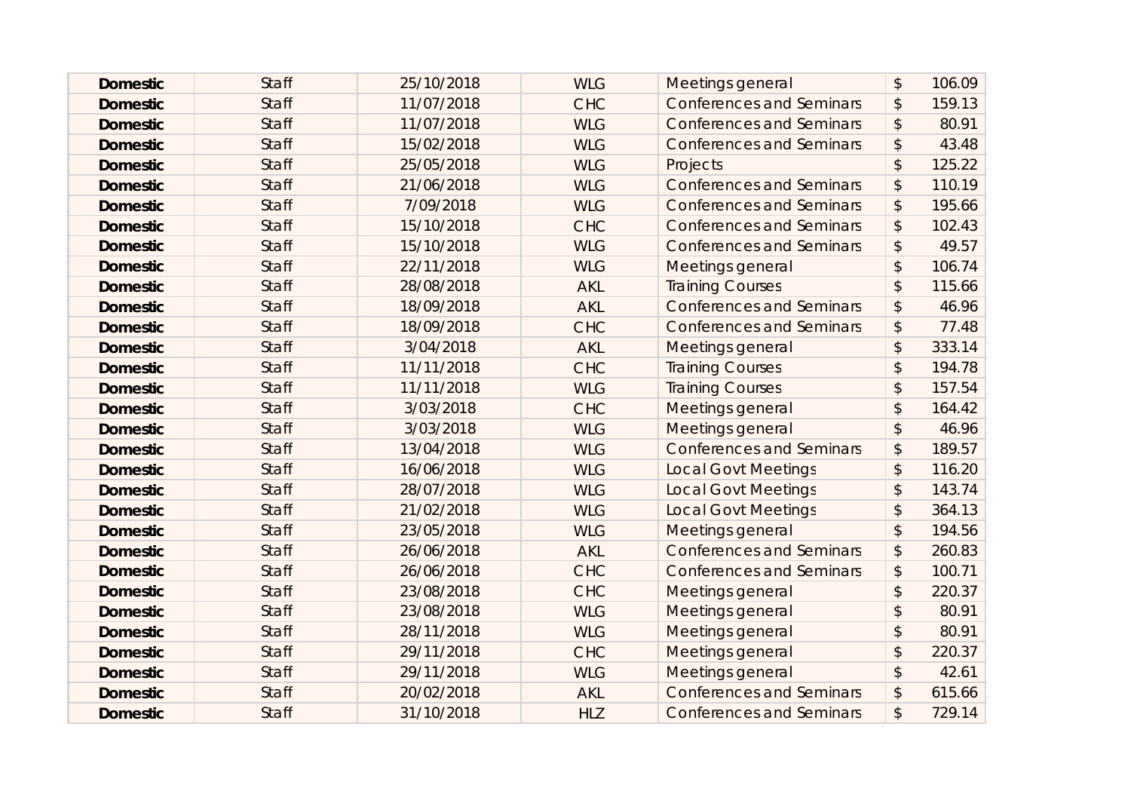| <b>Domestic</b> | <b>Staff</b> | 25/10/2018 | <b>WLG</b> | Meetings general                | $\mathcal{L}$             | 106.09 |
|-----------------|--------------|------------|------------|---------------------------------|---------------------------|--------|
| <b>Domestic</b> | <b>Staff</b> | 11/07/2018 | <b>CHC</b> | <b>Conferences and Seminars</b> | \$                        | 159.13 |
| <b>Domestic</b> | <b>Staff</b> | 11/07/2018 | <b>WLG</b> | <b>Conferences and Seminars</b> | $\boldsymbol{\mathsf{S}}$ | 80.91  |
| <b>Domestic</b> | <b>Staff</b> | 15/02/2018 | <b>WLG</b> | <b>Conferences and Seminars</b> | \$                        | 43.48  |
| <b>Domestic</b> | <b>Staff</b> | 25/05/2018 | <b>WLG</b> | Projects                        | $\boldsymbol{\mathsf{S}}$ | 125.22 |
| <b>Domestic</b> | <b>Staff</b> | 21/06/2018 | <b>WLG</b> | <b>Conferences and Seminars</b> | $\boldsymbol{\mathsf{S}}$ | 110.19 |
| <b>Domestic</b> | <b>Staff</b> | 7/09/2018  | <b>WLG</b> | <b>Conferences and Seminars</b> | $\mathcal{L}$             | 195.66 |
| <b>Domestic</b> | <b>Staff</b> | 15/10/2018 | <b>CHC</b> | <b>Conferences and Seminars</b> | \$                        | 102.43 |
| <b>Domestic</b> | <b>Staff</b> | 15/10/2018 | <b>WLG</b> | <b>Conferences and Seminars</b> | \$                        | 49.57  |
| <b>Domestic</b> | <b>Staff</b> | 22/11/2018 | <b>WLG</b> | Meetings general                | $\mathcal{L}$             | 106.74 |
| <b>Domestic</b> | <b>Staff</b> | 28/08/2018 | <b>AKL</b> | <b>Training Courses</b>         | $\mathcal{L}$             | 115.66 |
| <b>Domestic</b> | <b>Staff</b> | 18/09/2018 | <b>AKL</b> | <b>Conferences and Seminars</b> | $\boldsymbol{\mathsf{S}}$ | 46.96  |
| <b>Domestic</b> | <b>Staff</b> | 18/09/2018 | <b>CHC</b> | <b>Conferences and Seminars</b> | \$                        | 77.48  |
| <b>Domestic</b> | <b>Staff</b> | 3/04/2018  | <b>AKL</b> | Meetings general                | $\mathcal{L}$             | 333.14 |
| <b>Domestic</b> | <b>Staff</b> | 11/11/2018 | <b>CHC</b> | <b>Training Courses</b>         | \$                        | 194.78 |
| <b>Domestic</b> | <b>Staff</b> | 11/11/2018 | <b>WLG</b> | <b>Training Courses</b>         | $\mathcal{L}$             | 157.54 |
| <b>Domestic</b> | <b>Staff</b> | 3/03/2018  | <b>CHC</b> | Meetings general                | \$                        | 164.42 |
| <b>Domestic</b> | <b>Staff</b> | 3/03/2018  | <b>WLG</b> | Meetings general                | $\mathcal{L}$             | 46.96  |
| <b>Domestic</b> | <b>Staff</b> | 13/04/2018 | <b>WLG</b> | <b>Conferences and Seminars</b> | \$                        | 189.57 |
| <b>Domestic</b> | <b>Staff</b> | 16/06/2018 | <b>WLG</b> | <b>Local Govt Meetings</b>      | $\mathcal{L}$             | 116.20 |
| <b>Domestic</b> | <b>Staff</b> | 28/07/2018 | <b>WLG</b> | <b>Local Govt Meetings</b>      | \$                        | 143.74 |
| <b>Domestic</b> | <b>Staff</b> | 21/02/2018 | <b>WLG</b> | <b>Local Govt Meetings</b>      | \$                        | 364.13 |
| <b>Domestic</b> | <b>Staff</b> | 23/05/2018 | <b>WLG</b> | Meetings general                | $\mathcal{L}$             | 194.56 |
| <b>Domestic</b> | <b>Staff</b> | 26/06/2018 | <b>AKL</b> | <b>Conferences and Seminars</b> | \$                        | 260.83 |
| <b>Domestic</b> | <b>Staff</b> | 26/06/2018 | <b>CHC</b> | <b>Conferences and Seminars</b> | \$                        | 100.71 |
| <b>Domestic</b> | <b>Staff</b> | 23/08/2018 | <b>CHC</b> | Meetings general                | $\sqrt{2}$                | 220.37 |
| <b>Domestic</b> | <b>Staff</b> | 23/08/2018 | <b>WLG</b> | Meetings general                | $\mathcal{L}$             | 80.91  |
| <b>Domestic</b> | <b>Staff</b> | 28/11/2018 | <b>WLG</b> | <b>Meetings general</b>         | \$                        | 80.91  |
| <b>Domestic</b> | <b>Staff</b> | 29/11/2018 | <b>CHC</b> | Meetings general                | $\mathsf{\$}$             | 220.37 |
| <b>Domestic</b> | <b>Staff</b> | 29/11/2018 | <b>WLG</b> | Meetings general                | $\mathcal{L}$             | 42.61  |
| <b>Domestic</b> | <b>Staff</b> | 20/02/2018 | <b>AKL</b> | <b>Conferences and Seminars</b> | \$                        | 615.66 |
| <b>Domestic</b> | <b>Staff</b> | 31/10/2018 | <b>HLZ</b> | <b>Conferences and Seminars</b> | \$                        | 729.14 |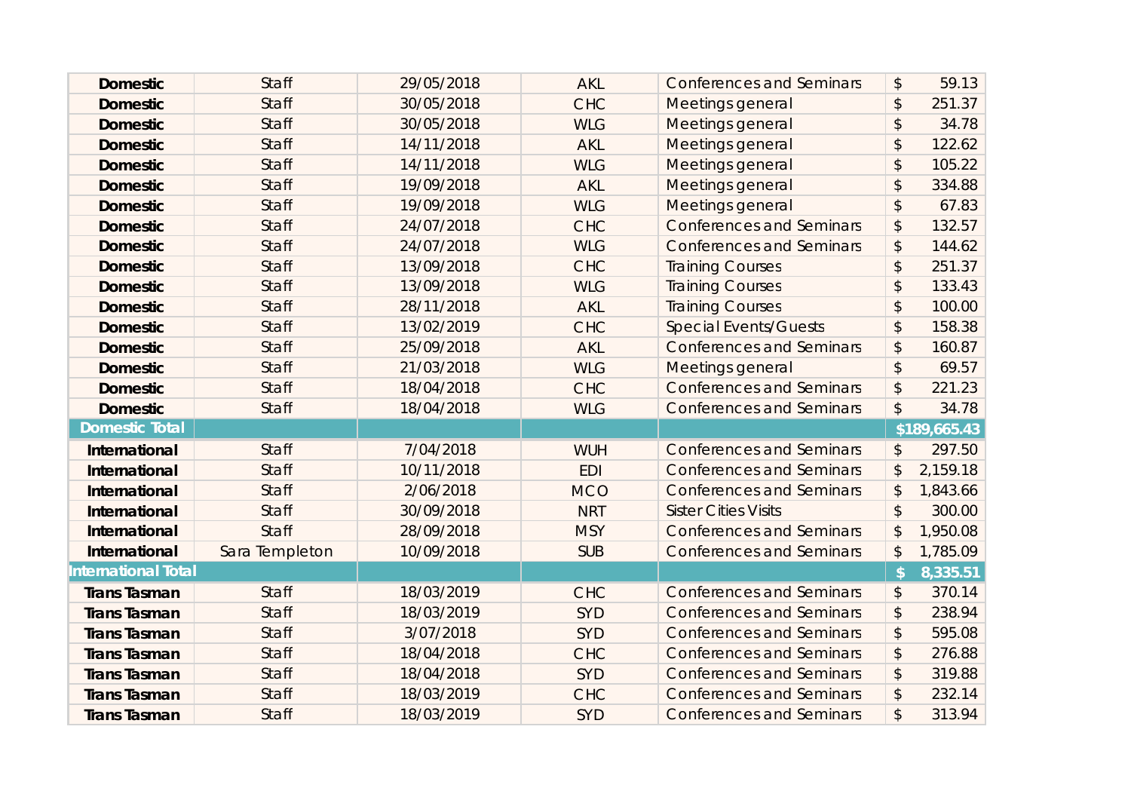| <b>Domestic</b>       | <b>Staff</b>   | 29/05/2018 | <b>AKL</b> | <b>Conferences and Seminars</b> | \$                        | 59.13        |
|-----------------------|----------------|------------|------------|---------------------------------|---------------------------|--------------|
| <b>Domestic</b>       | <b>Staff</b>   | 30/05/2018 | <b>CHC</b> | Meetings general                | \$                        | 251.37       |
| <b>Domestic</b>       | <b>Staff</b>   | 30/05/2018 | <b>WLG</b> | Meetings general                | \$                        | 34.78        |
| <b>Domestic</b>       | <b>Staff</b>   | 14/11/2018 | <b>AKL</b> | Meetings general                | \$                        | 122.62       |
| <b>Domestic</b>       | <b>Staff</b>   | 14/11/2018 | <b>WLG</b> | Meetings general                | \$                        | 105.22       |
| <b>Domestic</b>       | <b>Staff</b>   | 19/09/2018 | <b>AKL</b> | Meetings general                | \$                        | 334.88       |
| <b>Domestic</b>       | <b>Staff</b>   | 19/09/2018 | <b>WLG</b> | Meetings general                | \$                        | 67.83        |
| <b>Domestic</b>       | <b>Staff</b>   | 24/07/2018 | <b>CHC</b> | <b>Conferences and Seminars</b> | \$                        | 132.57       |
| <b>Domestic</b>       | <b>Staff</b>   | 24/07/2018 | <b>WLG</b> | <b>Conferences and Seminars</b> | \$                        | 144.62       |
| <b>Domestic</b>       | <b>Staff</b>   | 13/09/2018 | <b>CHC</b> | <b>Training Courses</b>         | \$                        | 251.37       |
| <b>Domestic</b>       | <b>Staff</b>   | 13/09/2018 | <b>WLG</b> | <b>Training Courses</b>         | $\boldsymbol{\mathsf{S}}$ | 133.43       |
| <b>Domestic</b>       | <b>Staff</b>   | 28/11/2018 | <b>AKL</b> | <b>Training Courses</b>         | $\mathfrak{D}$            | 100.00       |
| <b>Domestic</b>       | <b>Staff</b>   | 13/02/2019 | <b>CHC</b> | <b>Special Events/Guests</b>    | \$                        | 158.38       |
| <b>Domestic</b>       | <b>Staff</b>   | 25/09/2018 | <b>AKL</b> | <b>Conferences and Seminars</b> | \$                        | 160.87       |
| <b>Domestic</b>       | <b>Staff</b>   | 21/03/2018 | <b>WLG</b> | Meetings general                | \$                        | 69.57        |
| <b>Domestic</b>       | <b>Staff</b>   | 18/04/2018 | <b>CHC</b> | <b>Conferences and Seminars</b> | \$                        | 221.23       |
|                       |                |            |            |                                 |                           |              |
| <b>Domestic</b>       | <b>Staff</b>   | 18/04/2018 | <b>WLG</b> | <b>Conferences and Seminars</b> | $\boldsymbol{\mathsf{S}}$ | 34.78        |
| <b>Domestic Total</b> |                |            |            |                                 |                           | \$189,665.43 |
| International         | <b>Staff</b>   | 7/04/2018  | <b>WUH</b> | <b>Conferences and Seminars</b> | \$                        | 297.50       |
| International         | <b>Staff</b>   | 10/11/2018 | <b>EDI</b> | <b>Conferences and Seminars</b> | \$                        | 2,159.18     |
| International         | <b>Staff</b>   | 2/06/2018  | <b>MCO</b> | <b>Conferences and Seminars</b> | \$                        | 1,843.66     |
| International         | <b>Staff</b>   | 30/09/2018 | <b>NRT</b> | <b>Sister Cities Visits</b>     | $\boldsymbol{\mathsf{S}}$ | 300.00       |
| International         | <b>Staff</b>   | 28/09/2018 | <b>MSY</b> | <b>Conferences and Seminars</b> | \$                        | 1,950.08     |
| International         | Sara Templeton | 10/09/2018 | <b>SUB</b> | <b>Conferences and Seminars</b> | \$                        | 1,785.09     |
| International Total   |                |            |            |                                 | $\sqrt{2}$                | 8,335.51     |
| <b>Trans Tasman</b>   | <b>Staff</b>   | 18/03/2019 | <b>CHC</b> | <b>Conferences and Seminars</b> | \$                        | 370.14       |
| <b>Trans Tasman</b>   | <b>Staff</b>   | 18/03/2019 | <b>SYD</b> | <b>Conferences and Seminars</b> | \$                        | 238.94       |
| <b>Trans Tasman</b>   | <b>Staff</b>   | 3/07/2018  | <b>SYD</b> | <b>Conferences and Seminars</b> | \$                        | 595.08       |
| <b>Trans Tasman</b>   | <b>Staff</b>   | 18/04/2018 | <b>CHC</b> | <b>Conferences and Seminars</b> | \$                        | 276.88       |
| <b>Trans Tasman</b>   | <b>Staff</b>   | 18/04/2018 | <b>SYD</b> | <b>Conferences and Seminars</b> | $\boldsymbol{\mathsf{S}}$ | 319.88       |
| <b>Trans Tasman</b>   | <b>Staff</b>   | 18/03/2019 | <b>CHC</b> | <b>Conferences and Seminars</b> | \$                        | 232.14       |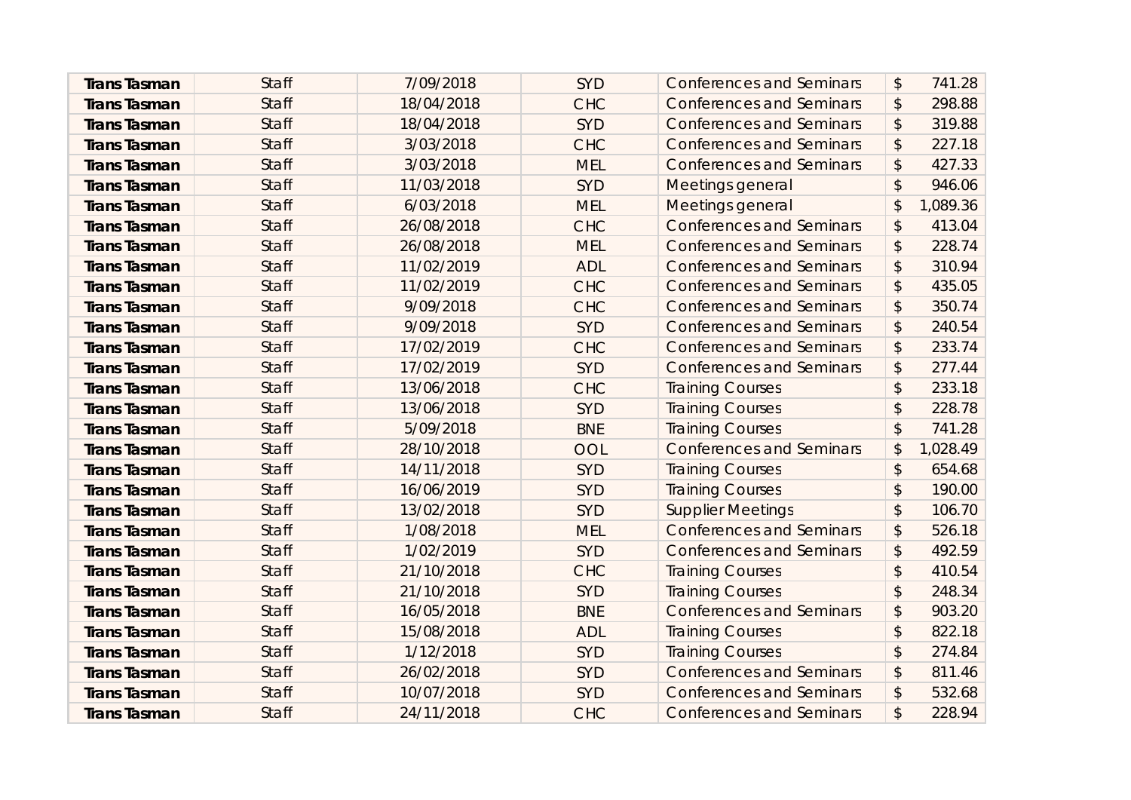| <b>Trans Tasman</b> | <b>Staff</b> | 7/09/2018  | <b>SYD</b> | <b>Conferences and Seminars</b> | \$                        | 741.28   |
|---------------------|--------------|------------|------------|---------------------------------|---------------------------|----------|
| <b>Trans Tasman</b> | <b>Staff</b> | 18/04/2018 | <b>CHC</b> | <b>Conferences and Seminars</b> | \$                        | 298.88   |
| <b>Trans Tasman</b> | <b>Staff</b> | 18/04/2018 | <b>SYD</b> | <b>Conferences and Seminars</b> | \$                        | 319.88   |
| <b>Trans Tasman</b> | <b>Staff</b> | 3/03/2018  | <b>CHC</b> | <b>Conferences and Seminars</b> | \$                        | 227.18   |
| <b>Trans Tasman</b> | <b>Staff</b> | 3/03/2018  | <b>MEL</b> | <b>Conferences and Seminars</b> | \$                        | 427.33   |
| <b>Trans Tasman</b> | <b>Staff</b> | 11/03/2018 | <b>SYD</b> | Meetings general                | $\boldsymbol{\mathsf{S}}$ | 946.06   |
| <b>Trans Tasman</b> | <b>Staff</b> | 6/03/2018  | <b>MEL</b> | Meetings general                | \$                        | 1,089.36 |
| <b>Trans Tasman</b> | <b>Staff</b> | 26/08/2018 | <b>CHC</b> | <b>Conferences and Seminars</b> | \$                        | 413.04   |
| <b>Trans Tasman</b> | <b>Staff</b> | 26/08/2018 | <b>MEL</b> | <b>Conferences and Seminars</b> | \$                        | 228.74   |
| <b>Trans Tasman</b> | <b>Staff</b> | 11/02/2019 | <b>ADL</b> | <b>Conferences and Seminars</b> | $\frac{1}{2}$             | 310.94   |
| <b>Trans Tasman</b> | <b>Staff</b> | 11/02/2019 | <b>CHC</b> | <b>Conferences and Seminars</b> | $\boldsymbol{\mathsf{S}}$ | 435.05   |
| <b>Trans Tasman</b> | <b>Staff</b> | 9/09/2018  | <b>CHC</b> | <b>Conferences and Seminars</b> | \$                        | 350.74   |
| <b>Trans Tasman</b> | <b>Staff</b> | 9/09/2018  | <b>SYD</b> | <b>Conferences and Seminars</b> | \$                        | 240.54   |
| <b>Trans Tasman</b> | <b>Staff</b> | 17/02/2019 | <b>CHC</b> | <b>Conferences and Seminars</b> | $\boldsymbol{\hat{z}}$    | 233.74   |
| <b>Trans Tasman</b> | <b>Staff</b> | 17/02/2019 | SYD        | <b>Conferences and Seminars</b> | \$                        | 277.44   |
| <b>Trans Tasman</b> | <b>Staff</b> | 13/06/2018 | <b>CHC</b> | <b>Training Courses</b>         | $\boldsymbol{\hat{z}}$    | 233.18   |
| <b>Trans Tasman</b> | <b>Staff</b> | 13/06/2018 | <b>SYD</b> | <b>Training Courses</b>         | $\mathfrak{D}$            | 228.78   |
| <b>Trans Tasman</b> | <b>Staff</b> | 5/09/2018  | <b>BNE</b> | <b>Training Courses</b>         | \$                        | 741.28   |
| <b>Trans Tasman</b> | <b>Staff</b> | 28/10/2018 | OOL        | <b>Conferences and Seminars</b> | \$                        | 1,028.49 |
| <b>Trans Tasman</b> | <b>Staff</b> | 14/11/2018 | <b>SYD</b> | <b>Training Courses</b>         | \$                        | 654.68   |
| <b>Trans Tasman</b> | <b>Staff</b> | 16/06/2019 | <b>SYD</b> | <b>Training Courses</b>         | $\mathfrak{D}$            | 190.00   |
| <b>Trans Tasman</b> | <b>Staff</b> | 13/02/2018 | <b>SYD</b> | <b>Supplier Meetings</b>        | \$                        | 106.70   |
| <b>Trans Tasman</b> | <b>Staff</b> | 1/08/2018  | <b>MEL</b> | <b>Conferences and Seminars</b> | \$                        | 526.18   |
| <b>Trans Tasman</b> | <b>Staff</b> | 1/02/2019  | <b>SYD</b> | <b>Conferences and Seminars</b> | $\boldsymbol{\mathsf{S}}$ | 492.59   |
| <b>Trans Tasman</b> | <b>Staff</b> | 21/10/2018 | <b>CHC</b> | <b>Training Courses</b>         | \$                        | 410.54   |
| <b>Trans Tasman</b> | <b>Staff</b> | 21/10/2018 | <b>SYD</b> | <b>Training Courses</b>         | \$                        | 248.34   |
| <b>Trans Tasman</b> | <b>Staff</b> | 16/05/2018 | <b>BNE</b> | <b>Conferences and Seminars</b> | $\boldsymbol{\hat{z}}$    | 903.20   |
| <b>Trans Tasman</b> | <b>Staff</b> | 15/08/2018 | <b>ADL</b> | <b>Training Courses</b>         | $\boldsymbol{\hat{z}}$    | 822.18   |
| <b>Trans Tasman</b> | <b>Staff</b> | 1/12/2018  | <b>SYD</b> | <b>Training Courses</b>         | \$                        | 274.84   |
| <b>Trans Tasman</b> | <b>Staff</b> | 26/02/2018 | <b>SYD</b> | <b>Conferences and Seminars</b> | \$                        | 811.46   |
| <b>Trans Tasman</b> | <b>Staff</b> | 10/07/2018 | <b>SYD</b> | <b>Conferences and Seminars</b> | \$                        | 532.68   |
| <b>Trans Tasman</b> | <b>Staff</b> | 24/11/2018 | <b>CHC</b> | <b>Conferences and Seminars</b> | \$                        | 228.94   |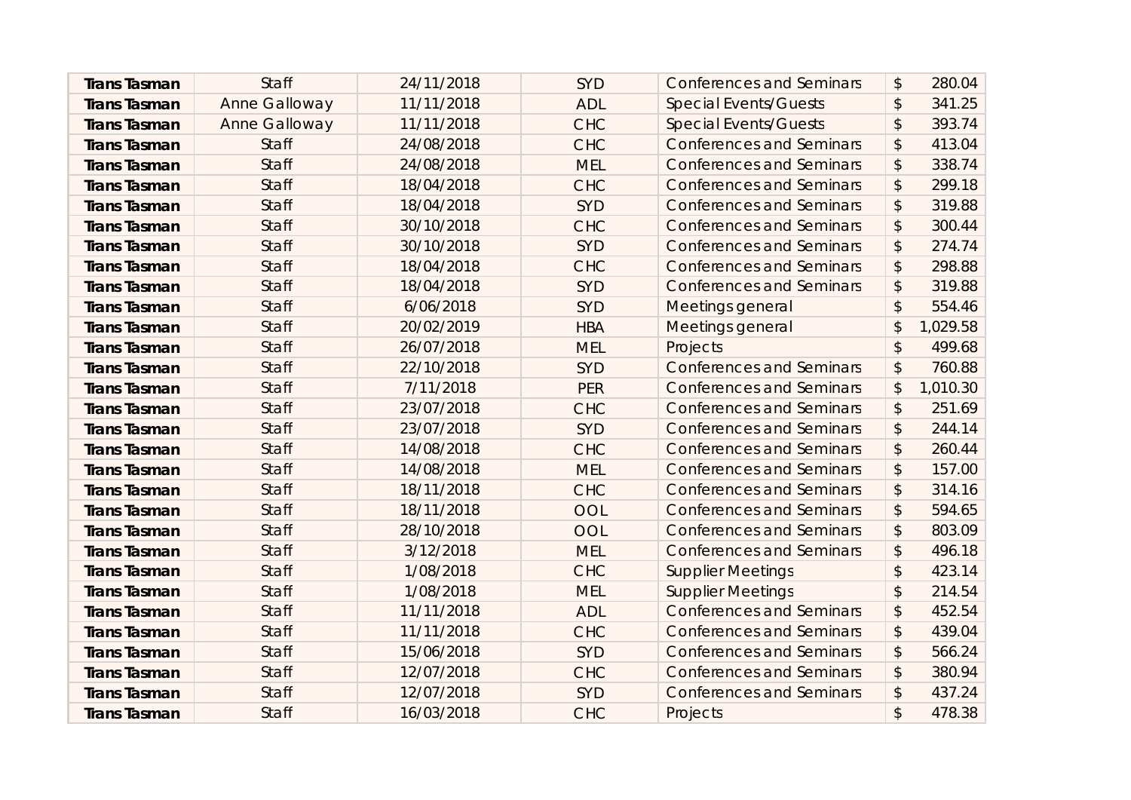| <b>Trans Tasman</b> | <b>Staff</b>         | 24/11/2018 | <b>SYD</b> | <b>Conferences and Seminars</b> | \$                        | 280.04   |
|---------------------|----------------------|------------|------------|---------------------------------|---------------------------|----------|
| <b>Trans Tasman</b> | <b>Anne Galloway</b> | 11/11/2018 | <b>ADL</b> | <b>Special Events/Guests</b>    | \$                        | 341.25   |
| <b>Trans Tasman</b> | <b>Anne Galloway</b> | 11/11/2018 | <b>CHC</b> | <b>Special Events/Guests</b>    | $\boldsymbol{\hat{z}}$    | 393.74   |
| <b>Trans Tasman</b> | <b>Staff</b>         | 24/08/2018 | <b>CHC</b> | <b>Conferences and Seminars</b> | $\frac{1}{2}$             | 413.04   |
| <b>Trans Tasman</b> | <b>Staff</b>         | 24/08/2018 | <b>MEL</b> | <b>Conferences and Seminars</b> | \$                        | 338.74   |
| <b>Trans Tasman</b> | <b>Staff</b>         | 18/04/2018 | <b>CHC</b> | <b>Conferences and Seminars</b> | \$                        | 299.18   |
| <b>Trans Tasman</b> | <b>Staff</b>         | 18/04/2018 | <b>SYD</b> | <b>Conferences and Seminars</b> | \$                        | 319.88   |
| <b>Trans Tasman</b> | <b>Staff</b>         | 30/10/2018 | <b>CHC</b> | <b>Conferences and Seminars</b> | $\boldsymbol{\hat{z}}$    | 300.44   |
| <b>Trans Tasman</b> | <b>Staff</b>         | 30/10/2018 | SYD        | <b>Conferences and Seminars</b> | \$                        | 274.74   |
| <b>Trans Tasman</b> | <b>Staff</b>         | 18/04/2018 | <b>CHC</b> | <b>Conferences and Seminars</b> | $\frac{1}{2}$             | 298.88   |
| <b>Trans Tasman</b> | <b>Staff</b>         | 18/04/2018 | <b>SYD</b> | <b>Conferences and Seminars</b> | $\boldsymbol{\mathsf{S}}$ | 319.88   |
| <b>Trans Tasman</b> | <b>Staff</b>         | 6/06/2018  | <b>SYD</b> | Meetings general                | $\mathfrak{L}$            | 554.46   |
| <b>Trans Tasman</b> | <b>Staff</b>         | 20/02/2019 | <b>HBA</b> | Meetings general                | \$                        | 1,029.58 |
| <b>Trans Tasman</b> | <b>Staff</b>         | 26/07/2018 | <b>MEL</b> | Projects                        | $\boldsymbol{\mathsf{S}}$ | 499.68   |
| <b>Trans Tasman</b> | <b>Staff</b>         | 22/10/2018 | <b>SYD</b> | <b>Conferences and Seminars</b> | \$                        | 760.88   |
| <b>Trans Tasman</b> | <b>Staff</b>         | 7/11/2018  | PER        | <b>Conferences and Seminars</b> | \$                        | 1,010.30 |
| <b>Trans Tasman</b> | <b>Staff</b>         | 23/07/2018 | <b>CHC</b> | <b>Conferences and Seminars</b> | $\boldsymbol{\mathsf{S}}$ | 251.69   |
| <b>Trans Tasman</b> | <b>Staff</b>         | 23/07/2018 | <b>SYD</b> | <b>Conferences and Seminars</b> | \$                        | 244.14   |
| <b>Trans Tasman</b> | <b>Staff</b>         | 14/08/2018 | <b>CHC</b> | <b>Conferences and Seminars</b> | \$                        | 260.44   |
| <b>Trans Tasman</b> | <b>Staff</b>         | 14/08/2018 | <b>MEL</b> | <b>Conferences and Seminars</b> | $\frac{1}{2}$             | 157.00   |
| <b>Trans Tasman</b> | <b>Staff</b>         | 18/11/2018 | <b>CHC</b> | <b>Conferences and Seminars</b> | $\boldsymbol{\mathsf{S}}$ | 314.16   |
| <b>Trans Tasman</b> | <b>Staff</b>         | 18/11/2018 | OOL        | <b>Conferences and Seminars</b> | \$                        | 594.65   |
| <b>Trans Tasman</b> | <b>Staff</b>         | 28/10/2018 | OOL        | <b>Conferences and Seminars</b> | $\boldsymbol{\mathsf{S}}$ | 803.09   |
| <b>Trans Tasman</b> | <b>Staff</b>         | 3/12/2018  | <b>MEL</b> | <b>Conferences and Seminars</b> | $\mathfrak{D}$            | 496.18   |
| <b>Trans Tasman</b> | <b>Staff</b>         | 1/08/2018  | <b>CHC</b> | <b>Supplier Meetings</b>        | $\boldsymbol{\mathsf{S}}$ | 423.14   |
| <b>Trans Tasman</b> | <b>Staff</b>         | 1/08/2018  | <b>MEL</b> | <b>Supplier Meetings</b>        | \$                        | 214.54   |
| <b>Trans Tasman</b> | <b>Staff</b>         | 11/11/2018 | <b>ADL</b> | <b>Conferences and Seminars</b> | $\boldsymbol{\mathsf{S}}$ | 452.54   |
| <b>Trans Tasman</b> | <b>Staff</b>         | 11/11/2018 | <b>CHC</b> | <b>Conferences and Seminars</b> | \$                        | 439.04   |
| <b>Trans Tasman</b> | <b>Staff</b>         | 15/06/2018 | <b>SYD</b> | <b>Conferences and Seminars</b> | $\boldsymbol{\mathsf{S}}$ | 566.24   |
| <b>Trans Tasman</b> | <b>Staff</b>         | 12/07/2018 | <b>CHC</b> | <b>Conferences and Seminars</b> | $\boldsymbol{\mathsf{S}}$ | 380.94   |
| <b>Trans Tasman</b> | <b>Staff</b>         | 12/07/2018 | <b>SYD</b> | <b>Conferences and Seminars</b> | $\boldsymbol{\mathsf{S}}$ | 437.24   |
| <b>Trans Tasman</b> | <b>Staff</b>         | 16/03/2018 | <b>CHC</b> | Projects                        | $\mathfrak{D}$            | 478.38   |